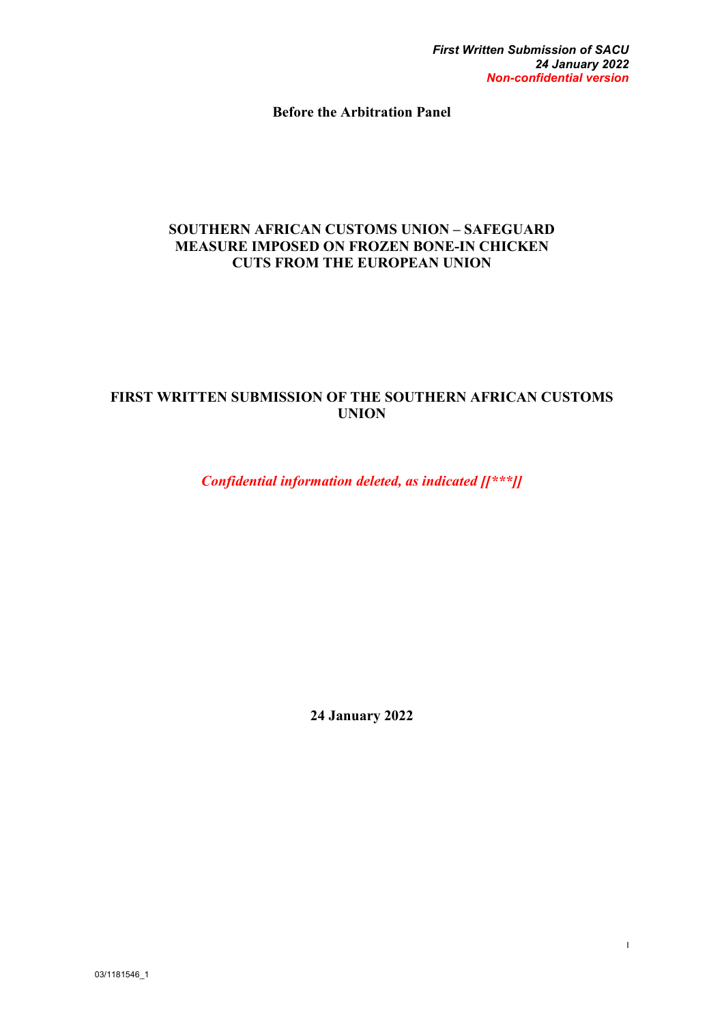I

**Before the Arbitration Panel**

#### **SOUTHERN AFRICAN CUSTOMS UNION – SAFEGUARD MEASURE IMPOSED ON FROZEN BONE-IN CHICKEN CUTS FROM THE EUROPEAN UNION**

## **FIRST WRITTEN SUBMISSION OF THE SOUTHERN AFRICAN CUSTOMS UNION**

*Confidential information deleted, as indicated [[\*\*\*]]*

**24 January 2022**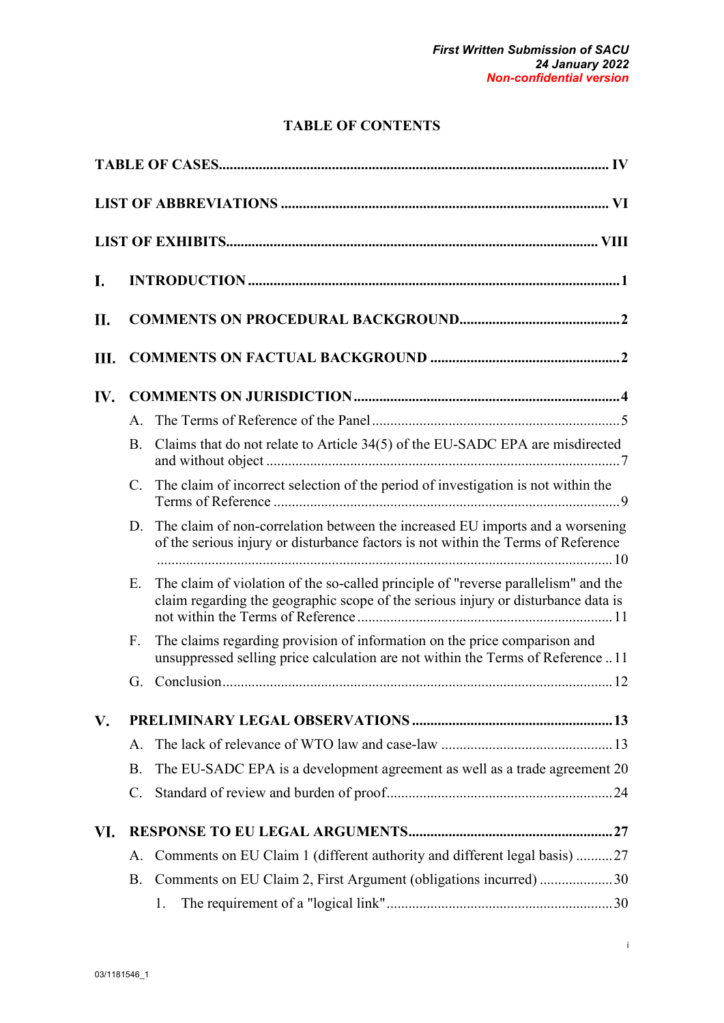# **TABLE OF CONTENTS**

| I.  |                |                                                                                                                                                                         |  |  |
|-----|----------------|-------------------------------------------------------------------------------------------------------------------------------------------------------------------------|--|--|
| П.  |                |                                                                                                                                                                         |  |  |
| Ш.  |                |                                                                                                                                                                         |  |  |
| IV. |                |                                                                                                                                                                         |  |  |
|     | $\mathsf{A}$ . |                                                                                                                                                                         |  |  |
|     | <b>B.</b>      | Claims that do not relate to Article 34(5) of the EU-SADC EPA are misdirected                                                                                           |  |  |
|     | $\mathbf{C}$ . | The claim of incorrect selection of the period of investigation is not within the                                                                                       |  |  |
|     | D.             | The claim of non-correlation between the increased EU imports and a worsening<br>of the serious injury or disturbance factors is not within the Terms of Reference      |  |  |
|     | Ε.             | The claim of violation of the so-called principle of "reverse parallelism" and the<br>claim regarding the geographic scope of the serious injury or disturbance data is |  |  |
|     | F.             | The claims regarding provision of information on the price comparison and<br>unsuppressed selling price calculation are not within the Terms of Reference 11            |  |  |
|     | G.             |                                                                                                                                                                         |  |  |
| V.  |                |                                                                                                                                                                         |  |  |
|     | А.             |                                                                                                                                                                         |  |  |
|     | <b>B.</b>      | The EU-SADC EPA is a development agreement as well as a trade agreement 20                                                                                              |  |  |
|     | C.             |                                                                                                                                                                         |  |  |
| VI. |                |                                                                                                                                                                         |  |  |
|     | А.             | Comments on EU Claim 1 (different authority and different legal basis) 27                                                                                               |  |  |
|     | <b>B.</b>      | Comments on EU Claim 2, First Argument (obligations incurred) 30                                                                                                        |  |  |
|     |                | 1.                                                                                                                                                                      |  |  |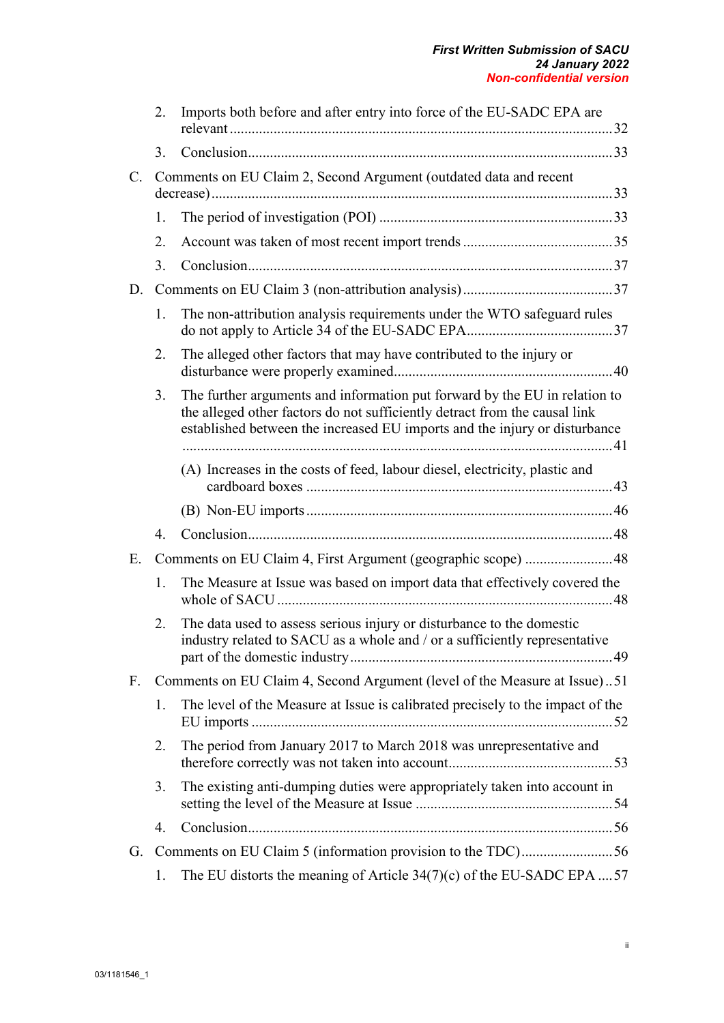|       | 2. | Imports both before and after entry into force of the EU-SADC EPA are                                                                                                                                                                  |
|-------|----|----------------------------------------------------------------------------------------------------------------------------------------------------------------------------------------------------------------------------------------|
|       | 3. |                                                                                                                                                                                                                                        |
| $C$ . |    | Comments on EU Claim 2, Second Argument (outdated data and recent                                                                                                                                                                      |
|       | 1. |                                                                                                                                                                                                                                        |
|       | 2. |                                                                                                                                                                                                                                        |
|       | 3. |                                                                                                                                                                                                                                        |
| D.    |    |                                                                                                                                                                                                                                        |
|       | 1. | The non-attribution analysis requirements under the WTO safeguard rules                                                                                                                                                                |
|       | 2. | The alleged other factors that may have contributed to the injury or                                                                                                                                                                   |
|       | 3. | The further arguments and information put forward by the EU in relation to<br>the alleged other factors do not sufficiently detract from the causal link<br>established between the increased EU imports and the injury or disturbance |
|       |    | (A) Increases in the costs of feed, labour diesel, electricity, plastic and                                                                                                                                                            |
|       |    |                                                                                                                                                                                                                                        |
|       | 4. |                                                                                                                                                                                                                                        |
| Ε.    |    | Comments on EU Claim 4, First Argument (geographic scope) 48                                                                                                                                                                           |
|       | 1. | The Measure at Issue was based on import data that effectively covered the                                                                                                                                                             |
|       | 2. | The data used to assess serious injury or disturbance to the domestic<br>industry related to SACU as a whole and / or a sufficiently representative                                                                                    |
| F.    |    | Comments on EU Claim 4, Second Argument (level of the Measure at Issue)51                                                                                                                                                              |
|       | 1. | The level of the Measure at Issue is calibrated precisely to the impact of the                                                                                                                                                         |
|       | 2. | The period from January 2017 to March 2018 was unrepresentative and                                                                                                                                                                    |
|       | 3. | The existing anti-dumping duties were appropriately taken into account in                                                                                                                                                              |
|       | 4. |                                                                                                                                                                                                                                        |
| G.    |    | Comments on EU Claim 5 (information provision to the TDC)56                                                                                                                                                                            |
|       | 1. | The EU distorts the meaning of Article $34(7)(c)$ of the EU-SADC EPA 57                                                                                                                                                                |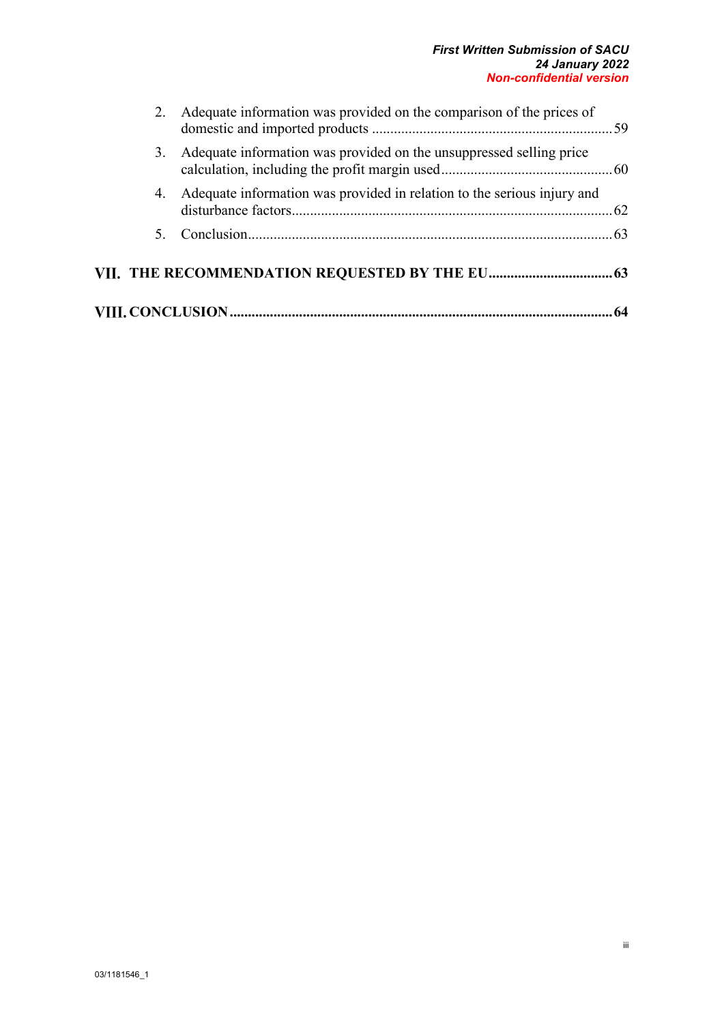#### *First Written Submission of SACU 24 January 2022 Non-confidential version*

|  | 2. Adequate information was provided on the comparison of the prices of    |  |  |  |  |
|--|----------------------------------------------------------------------------|--|--|--|--|
|  | 3. Adequate information was provided on the unsuppressed selling price     |  |  |  |  |
|  | 4. Adequate information was provided in relation to the serious injury and |  |  |  |  |
|  |                                                                            |  |  |  |  |
|  |                                                                            |  |  |  |  |
|  |                                                                            |  |  |  |  |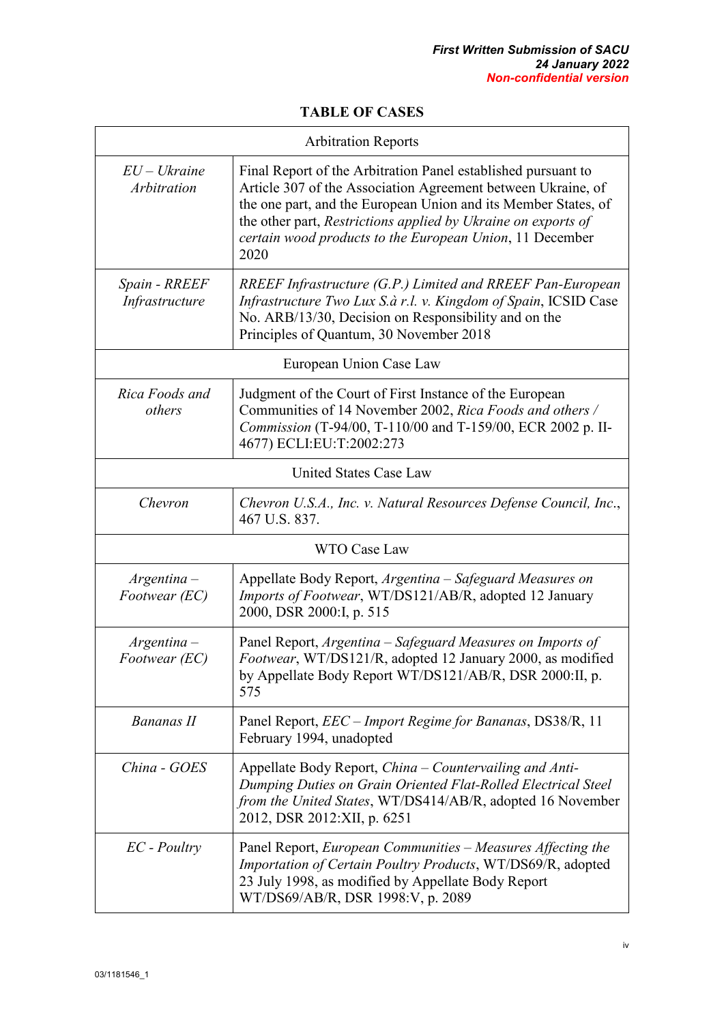#### **TABLE OF CASES**

<span id="page-4-0"></span>

| <b>Arbitration Reports</b>      |                                                                                                                                                                                                                                                                                                                                      |  |  |  |
|---------------------------------|--------------------------------------------------------------------------------------------------------------------------------------------------------------------------------------------------------------------------------------------------------------------------------------------------------------------------------------|--|--|--|
| $EU-Uk^$ raine<br>Arbitration   | Final Report of the Arbitration Panel established pursuant to<br>Article 307 of the Association Agreement between Ukraine, of<br>the one part, and the European Union and its Member States, of<br>the other part, Restrictions applied by Ukraine on exports of<br>certain wood products to the European Union, 11 December<br>2020 |  |  |  |
| Spain - RREEF<br>Infrastructure | RREEF Infrastructure (G.P.) Limited and RREEF Pan-European<br>Infrastructure Two Lux S.à r.l. v. Kingdom of Spain, ICSID Case<br>No. ARB/13/30, Decision on Responsibility and on the<br>Principles of Quantum, 30 November 2018                                                                                                     |  |  |  |
|                                 | European Union Case Law                                                                                                                                                                                                                                                                                                              |  |  |  |
| Rica Foods and<br>others        | Judgment of the Court of First Instance of the European<br>Communities of 14 November 2002, Rica Foods and others /<br>Commission (T-94/00, T-110/00 and T-159/00, ECR 2002 p. II-<br>4677) ECLI:EU:T:2002:273                                                                                                                       |  |  |  |
|                                 | <b>United States Case Law</b>                                                                                                                                                                                                                                                                                                        |  |  |  |
| Chevron                         | Chevron U.S.A., Inc. v. Natural Resources Defense Council, Inc.,<br>467 U.S. 837.                                                                                                                                                                                                                                                    |  |  |  |
|                                 | <b>WTO Case Law</b>                                                                                                                                                                                                                                                                                                                  |  |  |  |
| $Argentina -$<br>Footwear (EC)  | Appellate Body Report, Argentina – Safeguard Measures on<br>Imports of Footwear, WT/DS121/AB/R, adopted 12 January<br>2000, DSR 2000:I, p. 515                                                                                                                                                                                       |  |  |  |
| $Argentina -$<br>Footwear (EC)  | Panel Report, Argentina - Safeguard Measures on Imports of<br>Footwear, WT/DS121/R, adopted 12 January 2000, as modified<br>by Appellate Body Report WT/DS121/AB/R, DSR 2000:II, p.<br>575                                                                                                                                           |  |  |  |
| Bananas II                      | Panel Report, <i>EEC – Import Regime for Bananas</i> , DS38/R, 11<br>February 1994, unadopted                                                                                                                                                                                                                                        |  |  |  |
| China - GOES                    | Appellate Body Report, China – Countervailing and Anti-<br>Dumping Duties on Grain Oriented Flat-Rolled Electrical Steel<br>from the United States, WT/DS414/AB/R, adopted 16 November<br>2012, DSR 2012:XII, p. 6251                                                                                                                |  |  |  |
| $EC$ - Poultry                  | Panel Report, European Communities - Measures Affecting the<br>Importation of Certain Poultry Products, WT/DS69/R, adopted<br>23 July 1998, as modified by Appellate Body Report<br>WT/DS69/AB/R, DSR 1998:V, p. 2089                                                                                                                |  |  |  |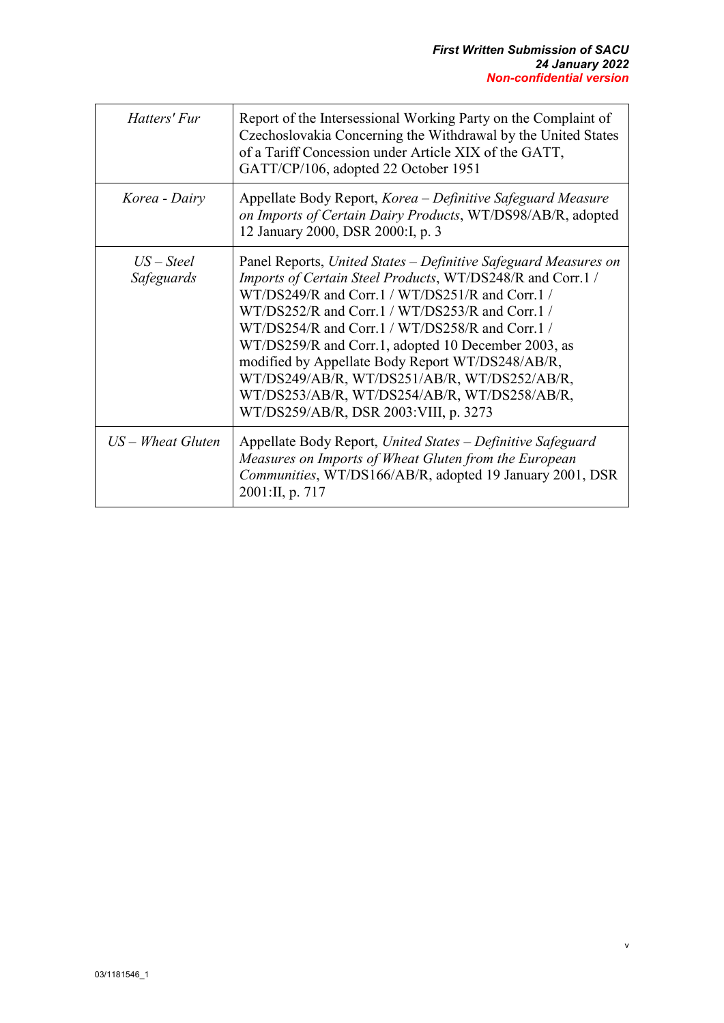v

| Hatters' Fur               | Report of the Intersessional Working Party on the Complaint of<br>Czechoslovakia Concerning the Withdrawal by the United States<br>of a Tariff Concession under Article XIX of the GATT,<br>GATT/CP/106, adopted 22 October 1951                                                                                                                                                                                                                                                                                                                |
|----------------------------|-------------------------------------------------------------------------------------------------------------------------------------------------------------------------------------------------------------------------------------------------------------------------------------------------------------------------------------------------------------------------------------------------------------------------------------------------------------------------------------------------------------------------------------------------|
| Korea - Dairy              | Appellate Body Report, Korea – Definitive Safeguard Measure<br>on Imports of Certain Dairy Products, WT/DS98/AB/R, adopted<br>12 January 2000, DSR 2000:I, p. 3                                                                                                                                                                                                                                                                                                                                                                                 |
| $US - Steel$<br>Safeguards | Panel Reports, United States – Definitive Safeguard Measures on<br>Imports of Certain Steel Products, WT/DS248/R and Corr.1 /<br>$WT/DS249/R$ and Corr.1 / $WT/DS251/R$ and Corr.1 /<br>WT/DS252/R and Corr.1 / WT/DS253/R and Corr.1 /<br>WT/DS254/R and Corr.1 / WT/DS258/R and Corr.1 /<br>WT/DS259/R and Corr.1, adopted 10 December 2003, as<br>modified by Appellate Body Report WT/DS248/AB/R,<br>WT/DS249/AB/R, WT/DS251/AB/R, WT/DS252/AB/R,<br>WT/DS253/AB/R, WT/DS254/AB/R, WT/DS258/AB/R,<br>WT/DS259/AB/R, DSR 2003: VIII, p. 3273 |
| $US - Wheat Gluten$        | Appellate Body Report, United States - Definitive Safeguard<br>Measures on Imports of Wheat Gluten from the European<br>Communities, WT/DS166/AB/R, adopted 19 January 2001, DSR<br>2001:II, p. 717                                                                                                                                                                                                                                                                                                                                             |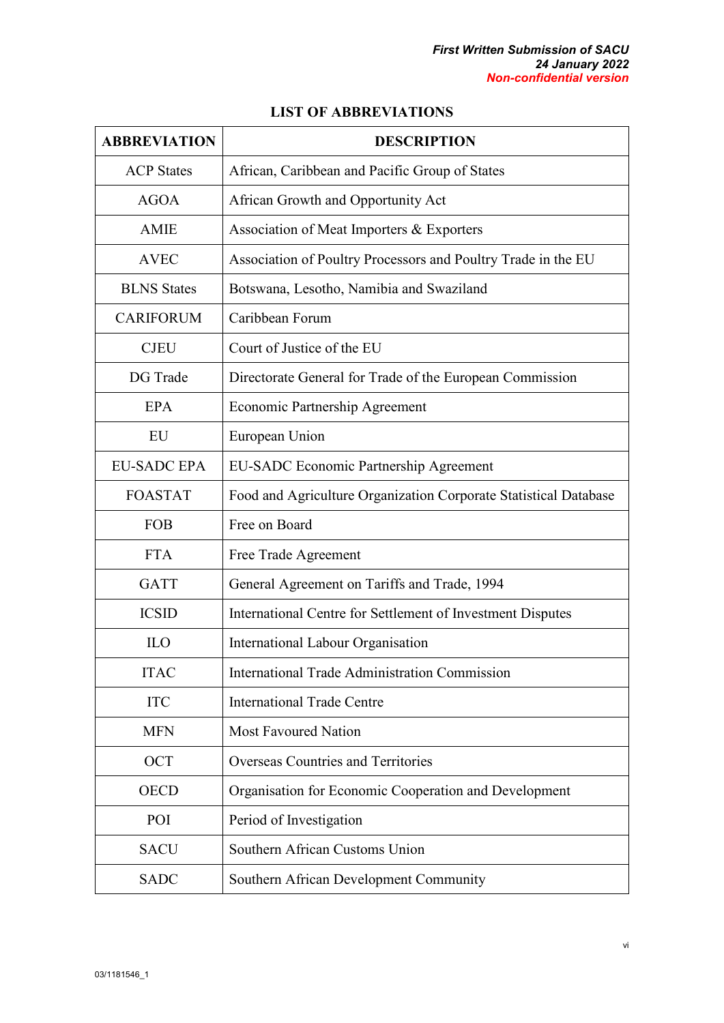|  | <b>LIST OF ABBREVIATIONS</b> |
|--|------------------------------|
|--|------------------------------|

<span id="page-6-0"></span>

| <b>ABBREVIATION</b> | <b>DESCRIPTION</b>                                               |
|---------------------|------------------------------------------------------------------|
| <b>ACP</b> States   | African, Caribbean and Pacific Group of States                   |
| <b>AGOA</b>         | African Growth and Opportunity Act                               |
| <b>AMIE</b>         | Association of Meat Importers & Exporters                        |
| <b>AVEC</b>         | Association of Poultry Processors and Poultry Trade in the EU    |
| <b>BLNS</b> States  | Botswana, Lesotho, Namibia and Swaziland                         |
| <b>CARIFORUM</b>    | Caribbean Forum                                                  |
| <b>CJEU</b>         | Court of Justice of the EU                                       |
| DG Trade            | Directorate General for Trade of the European Commission         |
| EPA                 | Economic Partnership Agreement                                   |
| EU                  | European Union                                                   |
| <b>EU-SADC EPA</b>  | <b>EU-SADC Economic Partnership Agreement</b>                    |
| <b>FOASTAT</b>      | Food and Agriculture Organization Corporate Statistical Database |
| <b>FOB</b>          | Free on Board                                                    |
| <b>FTA</b>          | Free Trade Agreement                                             |
| <b>GATT</b>         | General Agreement on Tariffs and Trade, 1994                     |
| <b>ICSID</b>        | International Centre for Settlement of Investment Disputes       |
| <b>ILO</b>          | <b>International Labour Organisation</b>                         |
| <b>ITAC</b>         | <b>International Trade Administration Commission</b>             |
| <b>ITC</b>          | <b>International Trade Centre</b>                                |
| <b>MFN</b>          | <b>Most Favoured Nation</b>                                      |
| <b>OCT</b>          | Overseas Countries and Territories                               |
| <b>OECD</b>         | Organisation for Economic Cooperation and Development            |
| POI                 | Period of Investigation                                          |
| <b>SACU</b>         | Southern African Customs Union                                   |
| <b>SADC</b>         | Southern African Development Community                           |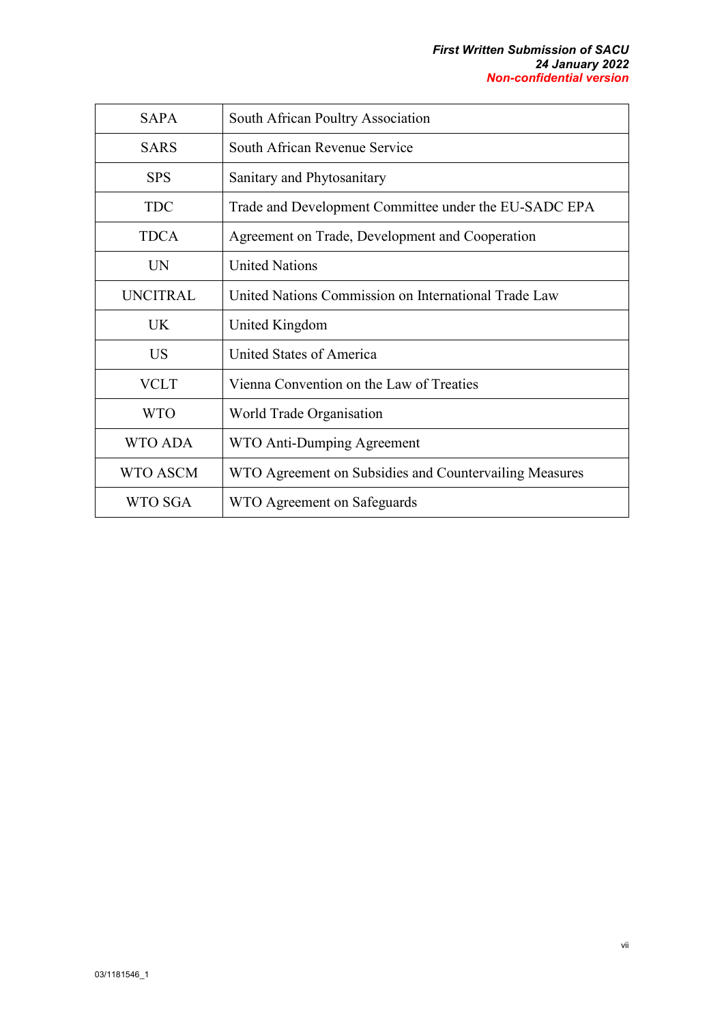| <b>SAPA</b>     | South African Poultry Association                      |  |  |
|-----------------|--------------------------------------------------------|--|--|
| <b>SARS</b>     | South African Revenue Service                          |  |  |
| <b>SPS</b>      | Sanitary and Phytosanitary                             |  |  |
| <b>TDC</b>      | Trade and Development Committee under the EU-SADC EPA  |  |  |
| <b>TDCA</b>     | Agreement on Trade, Development and Cooperation        |  |  |
| UN              | <b>United Nations</b>                                  |  |  |
| <b>UNCITRAL</b> | United Nations Commission on International Trade Law   |  |  |
|                 |                                                        |  |  |
| IJK             | United Kingdom                                         |  |  |
| US              | United States of America                               |  |  |
| VCLT            | Vienna Convention on the Law of Treaties               |  |  |
| <b>WTO</b>      | World Trade Organisation                               |  |  |
| WTO ADA         | WTO Anti-Dumping Agreement                             |  |  |
| WTO ASCM        | WTO Agreement on Subsidies and Countervailing Measures |  |  |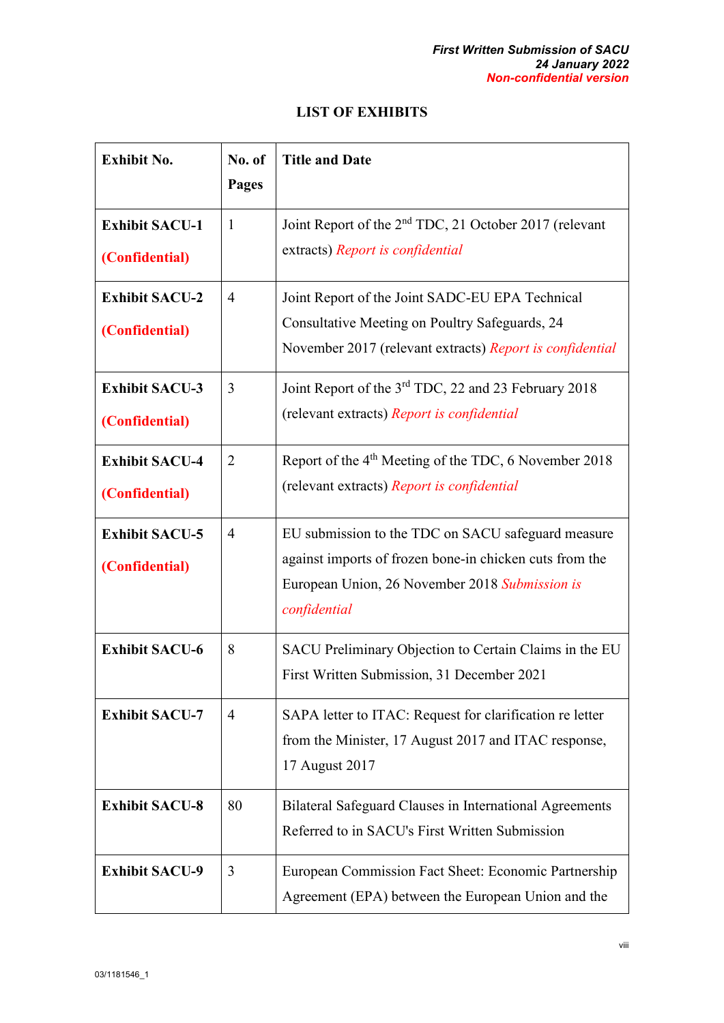## **LIST OF EXHIBITS**

<span id="page-8-0"></span>

| <b>Exhibit No.</b>                      | No. of<br><b>Pages</b> | <b>Title and Date</b>                                                                                                                                                           |
|-----------------------------------------|------------------------|---------------------------------------------------------------------------------------------------------------------------------------------------------------------------------|
| <b>Exhibit SACU-1</b><br>(Confidential) | 1                      | Joint Report of the 2 <sup>nd</sup> TDC, 21 October 2017 (relevant<br>extracts) Report is confidential                                                                          |
| <b>Exhibit SACU-2</b><br>(Confidential) | $\overline{4}$         | Joint Report of the Joint SADC-EU EPA Technical<br>Consultative Meeting on Poultry Safeguards, 24<br>November 2017 (relevant extracts) Report is confidential                   |
| <b>Exhibit SACU-3</b><br>(Confidential) | 3                      | Joint Report of the 3 <sup>rd</sup> TDC, 22 and 23 February 2018<br>(relevant extracts) Report is confidential                                                                  |
| <b>Exhibit SACU-4</b><br>(Confidential) | $\overline{2}$         | Report of the 4 <sup>th</sup> Meeting of the TDC, 6 November 2018<br>(relevant extracts) Report is confidential                                                                 |
| <b>Exhibit SACU-5</b><br>(Confidential) | $\overline{4}$         | EU submission to the TDC on SACU safeguard measure<br>against imports of frozen bone-in chicken cuts from the<br>European Union, 26 November 2018 Submission is<br>confidential |
| <b>Exhibit SACU-6</b>                   | 8                      | SACU Preliminary Objection to Certain Claims in the EU<br>First Written Submission, 31 December 2021                                                                            |
| <b>Exhibit SACU-7</b>                   | $\overline{4}$         | SAPA letter to ITAC: Request for clarification re letter<br>from the Minister, 17 August 2017 and ITAC response,<br>17 August 2017                                              |
| <b>Exhibit SACU-8</b>                   | 80                     | Bilateral Safeguard Clauses in International Agreements<br>Referred to in SACU's First Written Submission                                                                       |
| <b>Exhibit SACU-9</b>                   | 3                      | European Commission Fact Sheet: Economic Partnership<br>Agreement (EPA) between the European Union and the                                                                      |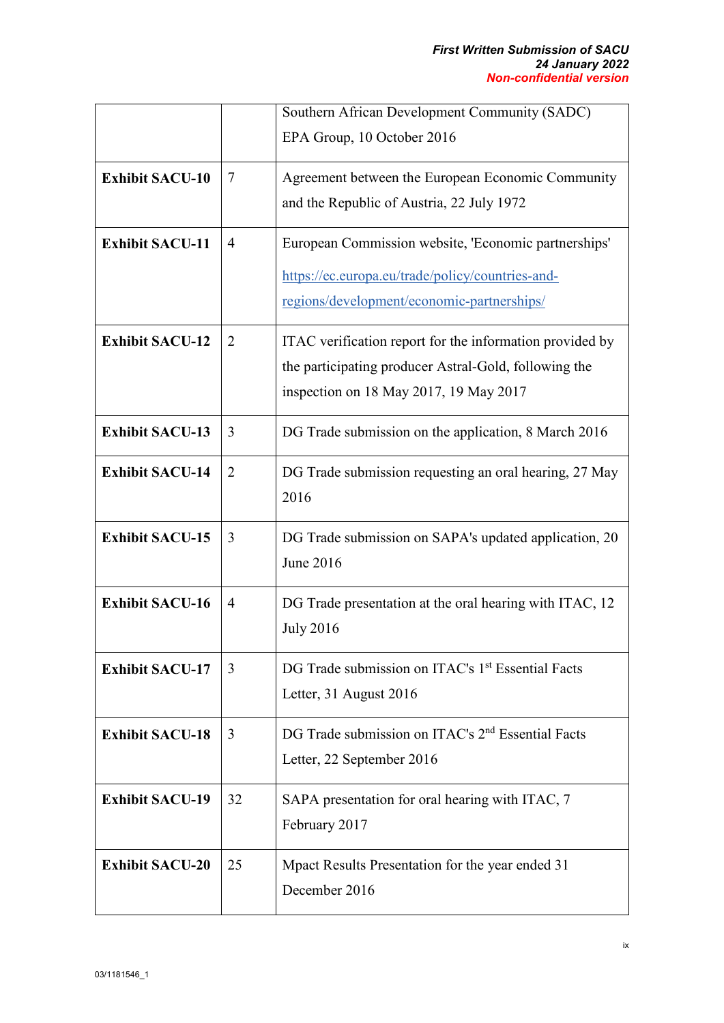|                        |                | Southern African Development Community (SADC)                 |
|------------------------|----------------|---------------------------------------------------------------|
|                        |                | EPA Group, 10 October 2016                                    |
| <b>Exhibit SACU-10</b> | 7              | Agreement between the European Economic Community             |
|                        |                | and the Republic of Austria, 22 July 1972                     |
| <b>Exhibit SACU-11</b> | 4              | European Commission website, 'Economic partnerships'          |
|                        |                | https://ec.europa.eu/trade/policy/countries-and-              |
|                        |                | regions/development/economic-partnerships/                    |
| <b>Exhibit SACU-12</b> | $\overline{2}$ | ITAC verification report for the information provided by      |
|                        |                | the participating producer Astral-Gold, following the         |
|                        |                | inspection on 18 May 2017, 19 May 2017                        |
| <b>Exhibit SACU-13</b> | 3              | DG Trade submission on the application, 8 March 2016          |
| <b>Exhibit SACU-14</b> | 2              | DG Trade submission requesting an oral hearing, 27 May        |
|                        |                | 2016                                                          |
| <b>Exhibit SACU-15</b> | 3              | DG Trade submission on SAPA's updated application, 20         |
|                        |                | June 2016                                                     |
| <b>Exhibit SACU-16</b> | 4              | DG Trade presentation at the oral hearing with ITAC, 12       |
|                        |                | <b>July 2016</b>                                              |
| <b>Exhibit SACU-17</b> | 3              | DG Trade submission on ITAC's 1 <sup>st</sup> Essential Facts |
|                        |                | Letter, 31 August 2016                                        |
| <b>Exhibit SACU-18</b> | 3              | DG Trade submission on ITAC's 2 <sup>nd</sup> Essential Facts |
|                        |                | Letter, 22 September 2016                                     |
| <b>Exhibit SACU-19</b> | 32             | SAPA presentation for oral hearing with ITAC, 7               |
|                        |                | February 2017                                                 |
| <b>Exhibit SACU-20</b> | 25             | Mpact Results Presentation for the year ended 31              |
|                        |                | December 2016                                                 |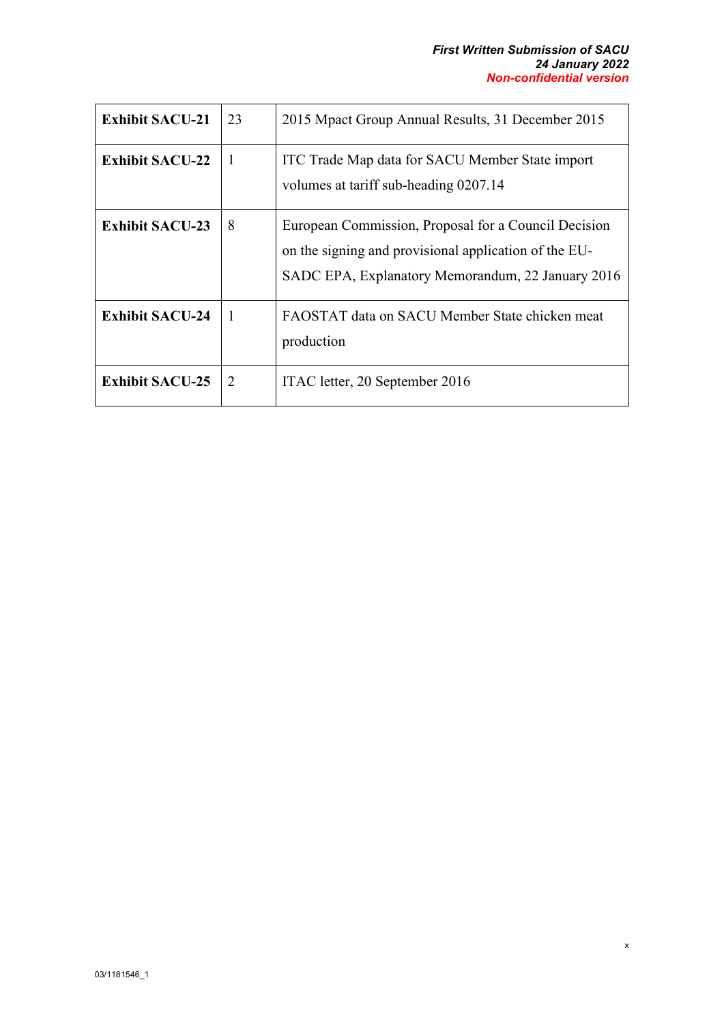x

| <b>Exhibit SACU-21</b> | 23 | 2015 Mpact Group Annual Results, 31 December 2015                                                                                                                  |
|------------------------|----|--------------------------------------------------------------------------------------------------------------------------------------------------------------------|
| <b>Exhibit SACU-22</b> | 1  | ITC Trade Map data for SACU Member State import<br>volumes at tariff sub-heading 0207.14                                                                           |
| <b>Exhibit SACU-23</b> | 8  | European Commission, Proposal for a Council Decision<br>on the signing and provisional application of the EU-<br>SADC EPA, Explanatory Memorandum, 22 January 2016 |
| <b>Exhibit SACU-24</b> | L  | FAOSTAT data on SACU Member State chicken meat<br>production                                                                                                       |
| <b>Exhibit SACU-25</b> | 2  | ITAC letter, 20 September 2016                                                                                                                                     |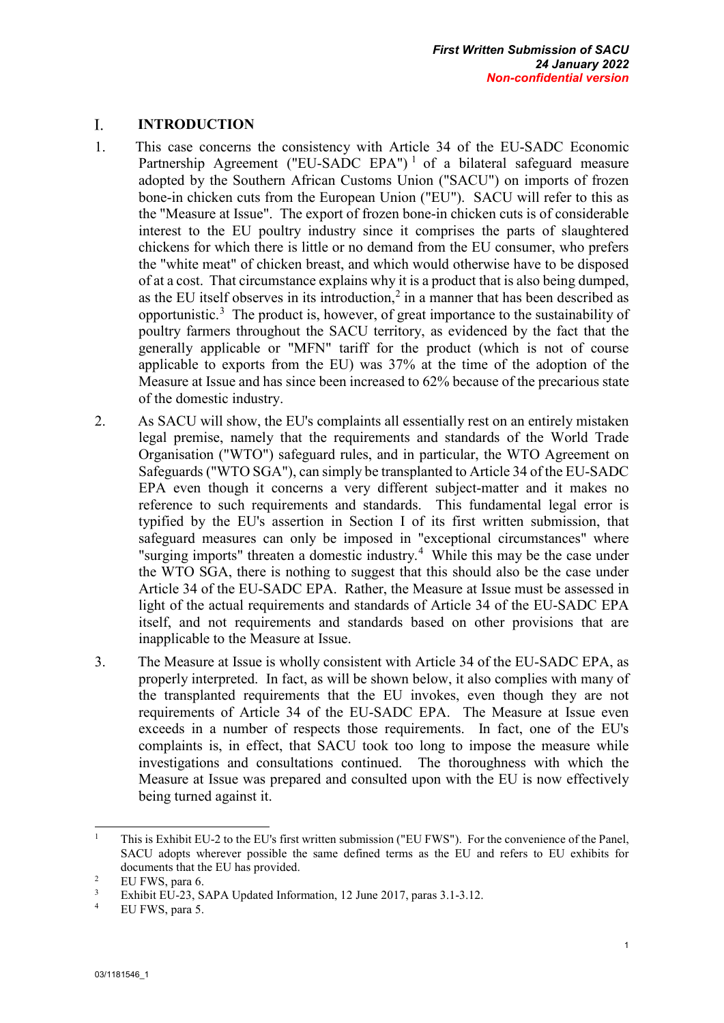#### <span id="page-11-0"></span>I. **INTRODUCTION**

- 1. This case concerns the consistency with Article 34 of the EU-SADC Economic Partnership Agreement ("EU-SADC EPA")<sup>[1](#page-11-1)</sup> of a bilateral safeguard measure adopted by the Southern African Customs Union ("SACU") on imports of frozen bone-in chicken cuts from the European Union ("EU"). SACU will refer to this as the "Measure at Issue". The export of frozen bone-in chicken cuts is of considerable interest to the EU poultry industry since it comprises the parts of slaughtered chickens for which there is little or no demand from the EU consumer, who prefers the "white meat" of chicken breast, and which would otherwise have to be disposed of at a cost. That circumstance explains why it is a product that is also being dumped, as the EU itself observes in its introduction,<sup>[2](#page-11-2)</sup> in a manner that has been described as opportunistic.<sup>[3](#page-11-3)</sup> The product is, however, of great importance to the sustainability of poultry farmers throughout the SACU territory, as evidenced by the fact that the generally applicable or "MFN" tariff for the product (which is not of course applicable to exports from the EU) was 37% at the time of the adoption of the Measure at Issue and has since been increased to 62% because of the precarious state of the domestic industry.
- 2. As SACU will show, the EU's complaints all essentially rest on an entirely mistaken legal premise, namely that the requirements and standards of the World Trade Organisation ("WTO") safeguard rules, and in particular, the WTO Agreement on Safeguards ("WTO SGA"), can simply be transplanted to Article 34 of the EU-SADC EPA even though it concerns a very different subject-matter and it makes no reference to such requirements and standards. This fundamental legal error is typified by the EU's assertion in Section I of its first written submission, that safeguard measures can only be imposed in "exceptional circumstances" where "surging imports" threaten a domestic industry.<sup>[4](#page-11-4)</sup> While this may be the case under the WTO SGA, there is nothing to suggest that this should also be the case under Article 34 of the EU-SADC EPA. Rather, the Measure at Issue must be assessed in light of the actual requirements and standards of Article 34 of the EU-SADC EPA itself, and not requirements and standards based on other provisions that are inapplicable to the Measure at Issue.
- 3. The Measure at Issue is wholly consistent with Article 34 of the EU-SADC EPA, as properly interpreted. In fact, as will be shown below, it also complies with many of the transplanted requirements that the EU invokes, even though they are not requirements of Article 34 of the EU-SADC EPA. The Measure at Issue even exceeds in a number of respects those requirements. In fact, one of the EU's complaints is, in effect, that SACU took too long to impose the measure while investigations and consultations continued. The thoroughness with which the Measure at Issue was prepared and consulted upon with the EU is now effectively being turned against it.

<span id="page-11-1"></span> $\mathbf{1}$ <sup>1</sup> This is Exhibit EU-2 to the EU's first written submission ("EU FWS"). For the convenience of the Panel, SACU adopts wherever possible the same defined terms as the EU and refers to EU exhibits for documents that the EU has provided.

<span id="page-11-3"></span><span id="page-11-2"></span><sup>&</sup>lt;sup>2</sup> EU FWS, para 6.<br><sup>3</sup> Exhibit EU-23, SAPA Updated Information, 12 June 2017, paras 3.1-3.12.<br><sup>4</sup> ELLEWS, para 5.

<span id="page-11-4"></span>EU FWS, para 5.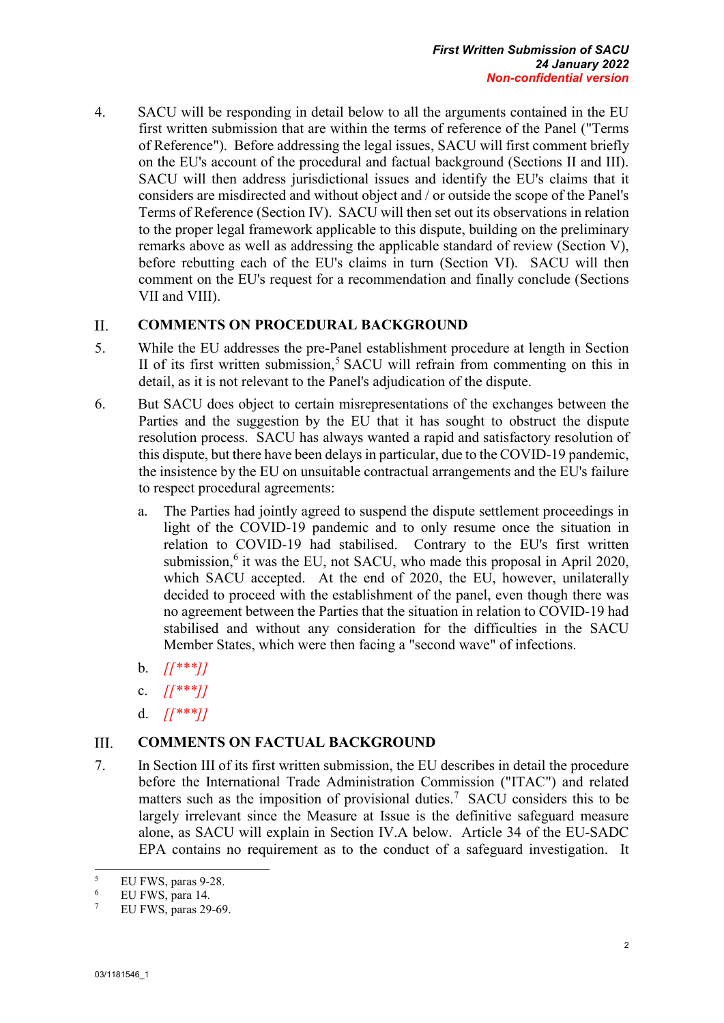4. SACU will be responding in detail below to all the arguments contained in the EU first written submission that are within the terms of reference of the Panel ("Terms of Reference"). Before addressing the legal issues, SACU will first comment briefly on the EU's account of the procedural and factual background (Sections II and III). SACU will then address jurisdictional issues and identify the EU's claims that it considers are misdirected and without object and / or outside the scope of the Panel's Terms of Reference (Section IV). SACU will then set out its observations in relation to the proper legal framework applicable to this dispute, building on the preliminary remarks above as well as addressing the applicable standard of review (Section V), before rebutting each of the EU's claims in turn (Section VI). SACU will then comment on the EU's request for a recommendation and finally conclude (Sections VII and VIII).

#### <span id="page-12-0"></span>II. **COMMENTS ON PROCEDURAL BACKGROUND**

- 5. While the EU addresses the pre-Panel establishment procedure at length in Section II of its first written submission, [5](#page-12-2) SACU will refrain from commenting on this in detail, as it is not relevant to the Panel's adjudication of the dispute.
- 6. But SACU does object to certain misrepresentations of the exchanges between the Parties and the suggestion by the EU that it has sought to obstruct the dispute resolution process. SACU has always wanted a rapid and satisfactory resolution of this dispute, but there have been delays in particular, due to the COVID-19 pandemic, the insistence by the EU on unsuitable contractual arrangements and the EU's failure to respect procedural agreements:
	- a. The Parties had jointly agreed to suspend the dispute settlement proceedings in light of the COVID-19 pandemic and to only resume once the situation in relation to COVID-19 had stabilised. Contrary to the EU's first written submission, $6$  it was the EU, not SACU, who made this proposal in April 2020, which SACU accepted. At the end of 2020, the EU, however, unilaterally decided to proceed with the establishment of the panel, even though there was no agreement between the Parties that the situation in relation to COVID-19 had stabilised and without any consideration for the difficulties in the SACU Member States, which were then facing a "second wave" of infections.
	- b. *[[\*\*\*]]*
	- c. *[[\*\*\*]]*
	- d. *[[\*\*\*]]*

#### <span id="page-12-1"></span>III. **COMMENTS ON FACTUAL BACKGROUND**

7. In Section III of its first written submission, the EU describes in detail the procedure before the International Trade Administration Commission ("ITAC") and related matters such as the imposition of provisional duties.<sup>[7](#page-12-4)</sup> SACU considers this to be largely irrelevant since the Measure at Issue is the definitive safeguard measure alone, as SACU will explain in Section IV.A below. Article 34 of the EU-SADC EPA contains no requirement as to the conduct of a safeguard investigation. It

<span id="page-12-2"></span> $\sqrt{5}$  $5$  EU FWS, paras 9-28.

<span id="page-12-4"></span><span id="page-12-3"></span> $^{6}$  EU FWS, para 14.

EU FWS, paras 29-69.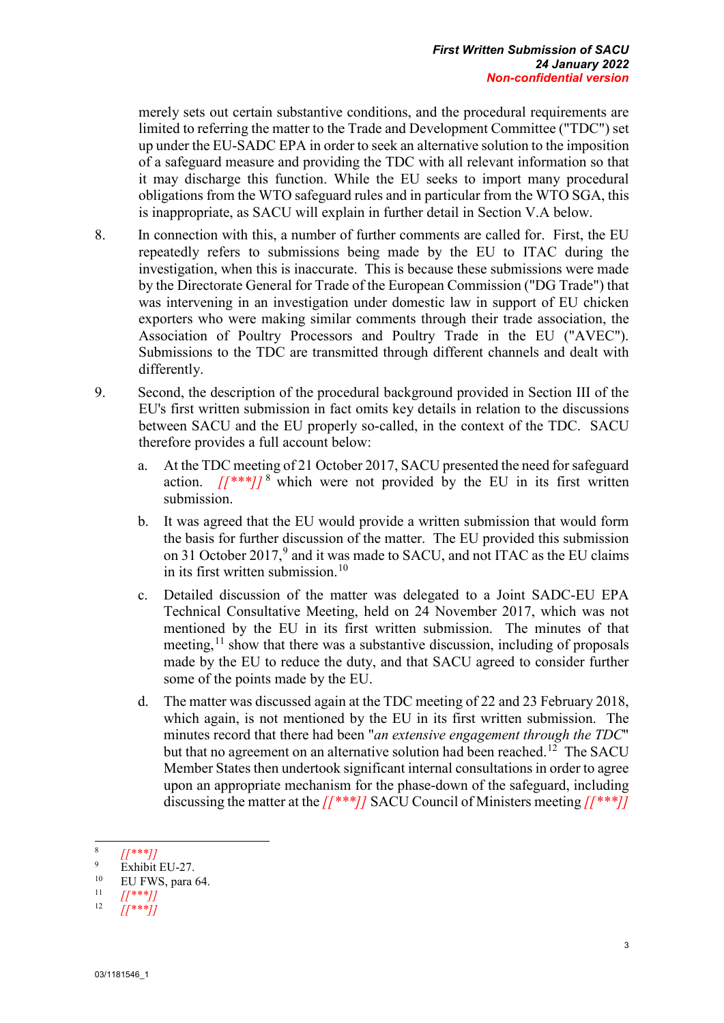merely sets out certain substantive conditions, and the procedural requirements are limited to referring the matter to the Trade and Development Committee ("TDC") set up under the EU-SADC EPA in order to seek an alternative solution to the imposition of a safeguard measure and providing the TDC with all relevant information so that it may discharge this function. While the EU seeks to import many procedural obligations from the WTO safeguard rules and in particular from the WTO SGA, this is inappropriate, as SACU will explain in further detail in Section V.A below.

- 8. In connection with this, a number of further comments are called for. First, the EU repeatedly refers to submissions being made by the EU to ITAC during the investigation, when this is inaccurate. This is because these submissions were made by the Directorate General for Trade of the European Commission ("DG Trade") that was intervening in an investigation under domestic law in support of EU chicken exporters who were making similar comments through their trade association, the Association of Poultry Processors and Poultry Trade in the EU ("AVEC"). Submissions to the TDC are transmitted through different channels and dealt with differently.
- 9. Second, the description of the procedural background provided in Section III of the EU's first written submission in fact omits key details in relation to the discussions between SACU and the EU properly so-called, in the context of the TDC. SACU therefore provides a full account below:
	- a. At the TDC meeting of 21 October 2017, SACU presented the need for safeguard action.  $/[A^{**}]/8$  $/[A^{**}]/8$  which were not provided by the EU in its first written submission.
	- b. It was agreed that the EU would provide a written submission that would form the basis for further discussion of the matter. The EU provided this submission on 31 October 2017,<sup>[9](#page-13-1)</sup> and it was made to SACU, and not ITAC as the EU claims in its first written submission.<sup>[10](#page-13-2)</sup>
	- c. Detailed discussion of the matter was delegated to a Joint SADC-EU EPA Technical Consultative Meeting, held on 24 November 2017, which was not mentioned by the EU in its first written submission. The minutes of that meeting,  $11$  show that there was a substantive discussion, including of proposals made by the EU to reduce the duty, and that SACU agreed to consider further some of the points made by the EU.
	- d. The matter was discussed again at the TDC meeting of 22 and 23 February 2018, which again, is not mentioned by the EU in its first written submission. The minutes record that there had been "*an extensive engagement through the TDC*" but that no agreement on an alternative solution had been reached.<sup>12</sup> The SACU Member States then undertook significant internal consultations in order to agree upon an appropriate mechanism for the phase-down of the safeguard, including discussing the matter at the *[[\*\*\*]]* SACU Council of Ministers meeting *[[\*\*\*]]*

-

<span id="page-13-1"></span><span id="page-13-0"></span> $\frac{8}{9}$   $\frac{[1***]}{10}$  Exhibit EU-27.

<span id="page-13-2"></span><sup>&</sup>lt;sup>10</sup> EU FWS, para 64.

<span id="page-13-4"></span><span id="page-13-3"></span><sup>11</sup> *[[\*\*\*]]* 12 *[[\*\*\*]]*

<sup>03/1181546</sup>\_1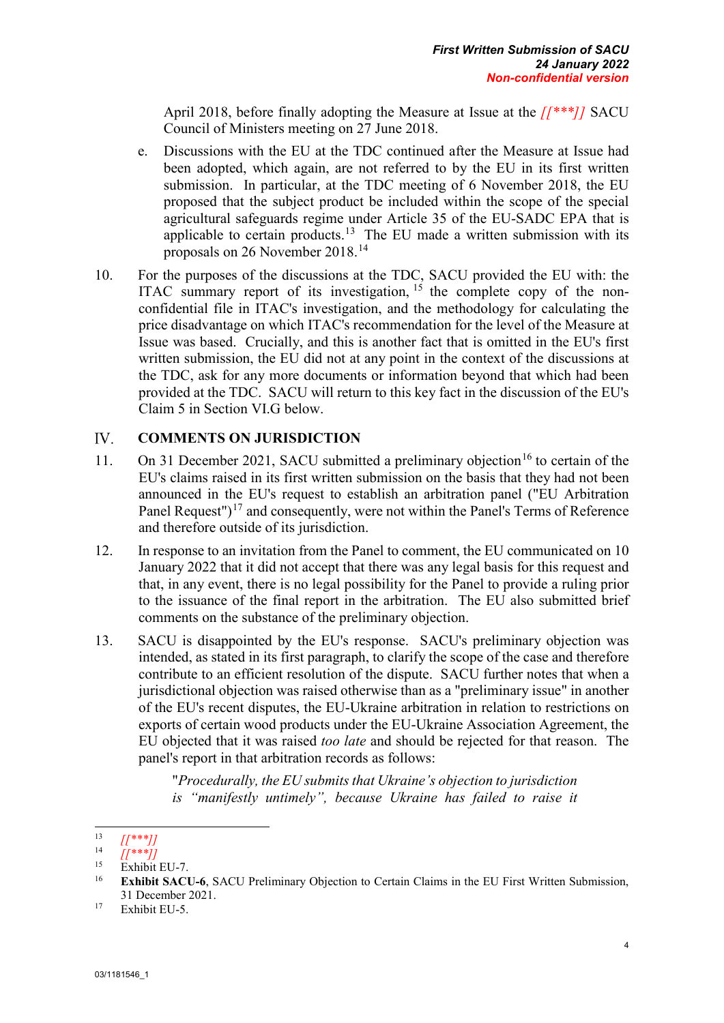April 2018, before finally adopting the Measure at Issue at the *[[\*\*\*]]* SACU Council of Ministers meeting on 27 June 2018.

- e. Discussions with the EU at the TDC continued after the Measure at Issue had been adopted, which again, are not referred to by the EU in its first written submission. In particular, at the TDC meeting of 6 November 2018, the EU proposed that the subject product be included within the scope of the special agricultural safeguards regime under Article 35 of the EU-SADC EPA that is applicable to certain products.<sup>[13](#page-14-1)</sup> The EU made a written submission with its proposals on 26 November 2018.[14](#page-14-2)
- 10. For the purposes of the discussions at the TDC, SACU provided the EU with: the ITAC summary report of its investigation, [15](#page-14-3) the complete copy of the nonconfidential file in ITAC's investigation, and the methodology for calculating the price disadvantage on which ITAC's recommendation for the level of the Measure at Issue was based. Crucially, and this is another fact that is omitted in the EU's first written submission, the EU did not at any point in the context of the discussions at the TDC, ask for any more documents or information beyond that which had been provided at the TDC. SACU will return to this key fact in the discussion of the EU's Claim 5 in Section VI.G below.

#### <span id="page-14-0"></span>**COMMENTS ON JURISDICTION** IV.

- 11. On 31 December 2021, SACU submitted a preliminary objection<sup>[16](#page-14-4)</sup> to certain of the EU's claims raised in its first written submission on the basis that they had not been announced in the EU's request to establish an arbitration panel ("EU Arbitration Panel Request")<sup>[17](#page-14-5)</sup> and consequently, were not within the Panel's Terms of Reference and therefore outside of its jurisdiction.
- 12. In response to an invitation from the Panel to comment, the EU communicated on 10 January 2022 that it did not accept that there was any legal basis for this request and that, in any event, there is no legal possibility for the Panel to provide a ruling prior to the issuance of the final report in the arbitration. The EU also submitted brief comments on the substance of the preliminary objection.
- 13. SACU is disappointed by the EU's response. SACU's preliminary objection was intended, as stated in its first paragraph, to clarify the scope of the case and therefore contribute to an efficient resolution of the dispute. SACU further notes that when a jurisdictional objection was raised otherwise than as a "preliminary issue" in another of the EU's recent disputes, the EU-Ukraine arbitration in relation to restrictions on exports of certain wood products under the EU-Ukraine Association Agreement, the EU objected that it was raised *too late* and should be rejected for that reason. The panel's report in that arbitration records as follows:

"*Procedurally, the EU submits that Ukraine's objection to jurisdiction is "manifestly untimely", because Ukraine has failed to raise it* 

<span id="page-14-1"></span><sup>13</sup> 13 *[[*\*\*\**]]*<br>14 *[[*\*\*\**]]* 

<span id="page-14-3"></span><span id="page-14-2"></span> $^{15}$  Exhibit EU-7.

<span id="page-14-4"></span><sup>16</sup> **Exhibit SACU-6**, SACU Preliminary Objection to Certain Claims in the EU First Written Submission, 31 December 2021.

<span id="page-14-5"></span><sup>&</sup>lt;sup>17</sup> Exhibit EU-5.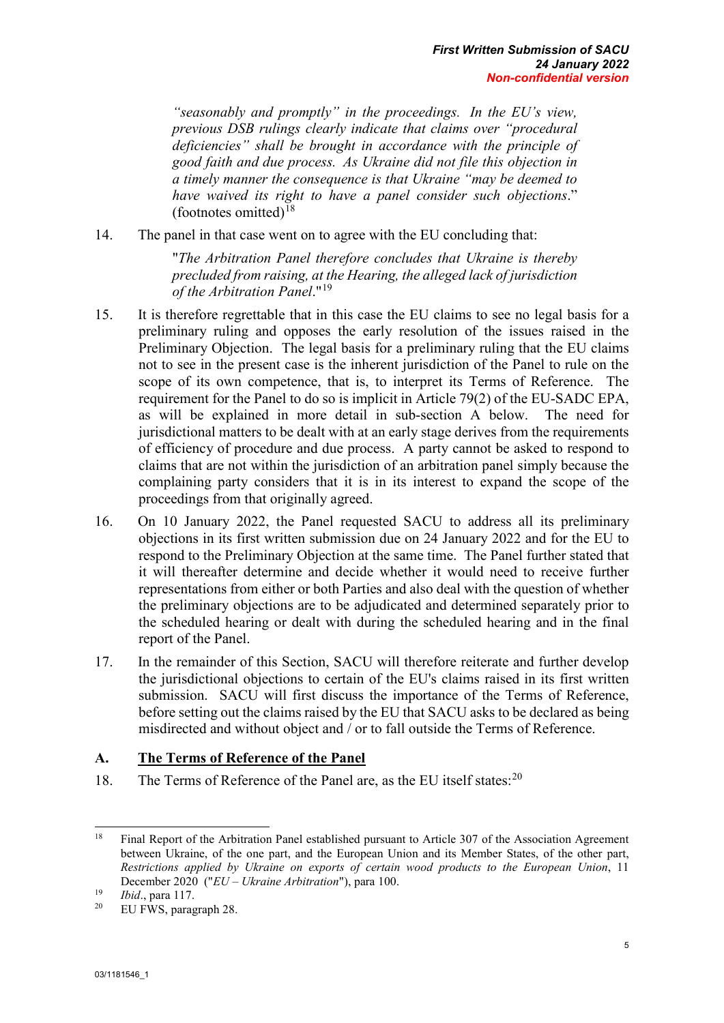*"seasonably and promptly" in the proceedings. In the EU's view, previous DSB rulings clearly indicate that claims over "procedural deficiencies" shall be brought in accordance with the principle of good faith and due process. As Ukraine did not file this objection in a timely manner the consequence is that Ukraine "may be deemed to have waived its right to have a panel consider such objections*." (footnotes omitted) $18$ 

14. The panel in that case went on to agree with the EU concluding that:

"*The Arbitration Panel therefore concludes that Ukraine is thereby precluded from raising, at the Hearing, the alleged lack of jurisdiction of the Arbitration Panel*."[19](#page-15-2)

- 15. It is therefore regrettable that in this case the EU claims to see no legal basis for a preliminary ruling and opposes the early resolution of the issues raised in the Preliminary Objection. The legal basis for a preliminary ruling that the EU claims not to see in the present case is the inherent jurisdiction of the Panel to rule on the scope of its own competence, that is, to interpret its Terms of Reference. The requirement for the Panel to do so is implicit in Article 79(2) of the EU-SADC EPA, as will be explained in more detail in sub-section A below. The need for jurisdictional matters to be dealt with at an early stage derives from the requirements of efficiency of procedure and due process. A party cannot be asked to respond to claims that are not within the jurisdiction of an arbitration panel simply because the complaining party considers that it is in its interest to expand the scope of the proceedings from that originally agreed.
- 16. On 10 January 2022, the Panel requested SACU to address all its preliminary objections in its first written submission due on 24 January 2022 and for the EU to respond to the Preliminary Objection at the same time. The Panel further stated that it will thereafter determine and decide whether it would need to receive further representations from either or both Parties and also deal with the question of whether the preliminary objections are to be adjudicated and determined separately prior to the scheduled hearing or dealt with during the scheduled hearing and in the final report of the Panel.
- 17. In the remainder of this Section, SACU will therefore reiterate and further develop the jurisdictional objections to certain of the EU's claims raised in its first written submission. SACU will first discuss the importance of the Terms of Reference, before setting out the claims raised by the EU that SACU asks to be declared as being misdirected and without object and / or to fall outside the Terms of Reference.

### <span id="page-15-0"></span>**A. The Terms of Reference of the Panel**

18. The Terms of Reference of the Panel are, as the EU itself states:<sup>[20](#page-15-3)</sup>

<span id="page-15-1"></span><sup>18</sup> <sup>18</sup> Final Report of the Arbitration Panel established pursuant to Article 307 of the Association Agreement between Ukraine, of the one part, and the European Union and its Member States, of the other part, *Restrictions applied by Ukraine on exports of certain wood products to the European Union*, 11 December 2020 ("*EU – Ukraine Arbitration*"), para 100.<br>
<sup>19</sup> *Ibid.*, para 117.<br>
<sup>20</sup> EU EWS paragraph 28

<span id="page-15-2"></span>

<span id="page-15-3"></span>EU FWS, paragraph 28.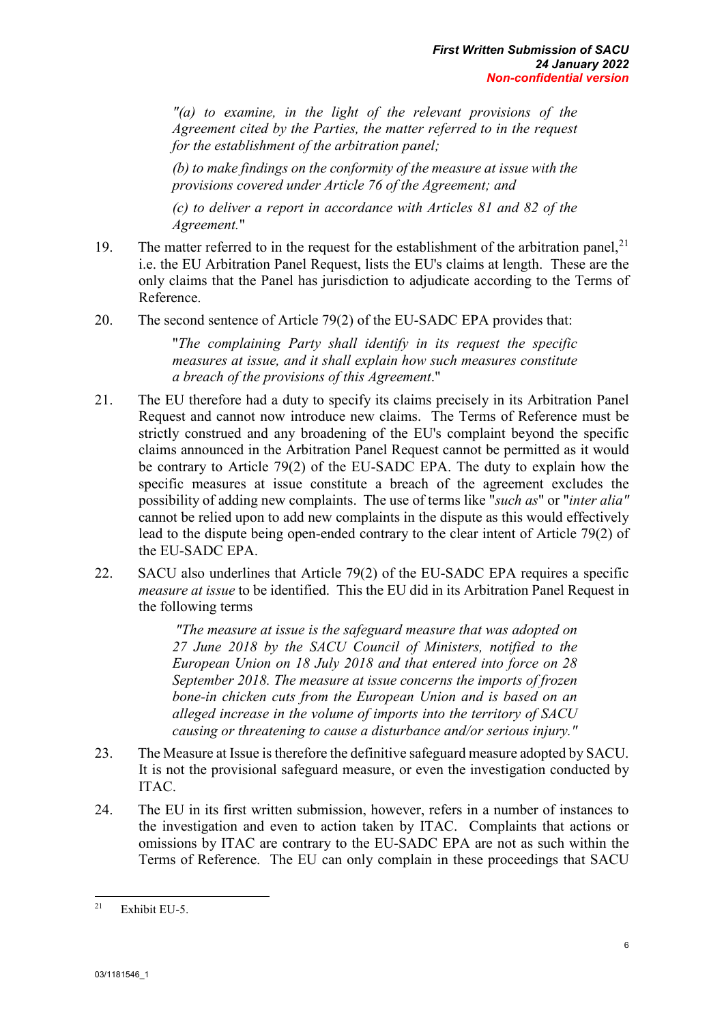*"(a) to examine, in the light of the relevant provisions of the Agreement cited by the Parties, the matter referred to in the request for the establishment of the arbitration panel;* 

*(b) to make findings on the conformity of the measure at issue with the provisions covered under Article 76 of the Agreement; and* 

*(c) to deliver a report in accordance with Articles 81 and 82 of the Agreement.*"

- 19. The matter referred to in the request for the establishment of the arbitration panel,  $2<sup>1</sup>$ i.e. the EU Arbitration Panel Request, lists the EU's claims at length. These are the only claims that the Panel has jurisdiction to adjudicate according to the Terms of Reference.
- 20. The second sentence of Article 79(2) of the EU-SADC EPA provides that:

"*The complaining Party shall identify in its request the specific measures at issue, and it shall explain how such measures constitute a breach of the provisions of this Agreement*."

- 21. The EU therefore had a duty to specify its claims precisely in its Arbitration Panel Request and cannot now introduce new claims. The Terms of Reference must be strictly construed and any broadening of the EU's complaint beyond the specific claims announced in the Arbitration Panel Request cannot be permitted as it would be contrary to Article 79(2) of the EU-SADC EPA. The duty to explain how the specific measures at issue constitute a breach of the agreement excludes the possibility of adding new complaints. The use of terms like "*such as*" or "*inter alia"*  cannot be relied upon to add new complaints in the dispute as this would effectively lead to the dispute being open-ended contrary to the clear intent of Article 79(2) of the EU-SADC EPA.
- 22. SACU also underlines that Article 79(2) of the EU-SADC EPA requires a specific *measure at issue* to be identified. This the EU did in its Arbitration Panel Request in the following terms

*"The measure at issue is the safeguard measure that was adopted on 27 June 2018 by the SACU Council of Ministers, notified to the European Union on 18 July 2018 and that entered into force on 28 September 2018. The measure at issue concerns the imports of frozen bone-in chicken cuts from the European Union and is based on an alleged increase in the volume of imports into the territory of SACU causing or threatening to cause a disturbance and/or serious injury."*

- 23. The Measure at Issue is therefore the definitive safeguard measure adopted by SACU. It is not the provisional safeguard measure, or even the investigation conducted by ITAC.
- 24. The EU in its first written submission, however, refers in a number of instances to the investigation and even to action taken by ITAC. Complaints that actions or omissions by ITAC are contrary to the EU-SADC EPA are not as such within the Terms of Reference. The EU can only complain in these proceedings that SACU

<span id="page-16-0"></span><sup>21</sup> Exhibit EU-5.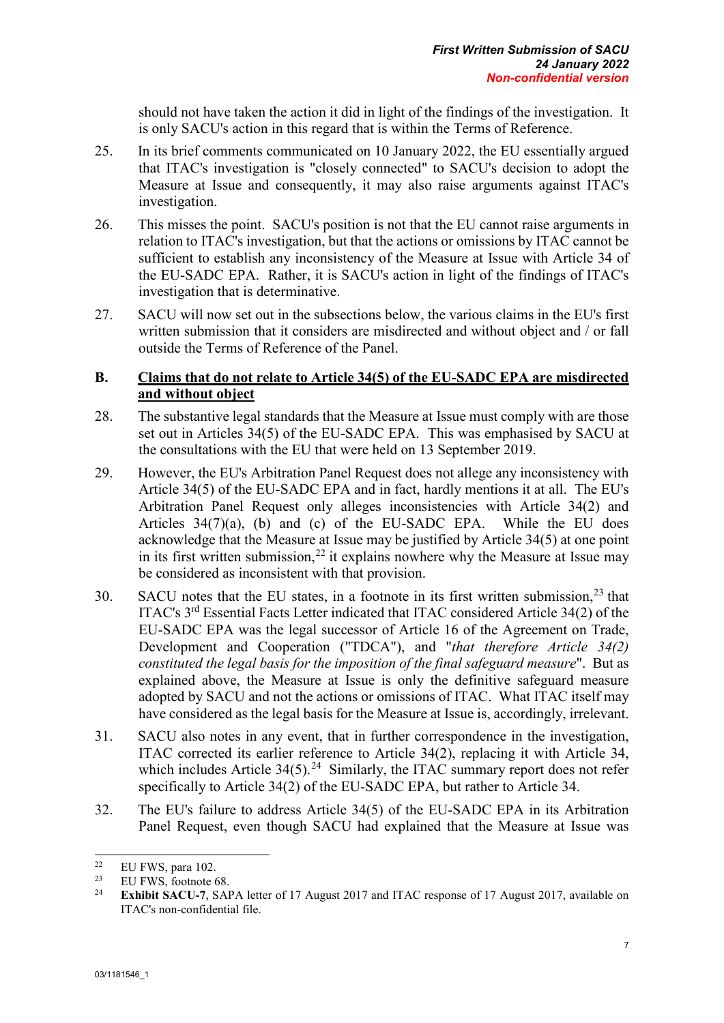should not have taken the action it did in light of the findings of the investigation. It is only SACU's action in this regard that is within the Terms of Reference.

- 25. In its brief comments communicated on 10 January 2022, the EU essentially argued that ITAC's investigation is "closely connected" to SACU's decision to adopt the Measure at Issue and consequently, it may also raise arguments against ITAC's investigation.
- 26. This misses the point. SACU's position is not that the EU cannot raise arguments in relation to ITAC's investigation, but that the actions or omissions by ITAC cannot be sufficient to establish any inconsistency of the Measure at Issue with Article 34 of the EU-SADC EPA. Rather, it is SACU's action in light of the findings of ITAC's investigation that is determinative.
- 27. SACU will now set out in the subsections below, the various claims in the EU's first written submission that it considers are misdirected and without object and / or fall outside the Terms of Reference of the Panel.

### <span id="page-17-0"></span>**B. Claims that do not relate to Article 34(5) of the EU-SADC EPA are misdirected and without object**

- 28. The substantive legal standards that the Measure at Issue must comply with are those set out in Articles 34(5) of the EU-SADC EPA. This was emphasised by SACU at the consultations with the EU that were held on 13 September 2019.
- 29. However, the EU's Arbitration Panel Request does not allege any inconsistency with Article 34(5) of the EU-SADC EPA and in fact, hardly mentions it at all. The EU's Arbitration Panel Request only alleges inconsistencies with Article 34(2) and Articles 34(7)(a), (b) and (c) of the EU-SADC EPA. While the EU does acknowledge that the Measure at Issue may be justified by Article 34(5) at one point in its first written submission,<sup>[22](#page-17-1)</sup> it explains nowhere why the Measure at Issue may be considered as inconsistent with that provision.
- 30. SACU notes that the EU states, in a footnote in its first written submission,  $2^3$  that ITAC's 3rd Essential Facts Letter indicated that ITAC considered Article 34(2) of the EU-SADC EPA was the legal successor of Article 16 of the Agreement on Trade, Development and Cooperation ("TDCA"), and "*that therefore Article 34(2) constituted the legal basis for the imposition of the final safeguard measure*". But as explained above, the Measure at Issue is only the definitive safeguard measure adopted by SACU and not the actions or omissions of ITAC. What ITAC itself may have considered as the legal basis for the Measure at Issue is, accordingly, irrelevant.
- 31. SACU also notes in any event, that in further correspondence in the investigation, ITAC corrected its earlier reference to Article 34(2), replacing it with Article 34, which includes Article  $34(5)$ .<sup>[24](#page-17-3)</sup> Similarly, the ITAC summary report does not refer specifically to Article 34(2) of the EU-SADC EPA, but rather to Article 34.
- 32. The EU's failure to address Article 34(5) of the EU-SADC EPA in its Arbitration Panel Request, even though SACU had explained that the Measure at Issue was

<span id="page-17-1"></span><sup>22</sup> <sup>22</sup> EU FWS, para 102.

<span id="page-17-3"></span><span id="page-17-2"></span><sup>&</sup>lt;sup>23</sup> EU FWS, footnote 68.<br><sup>24</sup> E<sub>F</sub>hibit SACU 7. SAI

<sup>24</sup> **Exhibit SACU-7**, SAPA letter of 17 August 2017 and ITAC response of 17 August 2017, available on ITAC's non-confidential file.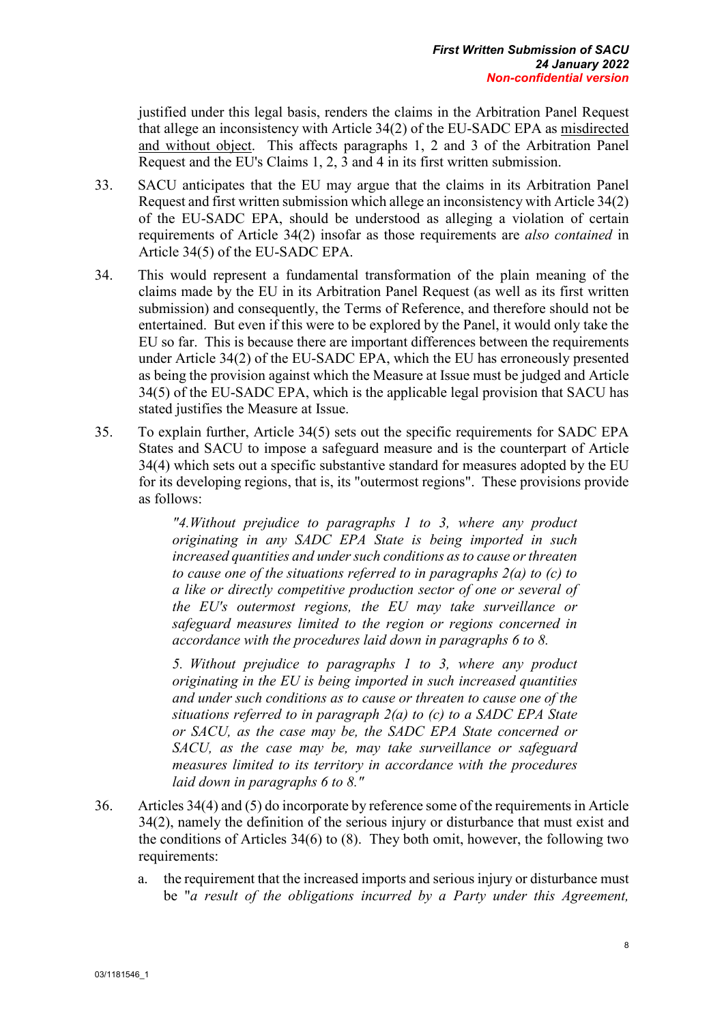justified under this legal basis, renders the claims in the Arbitration Panel Request that allege an inconsistency with Article 34(2) of the EU-SADC EPA as misdirected and without object. This affects paragraphs 1, 2 and 3 of the Arbitration Panel Request and the EU's Claims 1, 2, 3 and 4 in its first written submission.

- 33. SACU anticipates that the EU may argue that the claims in its Arbitration Panel Request and first written submission which allege an inconsistency with Article 34(2) of the EU-SADC EPA, should be understood as alleging a violation of certain requirements of Article 34(2) insofar as those requirements are *also contained* in Article 34(5) of the EU-SADC EPA.
- 34. This would represent a fundamental transformation of the plain meaning of the claims made by the EU in its Arbitration Panel Request (as well as its first written submission) and consequently, the Terms of Reference, and therefore should not be entertained. But even if this were to be explored by the Panel, it would only take the EU so far. This is because there are important differences between the requirements under Article 34(2) of the EU-SADC EPA, which the EU has erroneously presented as being the provision against which the Measure at Issue must be judged and Article 34(5) of the EU-SADC EPA, which is the applicable legal provision that SACU has stated justifies the Measure at Issue.
- 35. To explain further, Article 34(5) sets out the specific requirements for SADC EPA States and SACU to impose a safeguard measure and is the counterpart of Article 34(4) which sets out a specific substantive standard for measures adopted by the EU for its developing regions, that is, its "outermost regions". These provisions provide as follows:

*"4.Without prejudice to paragraphs 1 to 3, where any product originating in any SADC EPA State is being imported in such increased quantities and under such conditions as to cause or threaten to cause one of the situations referred to in paragraphs 2(a) to (c) to a like or directly competitive production sector of one or several of the EU's outermost regions, the EU may take surveillance or safeguard measures limited to the region or regions concerned in accordance with the procedures laid down in paragraphs 6 to 8.* 

*5. Without prejudice to paragraphs 1 to 3, where any product originating in the EU is being imported in such increased quantities and under such conditions as to cause or threaten to cause one of the situations referred to in paragraph 2(a) to (c) to a SADC EPA State or SACU, as the case may be, the SADC EPA State concerned or SACU, as the case may be, may take surveillance or safeguard measures limited to its territory in accordance with the procedures laid down in paragraphs 6 to 8."*

- 36. Articles 34(4) and (5) do incorporate by reference some of the requirements in Article 34(2), namely the definition of the serious injury or disturbance that must exist and the conditions of Articles 34(6) to (8). They both omit, however, the following two requirements:
	- a. the requirement that the increased imports and serious injury or disturbance must be "*a result of the obligations incurred by a Party under this Agreement,*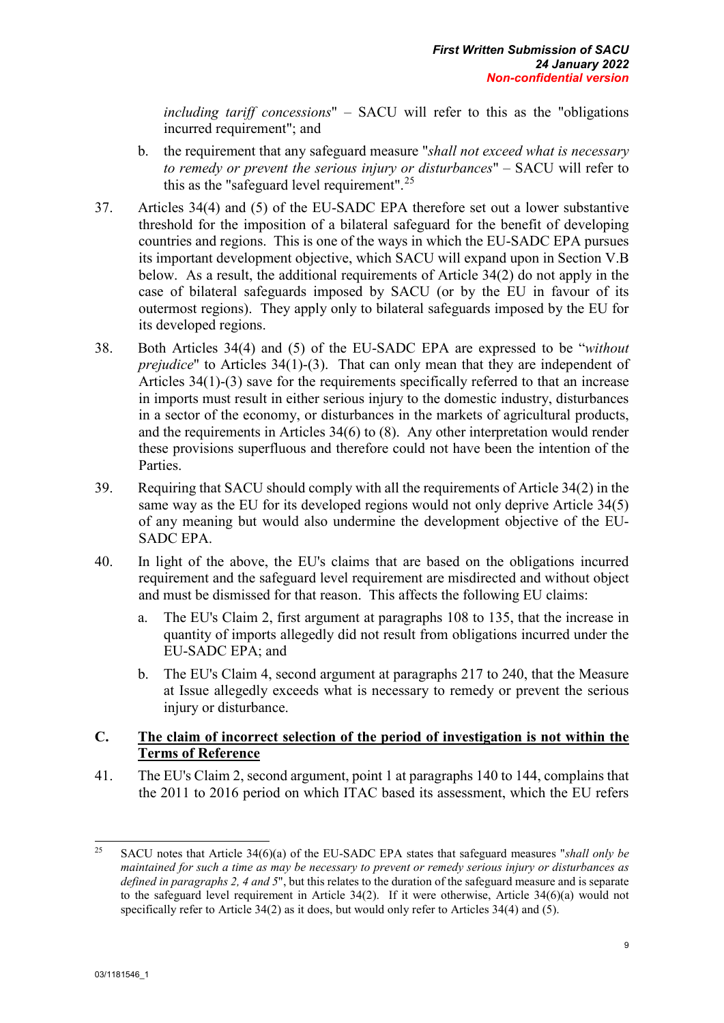*including tariff concessions*" – SACU will refer to this as the "obligations incurred requirement"; and

- b. the requirement that any safeguard measure "*shall not exceed what is necessary to remedy or prevent the serious injury or disturbances*" – SACU will refer to this as the "safeguard level requirement".<sup>[25](#page-19-1)</sup>
- 37. Articles 34(4) and (5) of the EU-SADC EPA therefore set out a lower substantive threshold for the imposition of a bilateral safeguard for the benefit of developing countries and regions. This is one of the ways in which the EU-SADC EPA pursues its important development objective, which SACU will expand upon in Section V.B below. As a result, the additional requirements of Article 34(2) do not apply in the case of bilateral safeguards imposed by SACU (or by the EU in favour of its outermost regions). They apply only to bilateral safeguards imposed by the EU for its developed regions.
- 38. Both Articles 34(4) and (5) of the EU-SADC EPA are expressed to be "*without prejudice*" to Articles 34(1)-(3). That can only mean that they are independent of Articles 34(1)-(3) save for the requirements specifically referred to that an increase in imports must result in either serious injury to the domestic industry, disturbances in a sector of the economy, or disturbances in the markets of agricultural products, and the requirements in Articles 34(6) to (8). Any other interpretation would render these provisions superfluous and therefore could not have been the intention of the Parties.
- 39. Requiring that SACU should comply with all the requirements of Article 34(2) in the same way as the EU for its developed regions would not only deprive Article 34(5) of any meaning but would also undermine the development objective of the EU-SADC EPA.
- 40. In light of the above, the EU's claims that are based on the obligations incurred requirement and the safeguard level requirement are misdirected and without object and must be dismissed for that reason. This affects the following EU claims:
	- a. The EU's Claim 2, first argument at paragraphs 108 to 135, that the increase in quantity of imports allegedly did not result from obligations incurred under the EU-SADC EPA; and
	- b. The EU's Claim 4, second argument at paragraphs 217 to 240, that the Measure at Issue allegedly exceeds what is necessary to remedy or prevent the serious injury or disturbance.

### <span id="page-19-0"></span>**C. The claim of incorrect selection of the period of investigation is not within the Terms of Reference**

41. The EU's Claim 2, second argument, point 1 at paragraphs 140 to 144, complains that the 2011 to 2016 period on which ITAC based its assessment, which the EU refers

<span id="page-19-1"></span><sup>25</sup> <sup>25</sup> SACU notes that Article 34(6)(a) of the EU-SADC EPA states that safeguard measures "*shall only be maintained for such a time as may be necessary to prevent or remedy serious injury or disturbances as defined in paragraphs 2, 4 and 5*", but this relates to the duration of the safeguard measure and is separate to the safeguard level requirement in Article 34(2). If it were otherwise, Article 34(6)(a) would not specifically refer to Article 34(2) as it does, but would only refer to Articles 34(4) and (5).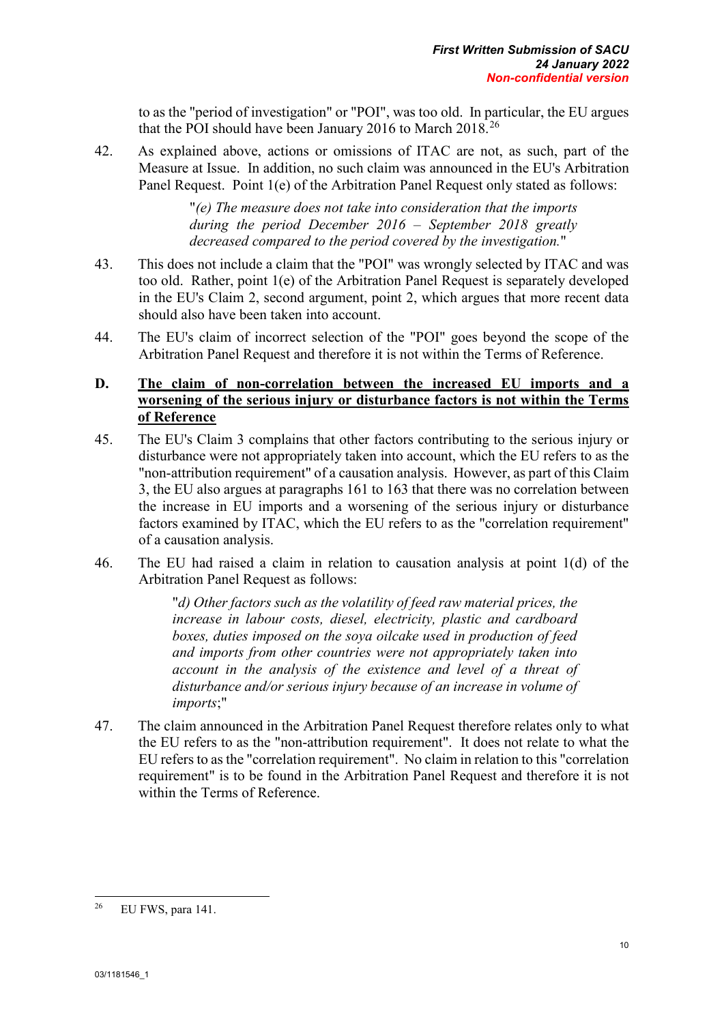to as the "period of investigation" or "POI", was too old. In particular, the EU argues that the POI should have been January 2016 to March 2018.[26](#page-20-1)

42. As explained above, actions or omissions of ITAC are not, as such, part of the Measure at Issue. In addition, no such claim was announced in the EU's Arbitration Panel Request. Point 1(e) of the Arbitration Panel Request only stated as follows:

> "*(e) The measure does not take into consideration that the imports during the period December 2016 – September 2018 greatly decreased compared to the period covered by the investigation.*"

- 43. This does not include a claim that the "POI" was wrongly selected by ITAC and was too old. Rather, point 1(e) of the Arbitration Panel Request is separately developed in the EU's Claim 2, second argument, point 2, which argues that more recent data should also have been taken into account.
- 44. The EU's claim of incorrect selection of the "POI" goes beyond the scope of the Arbitration Panel Request and therefore it is not within the Terms of Reference.

### <span id="page-20-0"></span>**D. The claim of non-correlation between the increased EU imports and a worsening of the serious injury or disturbance factors is not within the Terms of Reference**

- 45. The EU's Claim 3 complains that other factors contributing to the serious injury or disturbance were not appropriately taken into account, which the EU refers to as the "non-attribution requirement" of a causation analysis. However, as part of this Claim 3, the EU also argues at paragraphs 161 to 163 that there was no correlation between the increase in EU imports and a worsening of the serious injury or disturbance factors examined by ITAC, which the EU refers to as the "correlation requirement" of a causation analysis.
- 46. The EU had raised a claim in relation to causation analysis at point 1(d) of the Arbitration Panel Request as follows:

"*d) Other factors such as the volatility of feed raw material prices, the increase in labour costs, diesel, electricity, plastic and cardboard boxes, duties imposed on the soya oilcake used in production of feed and imports from other countries were not appropriately taken into account in the analysis of the existence and level of a threat of disturbance and/or serious injury because of an increase in volume of imports*;"

47. The claim announced in the Arbitration Panel Request therefore relates only to what the EU refers to as the "non-attribution requirement". It does not relate to what the EU refers to as the "correlation requirement". No claim in relation to this "correlation requirement" is to be found in the Arbitration Panel Request and therefore it is not within the Terms of Reference.

<span id="page-20-1"></span><sup>26</sup> EU FWS, para 141.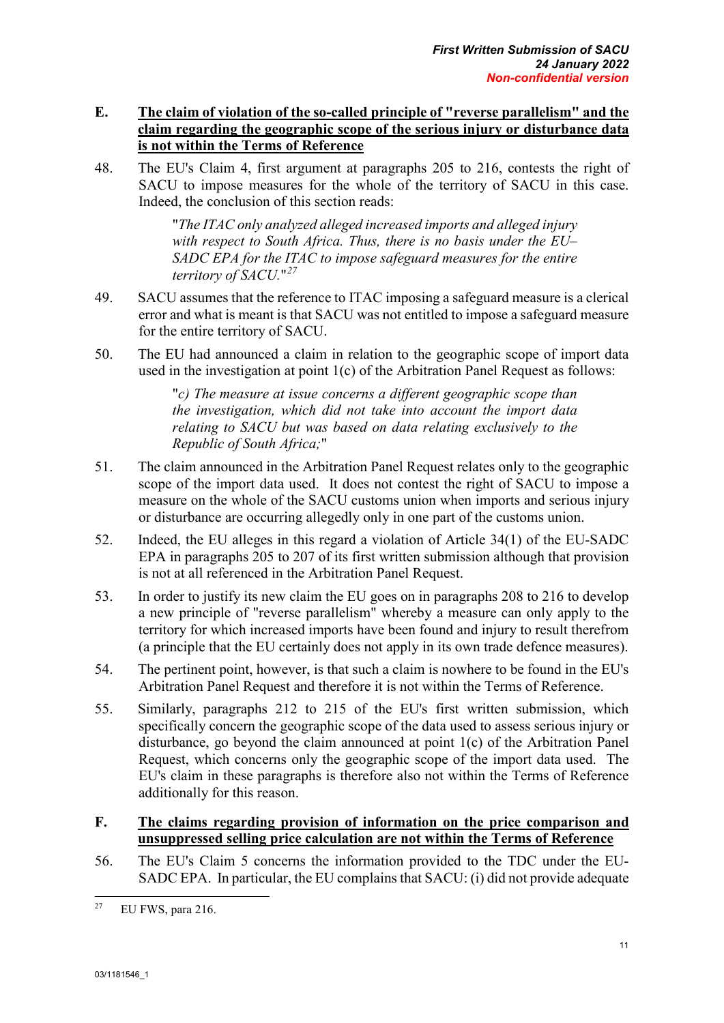### <span id="page-21-0"></span>**E. The claim of violation of the so-called principle of "reverse parallelism" and the claim regarding the geographic scope of the serious injury or disturbance data is not within the Terms of Reference**

48. The EU's Claim 4, first argument at paragraphs 205 to 216, contests the right of SACU to impose measures for the whole of the territory of SACU in this case. Indeed, the conclusion of this section reads:

> "*The ITAC only analyzed alleged increased imports and alleged injury with respect to South Africa. Thus, there is no basis under the EU– SADC EPA for the ITAC to impose safeguard measures for the entire territory of SACU.*"*[27](#page-21-2)*

- 49. SACU assumes that the reference to ITAC imposing a safeguard measure is a clerical error and what is meant is that SACU was not entitled to impose a safeguard measure for the entire territory of SACU.
- 50. The EU had announced a claim in relation to the geographic scope of import data used in the investigation at point 1(c) of the Arbitration Panel Request as follows:

"*c) The measure at issue concerns a different geographic scope than the investigation, which did not take into account the import data relating to SACU but was based on data relating exclusively to the Republic of South Africa;*"

- 51. The claim announced in the Arbitration Panel Request relates only to the geographic scope of the import data used. It does not contest the right of SACU to impose a measure on the whole of the SACU customs union when imports and serious injury or disturbance are occurring allegedly only in one part of the customs union.
- 52. Indeed, the EU alleges in this regard a violation of Article 34(1) of the EU-SADC EPA in paragraphs 205 to 207 of its first written submission although that provision is not at all referenced in the Arbitration Panel Request.
- 53. In order to justify its new claim the EU goes on in paragraphs 208 to 216 to develop a new principle of "reverse parallelism" whereby a measure can only apply to the territory for which increased imports have been found and injury to result therefrom (a principle that the EU certainly does not apply in its own trade defence measures).
- 54. The pertinent point, however, is that such a claim is nowhere to be found in the EU's Arbitration Panel Request and therefore it is not within the Terms of Reference.
- 55. Similarly, paragraphs 212 to 215 of the EU's first written submission, which specifically concern the geographic scope of the data used to assess serious injury or disturbance, go beyond the claim announced at point 1(c) of the Arbitration Panel Request, which concerns only the geographic scope of the import data used. The EU's claim in these paragraphs is therefore also not within the Terms of Reference additionally for this reason.

### <span id="page-21-1"></span>**F. The claims regarding provision of information on the price comparison and unsuppressed selling price calculation are not within the Terms of Reference**

56. The EU's Claim 5 concerns the information provided to the TDC under the EU-SADC EPA. In particular, the EU complains that SACU: (i) did not provide adequate

<span id="page-21-2"></span><sup>27</sup> EU FWS, para 216.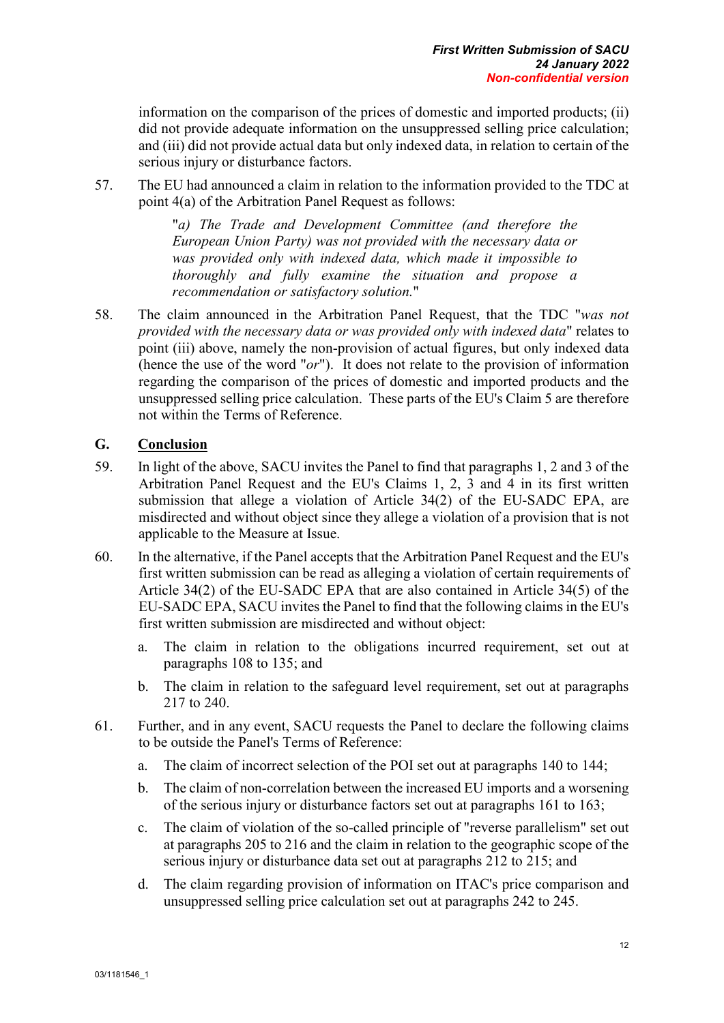information on the comparison of the prices of domestic and imported products; (ii) did not provide adequate information on the unsuppressed selling price calculation; and (iii) did not provide actual data but only indexed data, in relation to certain of the serious injury or disturbance factors.

57. The EU had announced a claim in relation to the information provided to the TDC at point 4(a) of the Arbitration Panel Request as follows:

> "*a) The Trade and Development Committee (and therefore the European Union Party) was not provided with the necessary data or was provided only with indexed data, which made it impossible to thoroughly and fully examine the situation and propose a recommendation or satisfactory solution.*"

58. The claim announced in the Arbitration Panel Request, that the TDC "*was not provided with the necessary data or was provided only with indexed data*" relates to point (iii) above, namely the non-provision of actual figures, but only indexed data (hence the use of the word "*or*"). It does not relate to the provision of information regarding the comparison of the prices of domestic and imported products and the unsuppressed selling price calculation. These parts of the EU's Claim 5 are therefore not within the Terms of Reference.

### <span id="page-22-0"></span>**G. Conclusion**

- 59. In light of the above, SACU invites the Panel to find that paragraphs 1, 2 and 3 of the Arbitration Panel Request and the EU's Claims 1, 2, 3 and 4 in its first written submission that allege a violation of Article 34(2) of the EU-SADC EPA, are misdirected and without object since they allege a violation of a provision that is not applicable to the Measure at Issue.
- 60. In the alternative, if the Panel accepts that the Arbitration Panel Request and the EU's first written submission can be read as alleging a violation of certain requirements of Article 34(2) of the EU-SADC EPA that are also contained in Article 34(5) of the EU-SADC EPA, SACU invites the Panel to find that the following claims in the EU's first written submission are misdirected and without object:
	- a. The claim in relation to the obligations incurred requirement, set out at paragraphs 108 to 135; and
	- b. The claim in relation to the safeguard level requirement, set out at paragraphs 217 to 240.
- 61. Further, and in any event, SACU requests the Panel to declare the following claims to be outside the Panel's Terms of Reference:
	- a. The claim of incorrect selection of the POI set out at paragraphs 140 to 144;
	- b. The claim of non-correlation between the increased EU imports and a worsening of the serious injury or disturbance factors set out at paragraphs 161 to 163;
	- c. The claim of violation of the so-called principle of "reverse parallelism" set out at paragraphs 205 to 216 and the claim in relation to the geographic scope of the serious injury or disturbance data set out at paragraphs 212 to 215; and
	- d. The claim regarding provision of information on ITAC's price comparison and unsuppressed selling price calculation set out at paragraphs 242 to 245.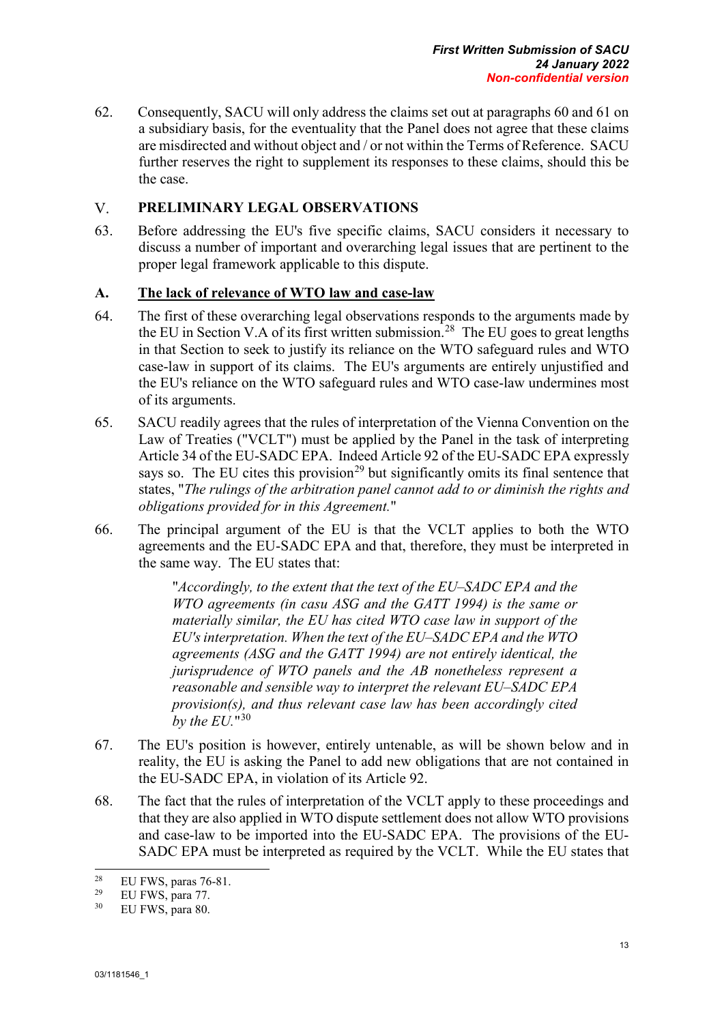62. Consequently, SACU will only address the claims set out at paragraphs 60 and 61 on a subsidiary basis, for the eventuality that the Panel does not agree that these claims are misdirected and without object and / or not within the Terms of Reference. SACU further reserves the right to supplement its responses to these claims, should this be the case.

#### <span id="page-23-0"></span> $V_{\cdot}$ **PRELIMINARY LEGAL OBSERVATIONS**

63. Before addressing the EU's five specific claims, SACU considers it necessary to discuss a number of important and overarching legal issues that are pertinent to the proper legal framework applicable to this dispute.

#### <span id="page-23-1"></span>**A. The lack of relevance of WTO law and case-law**

- 64. The first of these overarching legal observations responds to the arguments made by the EU in Section V.A of its first written submission.<sup>[28](#page-23-2)</sup> The EU goes to great lengths in that Section to seek to justify its reliance on the WTO safeguard rules and WTO case-law in support of its claims. The EU's arguments are entirely unjustified and the EU's reliance on the WTO safeguard rules and WTO case-law undermines most of its arguments.
- 65. SACU readily agrees that the rules of interpretation of the Vienna Convention on the Law of Treaties ("VCLT") must be applied by the Panel in the task of interpreting Article 34 of the EU-SADC EPA. Indeed Article 92 of the EU-SADC EPA expressly says so. The EU cites this provision<sup>[29](#page-23-3)</sup> but significantly omits its final sentence that states, "*The rulings of the arbitration panel cannot add to or diminish the rights and obligations provided for in this Agreement.*"
- 66. The principal argument of the EU is that the VCLT applies to both the WTO agreements and the EU-SADC EPA and that, therefore, they must be interpreted in the same way. The EU states that:

"*Accordingly, to the extent that the text of the EU–SADC EPA and the WTO agreements (in casu ASG and the GATT 1994) is the same or materially similar, the EU has cited WTO case law in support of the EU's interpretation. When the text of the EU–SADC EPA and the WTO agreements (ASG and the GATT 1994) are not entirely identical, the jurisprudence of WTO panels and the AB nonetheless represent a reasonable and sensible way to interpret the relevant EU–SADC EPA provision(s), and thus relevant case law has been accordingly cited by the EU.*"[30](#page-23-4)

- 67. The EU's position is however, entirely untenable, as will be shown below and in reality, the EU is asking the Panel to add new obligations that are not contained in the EU-SADC EPA, in violation of its Article 92.
- 68. The fact that the rules of interpretation of the VCLT apply to these proceedings and that they are also applied in WTO dispute settlement does not allow WTO provisions and case-law to be imported into the EU-SADC EPA. The provisions of the EU-SADC EPA must be interpreted as required by the VCLT. While the EU states that

<span id="page-23-2"></span> $28$ <sup>28</sup> EU FWS, paras 76-81.

<span id="page-23-4"></span><span id="page-23-3"></span><sup>&</sup>lt;sup>29</sup> EU FWS, para 77.<br><sup>30</sup> EU FWS, para 80

EU FWS, para 80.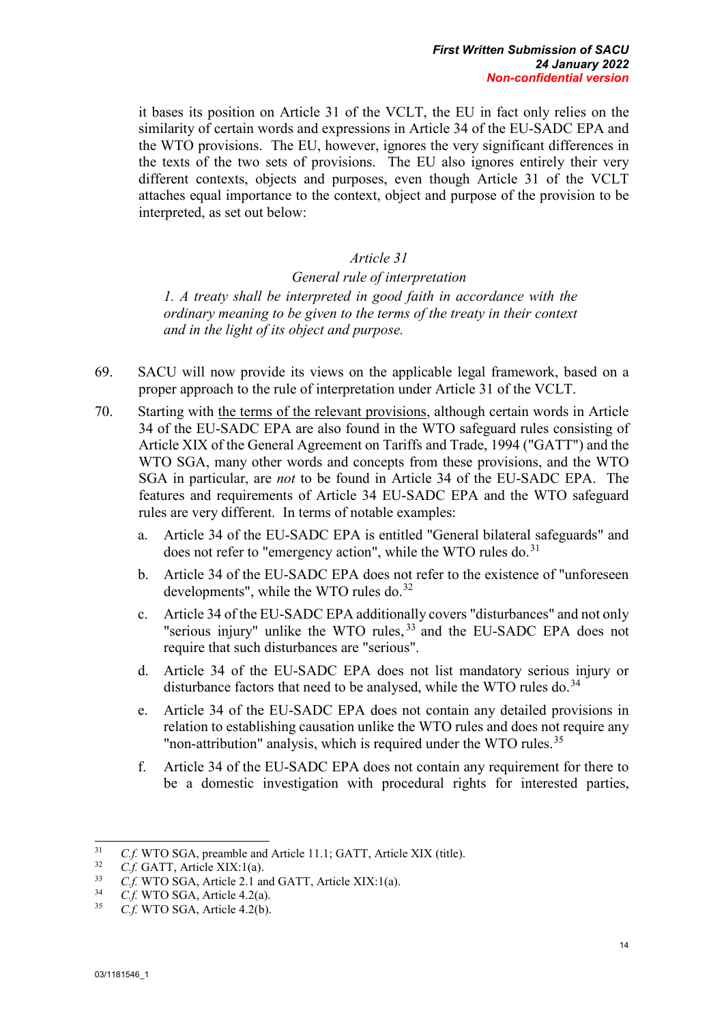it bases its position on Article 31 of the VCLT, the EU in fact only relies on the similarity of certain words and expressions in Article 34 of the EU-SADC EPA and the WTO provisions. The EU, however, ignores the very significant differences in the texts of the two sets of provisions. The EU also ignores entirely their very different contexts, objects and purposes, even though Article 31 of the VCLT attaches equal importance to the context, object and purpose of the provision to be interpreted, as set out below:

#### *Article 31*

*General rule of interpretation 1. A treaty shall be interpreted in good faith in accordance with the ordinary meaning to be given to the terms of the treaty in their context and in the light of its object and purpose.*

- 69. SACU will now provide its views on the applicable legal framework, based on a proper approach to the rule of interpretation under Article 31 of the VCLT.
- 70. Starting with the terms of the relevant provisions, although certain words in Article 34 of the EU-SADC EPA are also found in the WTO safeguard rules consisting of Article XIX of the General Agreement on Tariffs and Trade, 1994 ("GATT") and the WTO SGA, many other words and concepts from these provisions, and the WTO SGA in particular, are *not* to be found in Article 34 of the EU-SADC EPA. The features and requirements of Article 34 EU-SADC EPA and the WTO safeguard rules are very different. In terms of notable examples:
	- a. Article 34 of the EU-SADC EPA is entitled "General bilateral safeguards" and does not refer to "emergency action", while the WTO rules do.<sup>[31](#page-24-0)</sup>
	- b. Article 34 of the EU-SADC EPA does not refer to the existence of "unforeseen developments", while the WTO rules do.<sup>[32](#page-24-1)</sup>
	- c. Article 34 of the EU-SADC EPA additionally covers "disturbances" and not only "serious injury" unlike the WTO rules,  $33$  and the EU-SADC EPA does not require that such disturbances are "serious".
	- d. Article 34 of the EU-SADC EPA does not list mandatory serious injury or disturbance factors that need to be analysed, while the WTO rules do.<sup>[34](#page-24-3)</sup>
	- e. Article 34 of the EU-SADC EPA does not contain any detailed provisions in relation to establishing causation unlike the WTO rules and does not require any "non-attribution" analysis, which is required under the WTO rules.<sup>[35](#page-24-4)</sup>
	- f. Article 34 of the EU-SADC EPA does not contain any requirement for there to be a domestic investigation with procedural rights for interested parties,

<span id="page-24-0"></span> $31$ <sup>31</sup> *C.f.* WTO SGA, preamble and Article 11.1; GATT, Article XIX (title).

<span id="page-24-1"></span> $^{32}$  *C.f.* GATT, Article XIX:1(a).

<span id="page-24-2"></span><sup>&</sup>lt;sup>33</sup> *C.f.* WTO SGA, Article 2.1 and GATT, Article XIX:1(a).<br><sup>34</sup> *C.f.* WTO SGA, Article 4.2(c).

<span id="page-24-3"></span><sup>&</sup>lt;sup>34</sup> *C.f.* WTO SGA, Article 4.2(a).<br><sup>35</sup> *C.f.* WTO SGA, Article 4.2(b).

<span id="page-24-4"></span>C.f. WTO SGA, Article 4.2(b).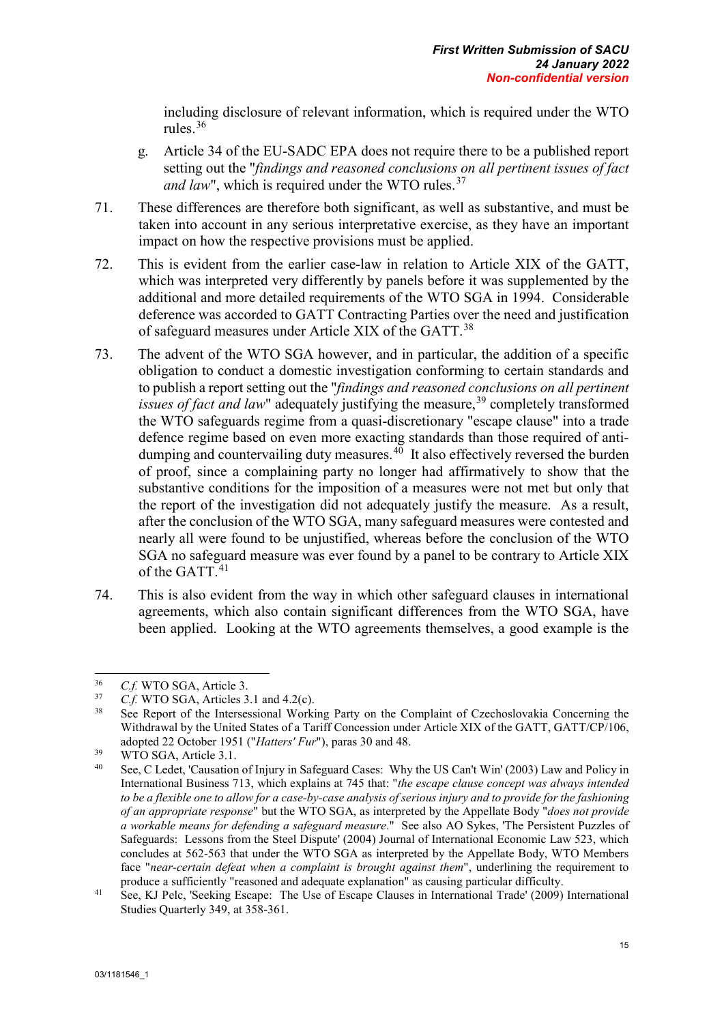including disclosure of relevant information, which is required under the WTO rules.[36](#page-25-0)

- g. Article 34 of the EU-SADC EPA does not require there to be a published report setting out the "*findings and reasoned conclusions on all pertinent issues of fact and law*", which is required under the WTO rules.<sup>[37](#page-25-1)</sup>
- 71. These differences are therefore both significant, as well as substantive, and must be taken into account in any serious interpretative exercise, as they have an important impact on how the respective provisions must be applied.
- 72. This is evident from the earlier case-law in relation to Article XIX of the GATT, which was interpreted very differently by panels before it was supplemented by the additional and more detailed requirements of the WTO SGA in 1994. Considerable deference was accorded to GATT Contracting Parties over the need and justification of safeguard measures under Article XIX of the GATT.<sup>38</sup>
- 73. The advent of the WTO SGA however, and in particular, the addition of a specific obligation to conduct a domestic investigation conforming to certain standards and to publish a report setting out the "*findings and reasoned conclusions on all pertinent issues of fact and law*" adequately justifying the measure,<sup>[39](#page-25-3)</sup> completely transformed the WTO safeguards regime from a quasi-discretionary "escape clause" into a trade defence regime based on even more exacting standards than those required of antidumping and countervailing duty measures. $4\overline{0}$  It also effectively reversed the burden of proof, since a complaining party no longer had affirmatively to show that the substantive conditions for the imposition of a measures were not met but only that the report of the investigation did not adequately justify the measure. As a result, after the conclusion of the WTO SGA, many safeguard measures were contested and nearly all were found to be unjustified, whereas before the conclusion of the WTO SGA no safeguard measure was ever found by a panel to be contrary to Article XIX of the GATT.<sup>[41](#page-25-5)</sup>
- 74. This is also evident from the way in which other safeguard clauses in international agreements, which also contain significant differences from the WTO SGA, have been applied. Looking at the WTO agreements themselves, a good example is the

<span id="page-25-0"></span><sup>36</sup>  $^{36}$  *C.f.* WTO SGA, Article 3.<br> $^{37}$  *C.f.* WTO SGA, Articles 3.

<span id="page-25-2"></span><span id="page-25-1"></span> $^{37}$  *C.f.* WTO SGA, Articles 3.1 and 4.2(c).

See Report of the Intersessional Working Party on the Complaint of Czechoslovakia Concerning the Withdrawal by the United States of a Tariff Concession under Article XIX of the GATT, GATT/CP/106, adopted 22 October 1951 ("*Hatters' Fur*"), paras 30 and 48.

<span id="page-25-3"></span> $39$  WTO SGA, Article 3.1.

<span id="page-25-4"></span>See, C Ledet, 'Causation of Injury in Safeguard Cases: Why the US Can't Win' (2003) Law and Policy in International Business 713, which explains at 745 that: "*the escape clause concept was always intended to be a flexible one to allow for a case-by-case analysis of serious injury and to provide for the fashioning of an appropriate response*" but the WTO SGA, as interpreted by the Appellate Body "*does not provide a workable means for defending a safeguard measure*." See also AO Sykes, 'The Persistent Puzzles of Safeguards: Lessons from the Steel Dispute' (2004) Journal of International Economic Law 523, which concludes at 562-563 that under the WTO SGA as interpreted by the Appellate Body, WTO Members face "*near-certain defeat when a complaint is brought against them*", underlining the requirement to

<span id="page-25-5"></span>produce a sufficiently "reasoned and adequate explanation" as causing particular difficulty.<br><sup>41</sup> See, KJ Pelc, 'Seeking Escape: The Use of Escape Clauses in International Trade' (2009) International Studies Quarterly 349, at 358-361.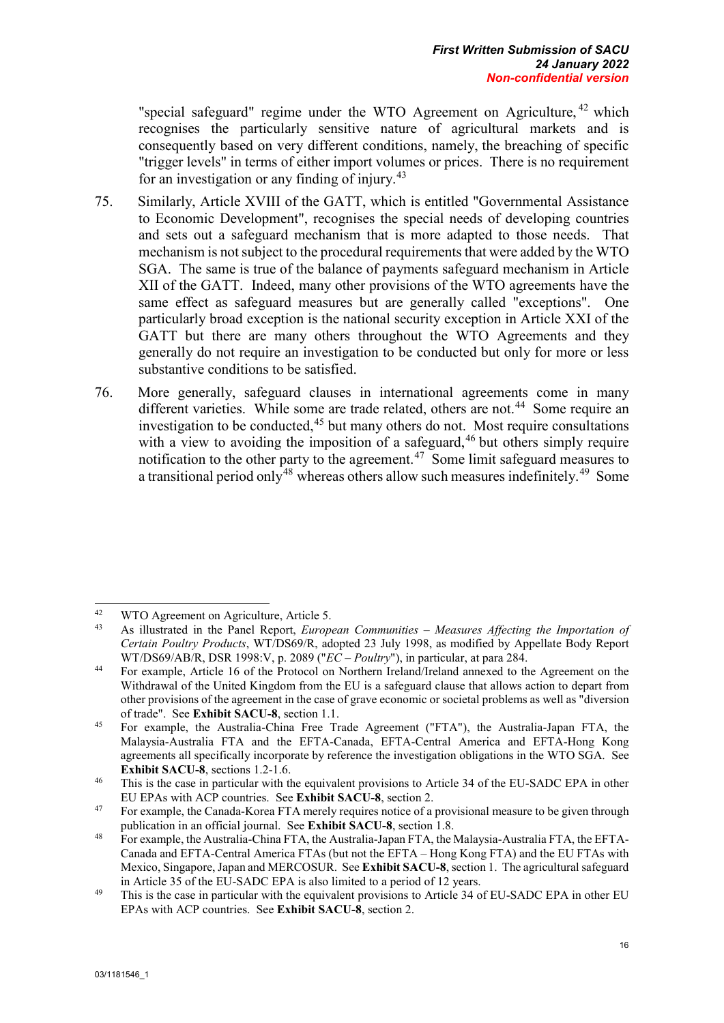"special safeguard" regime under the WTO Agreement on Agriculture,  $42$  which recognises the particularly sensitive nature of agricultural markets and is consequently based on very different conditions, namely, the breaching of specific "trigger levels" in terms of either import volumes or prices. There is no requirement for an investigation or any finding of injury.[43](#page-26-1) 

- 75. Similarly, Article XVIII of the GATT, which is entitled "Governmental Assistance to Economic Development", recognises the special needs of developing countries and sets out a safeguard mechanism that is more adapted to those needs. That mechanism is not subject to the procedural requirements that were added by the WTO SGA. The same is true of the balance of payments safeguard mechanism in Article XII of the GATT. Indeed, many other provisions of the WTO agreements have the same effect as safeguard measures but are generally called "exceptions". One particularly broad exception is the national security exception in Article XXI of the GATT but there are many others throughout the WTO Agreements and they generally do not require an investigation to be conducted but only for more or less substantive conditions to be satisfied.
- 76. More generally, safeguard clauses in international agreements come in many different varieties. While some are trade related, others are not.<sup>[44](#page-26-2)</sup> Some require an investigation to be conducted, $45$  but many others do not. Most require consultations with a view to avoiding the imposition of a safeguard,<sup>[46](#page-26-4)</sup> but others simply require notification to the other party to the agreement.<sup>[47](#page-26-5)</sup> Some limit safeguard measures to a transitional period only<sup>[48](#page-26-6)</sup> whereas others allow such measures indefinitely.<sup>[49](#page-26-7)</sup> Some

<span id="page-26-1"></span><span id="page-26-0"></span><sup>42</sup> <sup>42</sup> WTO Agreement on Agriculture, Article 5.<br><sup>43</sup> Agriculturated in the Papel Pepert, Europe

<sup>43</sup> As illustrated in the Panel Report, *European Communities – Measures Affecting the Importation of Certain Poultry Products*, WT/DS69/R, adopted 23 July 1998, as modified by Appellate Body Report WT/DS69/AB/R, DSR 1998:V, p. 2089 ("*EC – Poultry*"), in particular, at para 284.

<span id="page-26-2"></span><sup>44</sup> For example, Article 16 of the Protocol on Northern Ireland/Ireland annexed to the Agreement on the Withdrawal of the United Kingdom from the EU is a safeguard clause that allows action to depart from other provisions of the agreement in the case of grave economic or societal problems as well as "diversion of trade". See **Exhibit SACU-8**, section 1.1. 45 For example, the Australia-China Free Trade Agreement ("FTA"), the Australia-Japan FTA, the

<span id="page-26-3"></span>Malaysia-Australia FTA and the EFTA-Canada, EFTA-Central America and EFTA-Hong Kong agreements all specifically incorporate by reference the investigation obligations in the WTO SGA. See **Exhibit SACU-8**, sections 1.2-1.6.

<span id="page-26-4"></span><sup>&</sup>lt;sup>46</sup> This is the case in particular with the equivalent provisions to Article 34 of the EU-SADC EPA in other EU EPAs with ACP countries. See **Exhibit SACU-8**, section 2.

<span id="page-26-5"></span><sup>&</sup>lt;sup>47</sup> For example, the Canada-Korea FTA merely requires notice of a provisional measure to be given through publication in an official journal. See **Exhibit SACU-8**, section 1.8.

<span id="page-26-6"></span><sup>48</sup> For example, the Australia-China FTA, the Australia-Japan FTA, the Malaysia-Australia FTA, the EFTA-Canada and EFTA-Central America FTAs (but not the EFTA – Hong Kong FTA) and the EU FTAs with Mexico, Singapore, Japan and MERCOSUR. See **Exhibit SACU-8**, section 1. The agricultural safeguard

<span id="page-26-7"></span>in Article 35 of the EU-SADC EPA is also limited to a period of 12 years.<br><sup>49</sup> This is the case in particular with the equivalent provisions to Article 34 of EU-SADC EPA in other EU EPAs with ACP countries. See **Exhibit SACU-8**, section 2.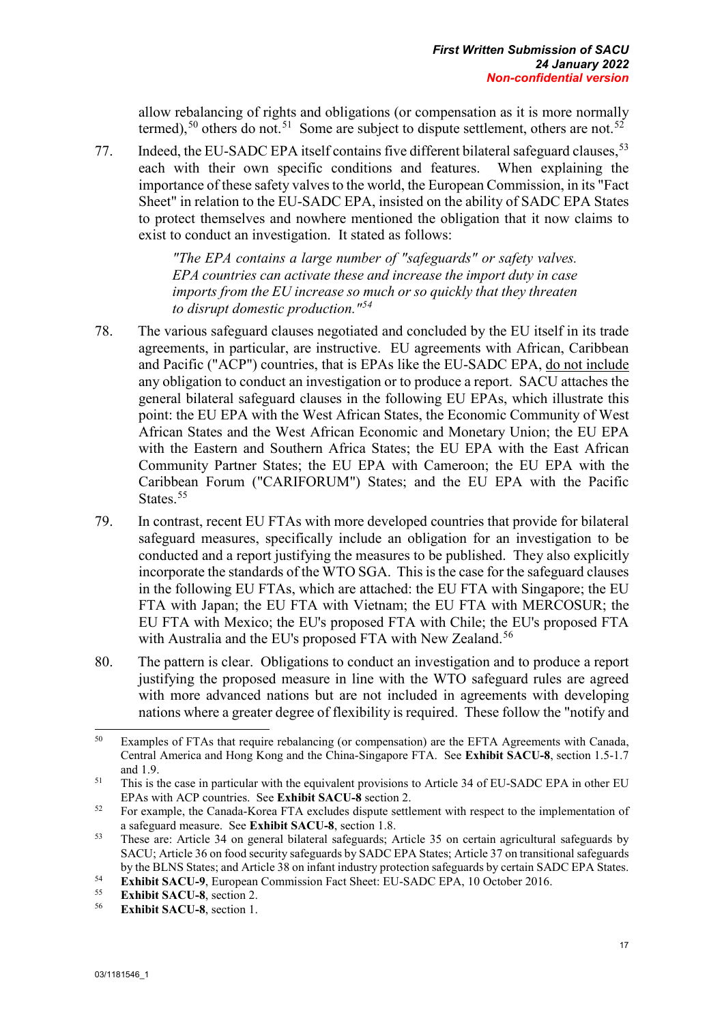allow rebalancing of rights and obligations (or compensation as it is more normally termed),<sup>[50](#page-27-0)</sup> others do not.<sup>[51](#page-27-1)</sup> Some are subject to dispute settlement, others are not.<sup>52</sup>

77. Indeed, the EU-SADC EPA itself contains five different bilateral safeguard clauses,<sup>[53](#page-27-3)</sup> each with their own specific conditions and features. When explaining the each with their own specific conditions and features. importance of these safety valves to the world, the European Commission, in its "Fact Sheet" in relation to the EU-SADC EPA, insisted on the ability of SADC EPA States to protect themselves and nowhere mentioned the obligation that it now claims to exist to conduct an investigation. It stated as follows:

> *"The EPA contains a large number of "safeguards" or safety valves. EPA countries can activate these and increase the import duty in case imports from the EU increase so much or so quickly that they threaten to disrupt domestic production."[54](#page-27-4)*

- 78. The various safeguard clauses negotiated and concluded by the EU itself in its trade agreements, in particular, are instructive. EU agreements with African, Caribbean and Pacific ("ACP") countries, that is EPAs like the EU-SADC EPA, do not include any obligation to conduct an investigation or to produce a report. SACU attaches the general bilateral safeguard clauses in the following EU EPAs, which illustrate this point: the EU EPA with the West African States, the Economic Community of West African States and the West African Economic and Monetary Union; the EU EPA with the Eastern and Southern Africa States; the EU EPA with the East African Community Partner States; the EU EPA with Cameroon; the EU EPA with the Caribbean Forum ("CARIFORUM") States; and the EU EPA with the Pacific States.<sup>[55](#page-27-5)</sup>
- 79. In contrast, recent EU FTAs with more developed countries that provide for bilateral safeguard measures, specifically include an obligation for an investigation to be conducted and a report justifying the measures to be published. They also explicitly incorporate the standards of the WTO SGA. This is the case for the safeguard clauses in the following EU FTAs, which are attached: the EU FTA with Singapore; the EU FTA with Japan; the EU FTA with Vietnam; the EU FTA with MERCOSUR; the EU FTA with Mexico; the EU's proposed FTA with Chile; the EU's proposed FTA with Australia and the EU's proposed FTA with New Zealand.<sup>[56](#page-27-6)</sup>
- 80. The pattern is clear. Obligations to conduct an investigation and to produce a report justifying the proposed measure in line with the WTO safeguard rules are agreed with more advanced nations but are not included in agreements with developing nations where a greater degree of flexibility is required. These follow the "notify and

<span id="page-27-0"></span><sup>50</sup> Examples of FTAs that require rebalancing (or compensation) are the EFTA Agreements with Canada, Central America and Hong Kong and the China-Singapore FTA. See **Exhibit SACU-8**, section 1.5-1.7 and 1.9.

<span id="page-27-1"></span><sup>&</sup>lt;sup>51</sup> This is the case in particular with the equivalent provisions to Article 34 of EU-SADC EPA in other EU EPAs with ACP countries. See **Exhibit SACU-8** section 2.

<span id="page-27-2"></span><sup>&</sup>lt;sup>52</sup> For example, the Canada-Korea FTA excludes dispute settlement with respect to the implementation of a safeguard measure. See **Exhibit SACU-8**, section 1.8.

<span id="page-27-3"></span><sup>53</sup> These are: Article 34 on general bilateral safeguards; Article 35 on certain agricultural safeguards by SACU; Article 36 on food security safeguards by SADC EPA States; Article 37 on transitional safeguards by the BLNS States; and Article 38 on infant industry protection safeguards by certain SADC EPA States.<br> **Exhibit SACU-9**, European Commission Fact Sheet: EU-SADC EPA, 10 October 2016.<br> **Exhibit SACU-8**, section 2.<br> **Exhib** 

<span id="page-27-5"></span><span id="page-27-4"></span>

<span id="page-27-6"></span>**Exhibit SACU-8**, section 1.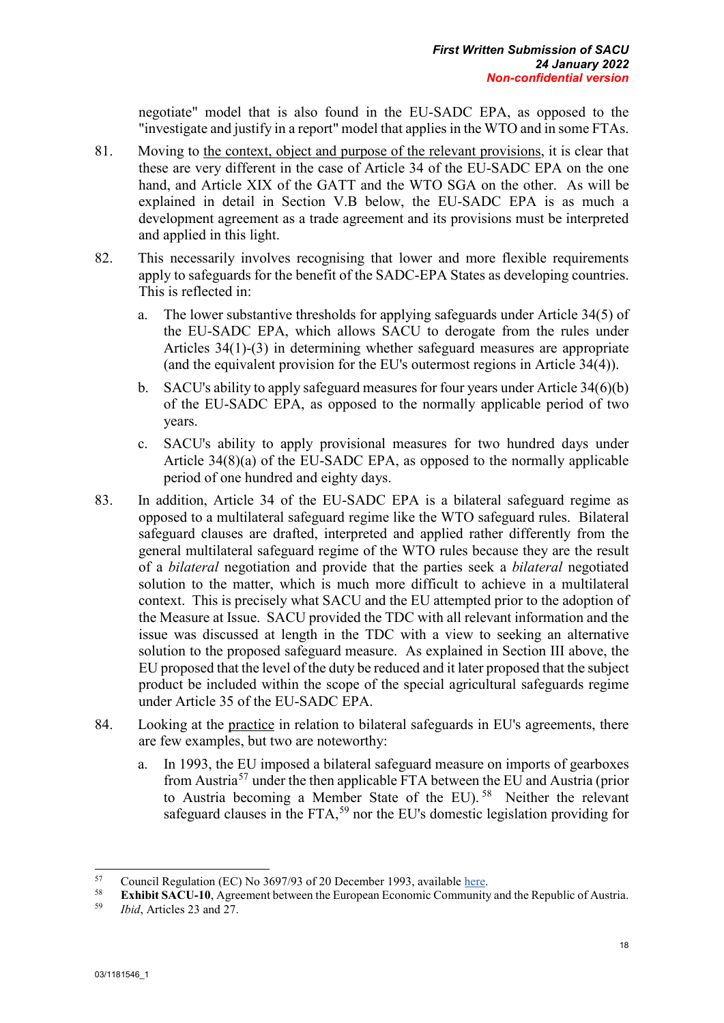negotiate" model that is also found in the EU-SADC EPA, as opposed to the "investigate and justify in a report" model that applies in the WTO and in some FTAs.

- 81. Moving to the context, object and purpose of the relevant provisions, it is clear that these are very different in the case of Article 34 of the EU-SADC EPA on the one hand, and Article XIX of the GATT and the WTO SGA on the other. As will be explained in detail in Section V.B below, the EU-SADC EPA is as much a development agreement as a trade agreement and its provisions must be interpreted and applied in this light.
- 82. This necessarily involves recognising that lower and more flexible requirements apply to safeguards for the benefit of the SADC-EPA States as developing countries. This is reflected in:
	- a. The lower substantive thresholds for applying safeguards under Article 34(5) of the EU-SADC EPA, which allows SACU to derogate from the rules under Articles 34(1)-(3) in determining whether safeguard measures are appropriate (and the equivalent provision for the EU's outermost regions in Article 34(4)).
	- b. SACU's ability to apply safeguard measures for four years under Article 34(6)(b) of the EU-SADC EPA, as opposed to the normally applicable period of two years.
	- c. SACU's ability to apply provisional measures for two hundred days under Article 34(8)(a) of the EU-SADC EPA, as opposed to the normally applicable period of one hundred and eighty days.
- 83. In addition, Article 34 of the EU-SADC EPA is a bilateral safeguard regime as opposed to a multilateral safeguard regime like the WTO safeguard rules. Bilateral safeguard clauses are drafted, interpreted and applied rather differently from the general multilateral safeguard regime of the WTO rules because they are the result of a *bilateral* negotiation and provide that the parties seek a *bilateral* negotiated solution to the matter, which is much more difficult to achieve in a multilateral context. This is precisely what SACU and the EU attempted prior to the adoption of the Measure at Issue. SACU provided the TDC with all relevant information and the issue was discussed at length in the TDC with a view to seeking an alternative solution to the proposed safeguard measure. As explained in Section III above, the EU proposed that the level of the duty be reduced and it later proposed that the subject product be included within the scope of the special agricultural safeguards regime under Article 35 of the EU-SADC EPA.
- 84. Looking at the practice in relation to bilateral safeguards in EU's agreements, there are few examples, but two are noteworthy:
	- a. In 1993, the EU imposed a bilateral safeguard measure on imports of gearboxes from Austria[57](#page-28-0) under the then applicable FTA between the EU and Austria (prior to Austria becoming a Member State of the EU).<sup>[58](#page-28-1)</sup> Neither the relevant safeguard clauses in the FTA,<sup>[59](#page-28-2)</sup> nor the EU's domestic legislation providing for

 $57$ 

<span id="page-28-1"></span><span id="page-28-0"></span><sup>57</sup> Council Regulation (EC) No 3697/93 of 20 December 1993, available [here.](https://eur-lex.europa.eu/legal-content/EN/TXT/PDF/?uri=CELEX:31993R3697&qid=1641466217392&from=EN) 58 **Exhibit SACU-10**, Agreement between the European Economic Community and the Republic of Austria. 59 *Ibid*, Articles 23 and 27.

<span id="page-28-2"></span>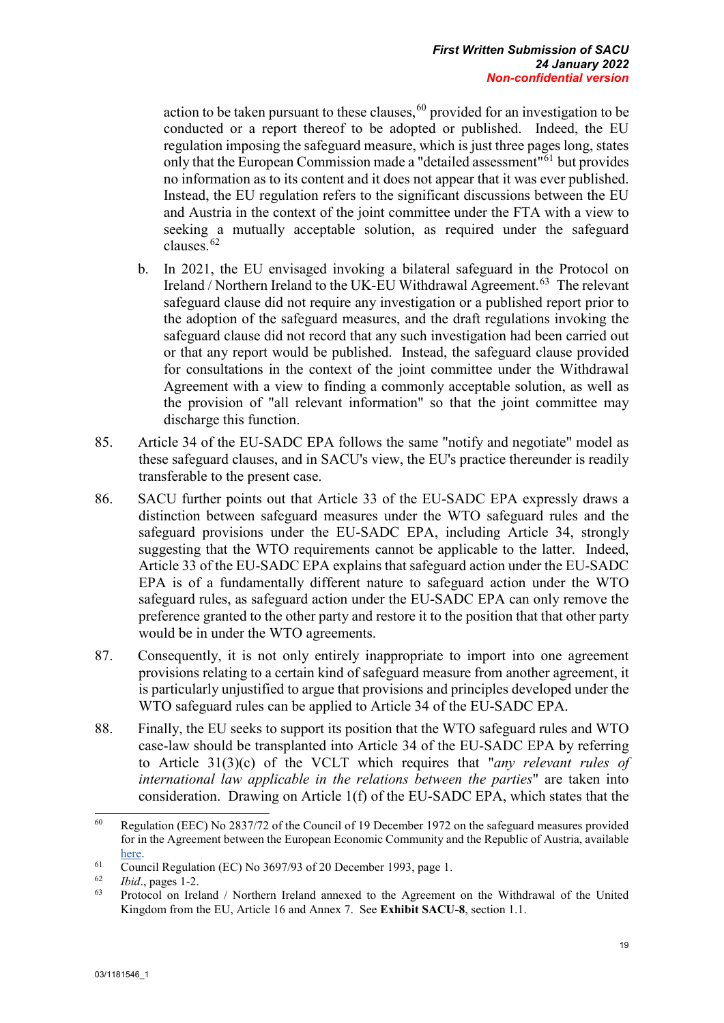action to be taken pursuant to these clauses, [60](#page-29-0) provided for an investigation to be conducted or a report thereof to be adopted or published. Indeed, the EU regulation imposing the safeguard measure, which is just three pages long, states only that the European Commission made a "detailed assessment"<sup>[61](#page-29-1)</sup> but provides no information as to its content and it does not appear that it was ever published. Instead, the EU regulation refers to the significant discussions between the EU and Austria in the context of the joint committee under the FTA with a view to seeking a mutually acceptable solution, as required under the safeguard clauses.[62](#page-29-2) 

- b. In 2021, the EU envisaged invoking a bilateral safeguard in the Protocol on Ireland / Northern Ireland to the UK-EU Withdrawal Agreement.<sup>[63](#page-29-3)</sup> The relevant safeguard clause did not require any investigation or a published report prior to the adoption of the safeguard measures, and the draft regulations invoking the safeguard clause did not record that any such investigation had been carried out or that any report would be published. Instead, the safeguard clause provided for consultations in the context of the joint committee under the Withdrawal Agreement with a view to finding a commonly acceptable solution, as well as the provision of "all relevant information" so that the joint committee may discharge this function.
- 85. Article 34 of the EU-SADC EPA follows the same "notify and negotiate" model as these safeguard clauses, and in SACU's view, the EU's practice thereunder is readily transferable to the present case.
- 86. SACU further points out that Article 33 of the EU-SADC EPA expressly draws a distinction between safeguard measures under the WTO safeguard rules and the safeguard provisions under the EU-SADC EPA, including Article 34, strongly suggesting that the WTO requirements cannot be applicable to the latter. Indeed, Article 33 of the EU-SADC EPA explains that safeguard action under the EU-SADC EPA is of a fundamentally different nature to safeguard action under the WTO safeguard rules, as safeguard action under the EU-SADC EPA can only remove the preference granted to the other party and restore it to the position that that other party would be in under the WTO agreements.
- 87. Consequently, it is not only entirely inappropriate to import into one agreement provisions relating to a certain kind of safeguard measure from another agreement, it is particularly unjustified to argue that provisions and principles developed under the WTO safeguard rules can be applied to Article 34 of the EU-SADC EPA.
- 88. Finally, the EU seeks to support its position that the WTO safeguard rules and WTO case-law should be transplanted into Article 34 of the EU-SADC EPA by referring to Article 31(3)(c) of the VCLT which requires that "*any relevant rules of international law applicable in the relations between the parties*" are taken into consideration. Drawing on Article 1(f) of the EU-SADC EPA, which states that the

<span id="page-29-0"></span><sup>60</sup> <sup>60</sup> Regulation (EEC) No 2837/72 of the Council of 19 December 1972 on the safeguard measures provided for in the Agreement between the European Economic Community and the Republic of Austria, available [here.](https://eur-lex.europa.eu/legal-content/EN/TXT/PDF/?uri=CELEX:31972R2837&qid=1641467910919&from=EN)

<span id="page-29-1"></span><sup>&</sup>lt;sup>61</sup> Council Regulation (EC) No 3697/93 of 20 December 1993, page 1.<br> $\frac{62}{164}$  Regulation (EC) No 3697/93 of 20 December 1993, page 1.

<span id="page-29-2"></span> $\frac{62}{63}$  *Ibid.*, pages 1-2.

<span id="page-29-3"></span><sup>63</sup> Protocol on Ireland / Northern Ireland annexed to the Agreement on the Withdrawal of the United Kingdom from the EU, Article 16 and Annex 7. See **Exhibit SACU-8**, section 1.1.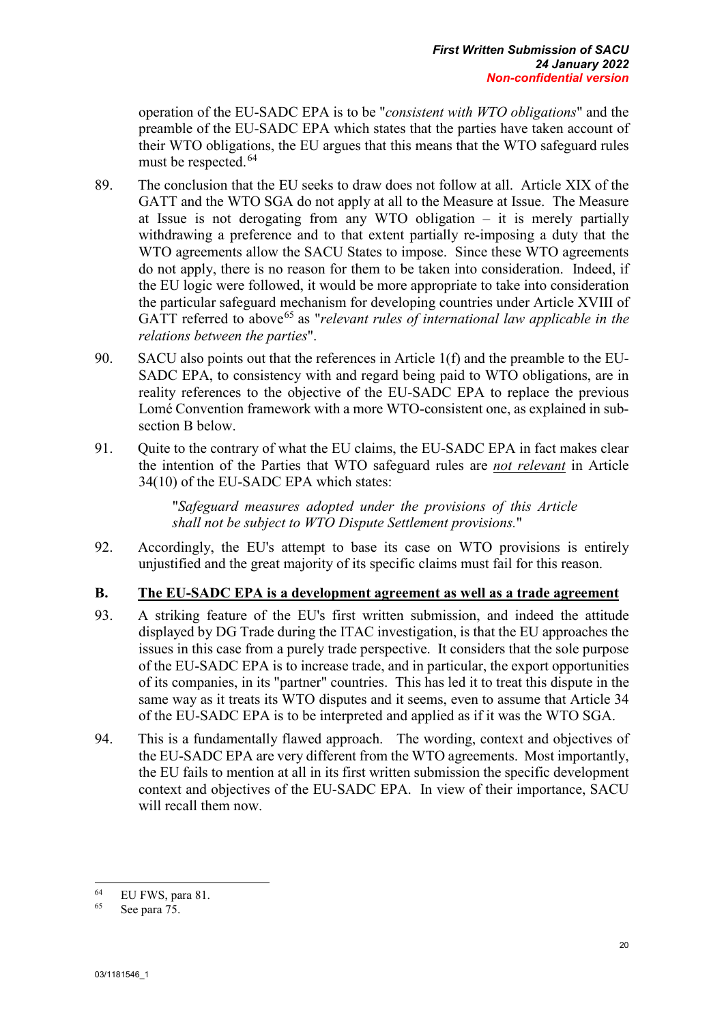operation of the EU-SADC EPA is to be "*consistent with WTO obligations*" and the preamble of the EU-SADC EPA which states that the parties have taken account of their WTO obligations, the EU argues that this means that the WTO safeguard rules must be respected.<sup>[64](#page-30-1)</sup>

- 89. The conclusion that the EU seeks to draw does not follow at all. Article XIX of the GATT and the WTO SGA do not apply at all to the Measure at Issue. The Measure at Issue is not derogating from any WTO obligation – it is merely partially withdrawing a preference and to that extent partially re-imposing a duty that the WTO agreements allow the SACU States to impose. Since these WTO agreements do not apply, there is no reason for them to be taken into consideration. Indeed, if the EU logic were followed, it would be more appropriate to take into consideration the particular safeguard mechanism for developing countries under Article XVIII of GATT referred to above<sup>[65](#page-30-2)</sup> as "*relevant rules of international law applicable in the relations between the parties*".
- 90. SACU also points out that the references in Article 1(f) and the preamble to the EU-SADC EPA, to consistency with and regard being paid to WTO obligations, are in reality references to the objective of the EU-SADC EPA to replace the previous Lomé Convention framework with a more WTO-consistent one, as explained in subsection B below.
- 91. Quite to the contrary of what the EU claims, the EU-SADC EPA in fact makes clear the intention of the Parties that WTO safeguard rules are *not relevant* in Article 34(10) of the EU-SADC EPA which states:

"*Safeguard measures adopted under the provisions of this Article shall not be subject to WTO Dispute Settlement provisions.*"

92. Accordingly, the EU's attempt to base its case on WTO provisions is entirely unjustified and the great majority of its specific claims must fail for this reason.

### <span id="page-30-0"></span>**B. The EU-SADC EPA is a development agreement as well as a trade agreement**

- 93. A striking feature of the EU's first written submission, and indeed the attitude displayed by DG Trade during the ITAC investigation, is that the EU approaches the issues in this case from a purely trade perspective. It considers that the sole purpose of the EU-SADC EPA is to increase trade, and in particular, the export opportunities of its companies, in its "partner" countries. This has led it to treat this dispute in the same way as it treats its WTO disputes and it seems, even to assume that Article 34 of the EU-SADC EPA is to be interpreted and applied as if it was the WTO SGA.
- 94. This is a fundamentally flawed approach. The wording, context and objectives of the EU-SADC EPA are very different from the WTO agreements. Most importantly, the EU fails to mention at all in its first written submission the specific development context and objectives of the EU-SADC EPA. In view of their importance, SACU will recall them now.

<span id="page-30-1"></span><sup>64</sup>  $^{64}$  EU FWS, para 81.

<span id="page-30-2"></span>See para 75.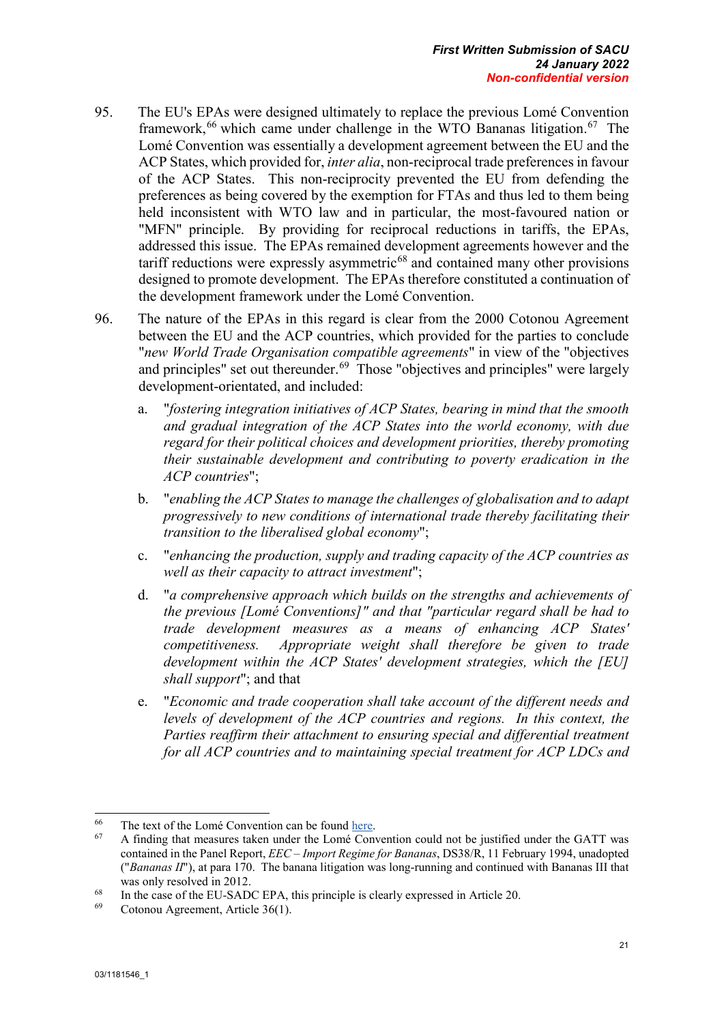- 95. The EU's EPAs were designed ultimately to replace the previous Lomé Convention framework,<sup>[66](#page-31-0)</sup> which came under challenge in the WTO Bananas litigation.<sup>67</sup> The Lomé Convention was essentially a development agreement between the EU and the ACP States, which provided for, *inter alia*, non-reciprocal trade preferences in favour of the ACP States. This non-reciprocity prevented the EU from defending the preferences as being covered by the exemption for FTAs and thus led to them being held inconsistent with WTO law and in particular, the most-favoured nation or "MFN" principle. By providing for reciprocal reductions in tariffs, the EPAs, addressed this issue. The EPAs remained development agreements however and the tariff reductions were expressly asymmetric $68$  and contained many other provisions designed to promote development. The EPAs therefore constituted a continuation of the development framework under the Lomé Convention.
- 96. The nature of the EPAs in this regard is clear from the 2000 Cotonou Agreement between the EU and the ACP countries, which provided for the parties to conclude "*new World Trade Organisation compatible agreements*" in view of the "objectives and principles" set out thereunder.<sup>[69](#page-31-3)</sup> Those "objectives and principles" were largely development-orientated, and included:
	- a. "*fostering integration initiatives of ACP States, bearing in mind that the smooth and gradual integration of the ACP States into the world economy, with due regard for their political choices and development priorities, thereby promoting their sustainable development and contributing to poverty eradication in the ACP countries*";
	- b. "*enabling the ACP States to manage the challenges of globalisation and to adapt progressively to new conditions of international trade thereby facilitating their transition to the liberalised global economy*";
	- c. "*enhancing the production, supply and trading capacity of the ACP countries as well as their capacity to attract investment*";
	- d. "*a comprehensive approach which builds on the strengths and achievements of the previous [Lomé Conventions]" and that "particular regard shall be had to trade development measures as a means of enhancing ACP States' competitiveness. Appropriate weight shall therefore be given to trade development within the ACP States' development strategies, which the [EU] shall support*"; and that
	- e. "*Economic and trade cooperation shall take account of the different needs and levels of development of the ACP countries and regions. In this context, the Parties reaffirm their attachment to ensuring special and differential treatment for all ACP countries and to maintaining special treatment for ACP LDCs and*

<span id="page-31-0"></span><sup>66</sup> <sup>66</sup> The text of the Lomé Convention can be found <u>here</u>.<br><sup>67</sup> A finding that measures teleg under the Lomé Com

<span id="page-31-1"></span><sup>67</sup> A finding that measures taken under the Lomé Convention could not be justified under the GATT was contained in the Panel Report, *EEC – Import Regime for Bananas*, DS38/R, 11 February 1994, unadopted ("*Bananas II*"), at para 170. The banana litigation was long-running and continued with Bananas III that was only resolved in 2012.

<span id="page-31-3"></span><span id="page-31-2"></span><sup>&</sup>lt;sup>68</sup> In the case of the EU-SADC EPA, this principle is clearly expressed in Article 20.

Cotonou Agreement, Article 36(1).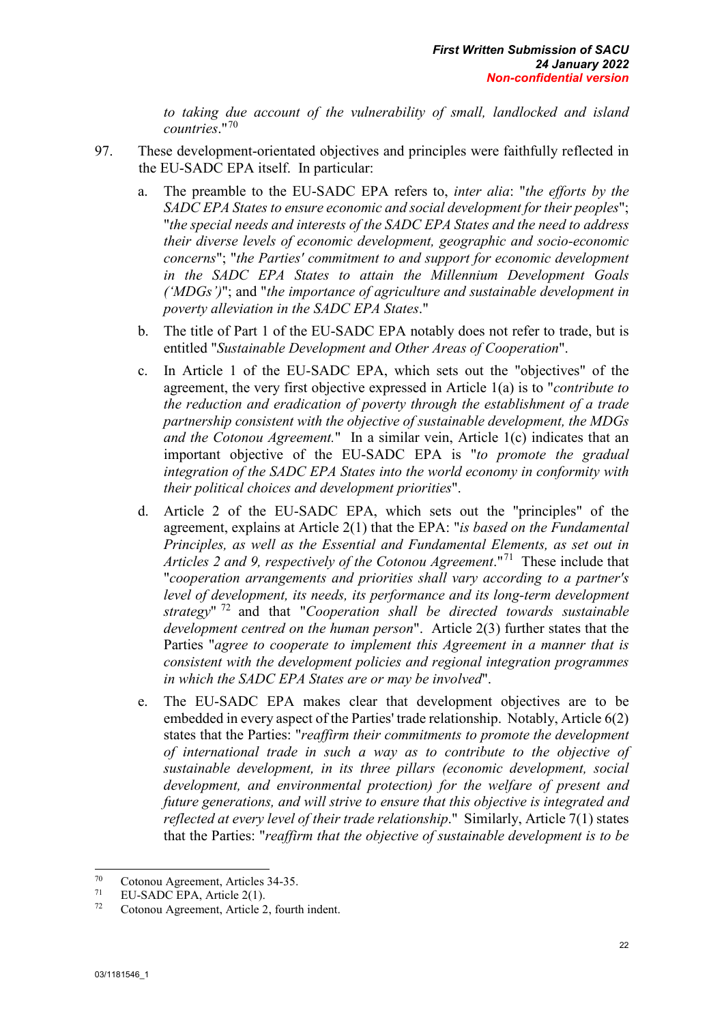*to taking due account of the vulnerability of small, landlocked and island countries*."[70](#page-32-0)

- 97. These development-orientated objectives and principles were faithfully reflected in the EU-SADC EPA itself. In particular:
	- a. The preamble to the EU-SADC EPA refers to, *inter alia*: "*the efforts by the SADC EPA States to ensure economic and social development for their peoples*"; "*the special needs and interests of the SADC EPA States and the need to address their diverse levels of economic development, geographic and socio-economic concerns*"; "*the Parties' commitment to and support for economic development in the SADC EPA States to attain the Millennium Development Goals ('MDGs')*"; and "*the importance of agriculture and sustainable development in poverty alleviation in the SADC EPA States*."
	- b. The title of Part 1 of the EU-SADC EPA notably does not refer to trade, but is entitled "*Sustainable Development and Other Areas of Cooperation*".
	- c. In Article 1 of the EU-SADC EPA, which sets out the "objectives" of the agreement, the very first objective expressed in Article 1(a) is to "*contribute to the reduction and eradication of poverty through the establishment of a trade partnership consistent with the objective of sustainable development, the MDGs and the Cotonou Agreement.*" In a similar vein, Article 1(c) indicates that an important objective of the EU-SADC EPA is "*to promote the gradual integration of the SADC EPA States into the world economy in conformity with their political choices and development priorities*".
	- d. Article 2 of the EU-SADC EPA, which sets out the "principles" of the agreement, explains at Article 2(1) that the EPA: "*is based on the Fundamental Principles, as well as the Essential and Fundamental Elements, as set out in Articles 2 and 9, respectively of the Cotonou Agreement*."[71](#page-32-1) These include that "*cooperation arrangements and priorities shall vary according to a partner's level of development, its needs, its performance and its long-term development strategy*" [72](#page-32-2) and that "*Cooperation shall be directed towards sustainable development centred on the human person*". Article 2(3) further states that the Parties "*agree to cooperate to implement this Agreement in a manner that is consistent with the development policies and regional integration programmes in which the SADC EPA States are or may be involved*".
	- e. The EU-SADC EPA makes clear that development objectives are to be embedded in every aspect of the Parties' trade relationship. Notably, Article 6(2) states that the Parties: "*reaffirm their commitments to promote the development of international trade in such a way as to contribute to the objective of sustainable development, in its three pillars (economic development, social development, and environmental protection) for the welfare of present and future generations, and will strive to ensure that this objective is integrated and reflected at every level of their trade relationship*." Similarly, Article 7(1) states that the Parties: "*reaffirm that the objective of sustainable development is to be*

<span id="page-32-0"></span> $70$  $^{70}$  Cotonou Agreement, Articles 34-35.

<span id="page-32-1"></span><sup>&</sup>lt;sup>71</sup> EU-SADC EPA, Article 2(1).<br><sup>72</sup> Cotonou Agreement, Article 2

<span id="page-32-2"></span>Cotonou Agreement, Article 2, fourth indent.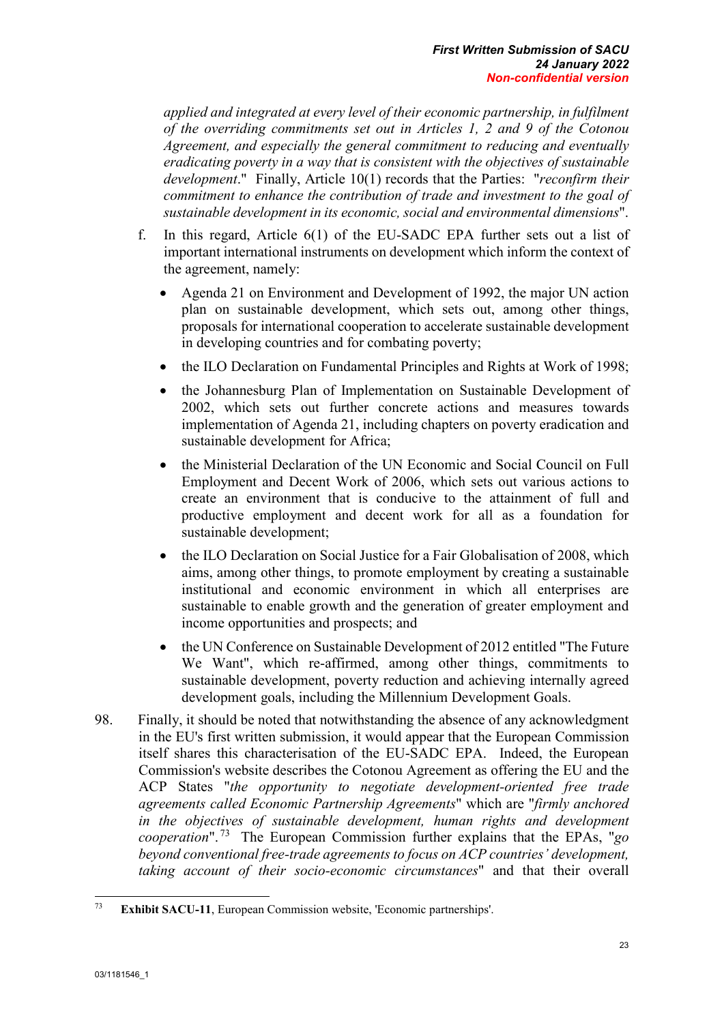*applied and integrated at every level of their economic partnership, in fulfilment of the overriding commitments set out in Articles 1, 2 and 9 of the Cotonou Agreement, and especially the general commitment to reducing and eventually eradicating poverty in a way that is consistent with the objectives of sustainable development*." Finally, Article 10(1) records that the Parties: "*reconfirm their commitment to enhance the contribution of trade and investment to the goal of sustainable development in its economic, social and environmental dimensions*".

- f. In this regard, Article 6(1) of the EU-SADC EPA further sets out a list of important international instruments on development which inform the context of the agreement, namely:
	- Agenda 21 on Environment and Development of 1992, the major UN action plan on sustainable development, which sets out, among other things, proposals for international cooperation to accelerate sustainable development in developing countries and for combating poverty;
	- the ILO Declaration on Fundamental Principles and Rights at Work of 1998;
	- the Johannesburg Plan of Implementation on Sustainable Development of 2002, which sets out further concrete actions and measures towards implementation of Agenda 21, including chapters on poverty eradication and sustainable development for Africa;
	- the Ministerial Declaration of the UN Economic and Social Council on Full Employment and Decent Work of 2006, which sets out various actions to create an environment that is conducive to the attainment of full and productive employment and decent work for all as a foundation for sustainable development;
	- the ILO Declaration on Social Justice for a Fair Globalisation of 2008, which aims, among other things, to promote employment by creating a sustainable institutional and economic environment in which all enterprises are sustainable to enable growth and the generation of greater employment and income opportunities and prospects; and
	- the UN Conference on Sustainable Development of 2012 entitled "The Future" We Want", which re-affirmed, among other things, commitments to sustainable development, poverty reduction and achieving internally agreed development goals, including the Millennium Development Goals.
- 98. Finally, it should be noted that notwithstanding the absence of any acknowledgment in the EU's first written submission, it would appear that the European Commission itself shares this characterisation of the EU-SADC EPA. Indeed, the European Commission's website describes the Cotonou Agreement as offering the EU and the ACP States "*the opportunity to negotiate development-oriented free trade agreements called Economic Partnership Agreements*" which are "*firmly anchored in the objectives of sustainable development, human rights and development cooperation*". [73](#page-33-0) The European Commission further explains that the EPAs, "*go beyond conventional free-trade agreements to focus on ACP countries' development, taking account of their socio-economic circumstances*" and that their overall

<span id="page-33-0"></span><sup>73</sup> **Exhibit SACU-11**, European Commission website, 'Economic partnerships'.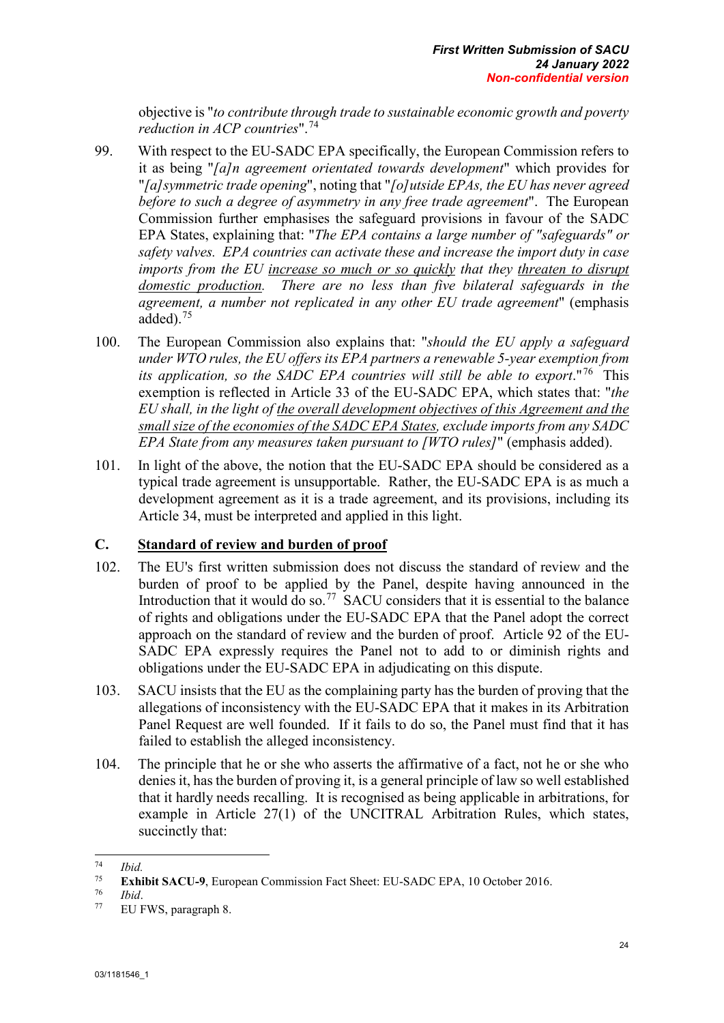objective is "*to contribute through trade to sustainable economic growth and poverty reduction in ACP countries*".[74](#page-34-1)

- 99. With respect to the EU-SADC EPA specifically, the European Commission refers to it as being "*[a]n agreement orientated towards development*" which provides for "*[a]symmetric trade opening*", noting that "*[o]utside EPAs, the EU has never agreed before to such a degree of asymmetry in any free trade agreement*". The European Commission further emphasises the safeguard provisions in favour of the SADC EPA States, explaining that: "*The EPA contains a large number of "safeguards" or safety valves. EPA countries can activate these and increase the import duty in case imports from the EU increase so much or so quickly that they threaten to disrupt domestic production. There are no less than five bilateral safeguards in the agreement, a number not replicated in any other EU trade agreement*" (emphasis added).[75](#page-34-2)
- 100. The European Commission also explains that: "*should the EU apply a safeguard under WTO rules, the EU offers its EPA partners a renewable 5-year exemption from its application, so the SADC EPA countries will still be able to export*."[76](#page-34-3) This exemption is reflected in Article 33 of the EU-SADC EPA, which states that: "*the EU shall, in the light of the overall development objectives of this Agreement and the small size of the economies of the SADC EPA States, exclude imports from any SADC EPA State from any measures taken pursuant to [WTO rules]*" (emphasis added).
- 101. In light of the above, the notion that the EU-SADC EPA should be considered as a typical trade agreement is unsupportable. Rather, the EU-SADC EPA is as much a development agreement as it is a trade agreement, and its provisions, including its Article 34, must be interpreted and applied in this light.

### <span id="page-34-0"></span>**C. Standard of review and burden of proof**

- 102. The EU's first written submission does not discuss the standard of review and the burden of proof to be applied by the Panel, despite having announced in the Introduction that it would do so.<sup>[77](#page-34-4)</sup> SACU considers that it is essential to the balance of rights and obligations under the EU-SADC EPA that the Panel adopt the correct approach on the standard of review and the burden of proof. Article 92 of the EU-SADC EPA expressly requires the Panel not to add to or diminish rights and obligations under the EU-SADC EPA in adjudicating on this dispute.
- 103. SACU insists that the EU as the complaining party has the burden of proving that the allegations of inconsistency with the EU-SADC EPA that it makes in its Arbitration Panel Request are well founded. If it fails to do so, the Panel must find that it has failed to establish the alleged inconsistency.
- 104. The principle that he or she who asserts the affirmative of a fact, not he or she who denies it, has the burden of proving it, is a general principle of law so well established that it hardly needs recalling. It is recognised as being applicable in arbitrations, for example in Article 27(1) of the UNCITRAL Arbitration Rules, which states, succinctly that:

<span id="page-34-1"></span> $74$  $\frac{74}{75}$  *Ibid.* 

<span id="page-34-3"></span><span id="page-34-2"></span><sup>&</sup>lt;sup>75</sup> **Exhibit SACU-9**, European Commission Fact Sheet: EU-SADC EPA, 10 October 2016.<br> *TO Ibid*.<br>
FILEWS paragraph 8

<span id="page-34-4"></span>EU FWS, paragraph 8.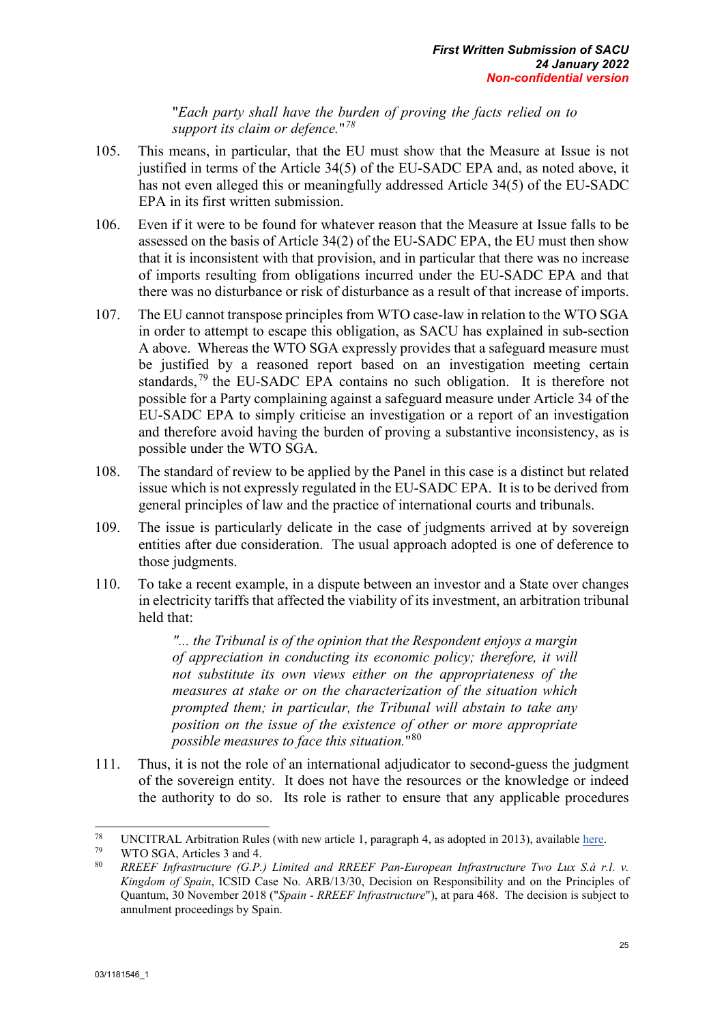"*Each party shall have the burden of proving the facts relied on to support its claim or defence.*"*[78](#page-35-0)*

- 105. This means, in particular, that the EU must show that the Measure at Issue is not justified in terms of the Article 34(5) of the EU-SADC EPA and, as noted above, it has not even alleged this or meaningfully addressed Article 34(5) of the EU-SADC EPA in its first written submission.
- 106. Even if it were to be found for whatever reason that the Measure at Issue falls to be assessed on the basis of Article 34(2) of the EU-SADC EPA, the EU must then show that it is inconsistent with that provision, and in particular that there was no increase of imports resulting from obligations incurred under the EU-SADC EPA and that there was no disturbance or risk of disturbance as a result of that increase of imports.
- 107. The EU cannot transpose principles from WTO case-law in relation to the WTO SGA in order to attempt to escape this obligation, as SACU has explained in sub-section A above. Whereas the WTO SGA expressly provides that a safeguard measure must be justified by a reasoned report based on an investigation meeting certain standards,<sup>[79](#page-35-1)</sup> the EU-SADC EPA contains no such obligation. It is therefore not possible for a Party complaining against a safeguard measure under Article 34 of the EU-SADC EPA to simply criticise an investigation or a report of an investigation and therefore avoid having the burden of proving a substantive inconsistency, as is possible under the WTO SGA.
- 108. The standard of review to be applied by the Panel in this case is a distinct but related issue which is not expressly regulated in the EU-SADC EPA. It is to be derived from general principles of law and the practice of international courts and tribunals.
- 109. The issue is particularly delicate in the case of judgments arrived at by sovereign entities after due consideration. The usual approach adopted is one of deference to those judgments.
- 110. To take a recent example, in a dispute between an investor and a State over changes in electricity tariffs that affected the viability of its investment, an arbitration tribunal held that:

*"... the Tribunal is of the opinion that the Respondent enjoys a margin of appreciation in conducting its economic policy; therefore, it will not substitute its own views either on the appropriateness of the measures at stake or on the characterization of the situation which prompted them; in particular, the Tribunal will abstain to take any position on the issue of the existence of other or more appropriate possible measures to face this situation.*"[80](#page-35-2)

111. Thus, it is not the role of an international adjudicator to second-guess the judgment of the sovereign entity. It does not have the resources or the knowledge or indeed the authority to do so. Its role is rather to ensure that any applicable procedures

<span id="page-35-0"></span><sup>78</sup> <sup>78</sup> UNCITRAL Arbitration Rules (with new article 1, paragraph 4, as adopted in 2013), available <u>here</u>.

<span id="page-35-2"></span><span id="page-35-1"></span><sup>&</sup>lt;sup>79</sup> WTO SGA, Articles 3 and 4.

<sup>80</sup> *RREEF Infrastructure (G.P.) Limited and RREEF Pan-European Infrastructure Two Lux S.à r.l. v. Kingdom of Spain*, ICSID Case No. ARB/13/30, Decision on Responsibility and on the Principles of Quantum, 30 November 2018 ("*Spain - RREEF Infrastructure*"), at para 468. The decision is subject to annulment proceedings by Spain.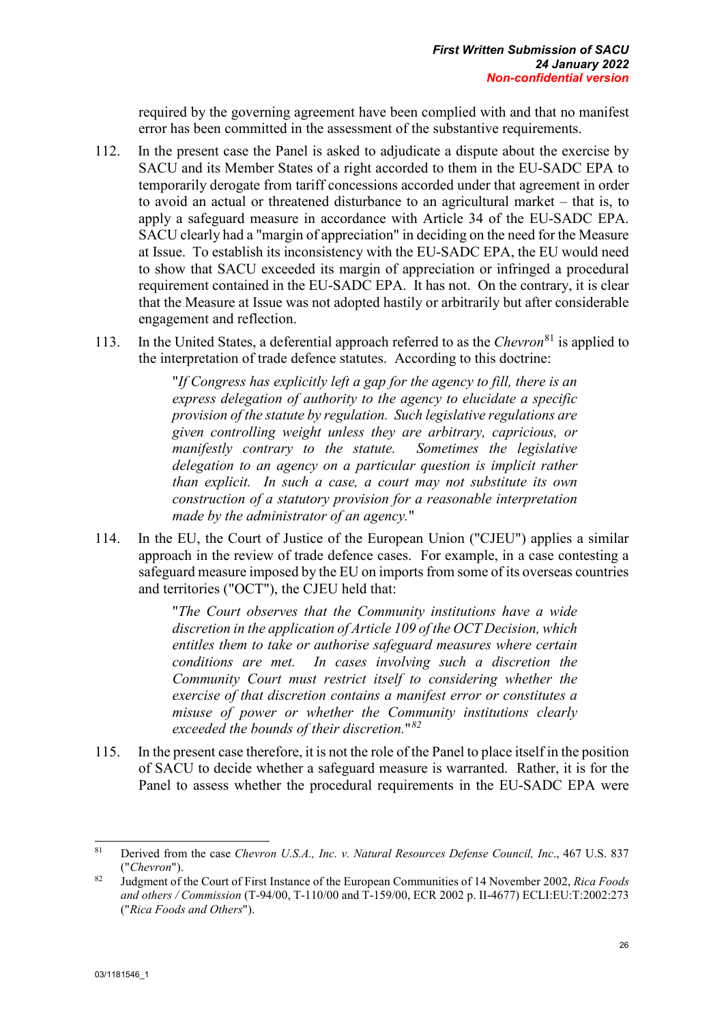required by the governing agreement have been complied with and that no manifest error has been committed in the assessment of the substantive requirements.

- 112. In the present case the Panel is asked to adjudicate a dispute about the exercise by SACU and its Member States of a right accorded to them in the EU-SADC EPA to temporarily derogate from tariff concessions accorded under that agreement in order to avoid an actual or threatened disturbance to an agricultural market – that is, to apply a safeguard measure in accordance with Article 34 of the EU-SADC EPA. SACU clearly had a "margin of appreciation" in deciding on the need for the Measure at Issue. To establish its inconsistency with the EU-SADC EPA, the EU would need to show that SACU exceeded its margin of appreciation or infringed a procedural requirement contained in the EU-SADC EPA. It has not. On the contrary, it is clear that the Measure at Issue was not adopted hastily or arbitrarily but after considerable engagement and reflection.
- 113. In the United States, a deferential approach referred to as the *Chevron*[81](#page-36-0) is applied to the interpretation of trade defence statutes. According to this doctrine:

"*If Congress has explicitly left a gap for the agency to fill, there is an express delegation of authority to the agency to elucidate a specific provision of the statute by regulation. Such legislative regulations are given controlling weight unless they are arbitrary, capricious, or manifestly contrary to the statute. Sometimes the legislative delegation to an agency on a particular question is implicit rather than explicit. In such a case, a court may not substitute its own construction of a statutory provision for a reasonable interpretation made by the administrator of an agency.*"

114. In the EU, the Court of Justice of the European Union ("CJEU") applies a similar approach in the review of trade defence cases. For example, in a case contesting a safeguard measure imposed by the EU on imports from some of its overseas countries and territories ("OCT"), the CJEU held that:

> "*The Court observes that the Community institutions have a wide discretion in the application of Article 109 of the OCT Decision, which entitles them to take or authorise safeguard measures where certain conditions are met. In cases involving such a discretion the Community Court must restrict itself to considering whether the exercise of that discretion contains a manifest error or constitutes a misuse of power or whether the Community institutions clearly exceeded the bounds of their discretion.*"*[82](#page-36-1)*

115. In the present case therefore, it is not the role of the Panel to place itself in the position of SACU to decide whether a safeguard measure is warranted. Rather, it is for the Panel to assess whether the procedural requirements in the EU-SADC EPA were

<span id="page-36-0"></span><sup>81</sup> <sup>81</sup> Derived from the case *Chevron U.S.A., Inc. v. Natural Resources Defense Council, Inc*., 467 U.S. 837 ("*Chevron*").

<span id="page-36-1"></span><sup>82</sup> Judgment of the Court of First Instance of the European Communities of 14 November 2002, *Rica Foods and others / Commission* (T-94/00, T-110/00 and T-159/00, ECR 2002 p. II-4677) ECLI:EU:T:2002:273 ("*Rica Foods and Others*").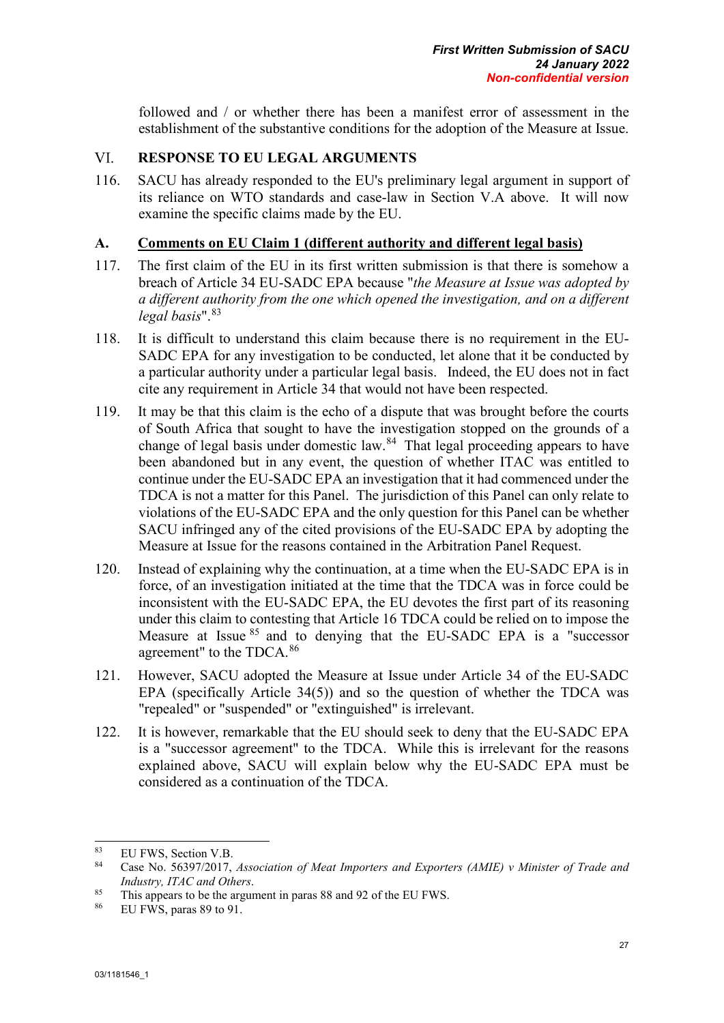followed and / or whether there has been a manifest error of assessment in the establishment of the substantive conditions for the adoption of the Measure at Issue.

#### **RESPONSE TO EU LEGAL ARGUMENTS** VI.

116. SACU has already responded to the EU's preliminary legal argument in support of its reliance on WTO standards and case-law in Section V.A above. It will now examine the specific claims made by the EU.

## **A. Comments on EU Claim 1 (different authority and different legal basis)**

- 117. The first claim of the EU in its first written submission is that there is somehow a breach of Article 34 EU-SADC EPA because "*the Measure at Issue was adopted by a different authority from the one which opened the investigation, and on a different legal basis*".[83](#page-37-0)
- 118. It is difficult to understand this claim because there is no requirement in the EU-SADC EPA for any investigation to be conducted, let alone that it be conducted by a particular authority under a particular legal basis. Indeed, the EU does not in fact cite any requirement in Article 34 that would not have been respected.
- 119. It may be that this claim is the echo of a dispute that was brought before the courts of South Africa that sought to have the investigation stopped on the grounds of a change of legal basis under domestic law. $84$  That legal proceeding appears to have been abandoned but in any event, the question of whether ITAC was entitled to continue under the EU-SADC EPA an investigation that it had commenced under the TDCA is not a matter for this Panel. The jurisdiction of this Panel can only relate to violations of the EU-SADC EPA and the only question for this Panel can be whether SACU infringed any of the cited provisions of the EU-SADC EPA by adopting the Measure at Issue for the reasons contained in the Arbitration Panel Request.
- 120. Instead of explaining why the continuation, at a time when the EU-SADC EPA is in force, of an investigation initiated at the time that the TDCA was in force could be inconsistent with the EU-SADC EPA, the EU devotes the first part of its reasoning under this claim to contesting that Article 16 TDCA could be relied on to impose the Measure at Issue <sup>[85](#page-37-2)</sup> and to denying that the EU-SADC EPA is a "successor agreement" to the TDCA.[86](#page-37-3)
- 121. However, SACU adopted the Measure at Issue under Article 34 of the EU-SADC EPA (specifically Article 34(5)) and so the question of whether the TDCA was "repealed" or "suspended" or "extinguished" is irrelevant.
- 122. It is however, remarkable that the EU should seek to deny that the EU-SADC EPA is a "successor agreement" to the TDCA. While this is irrelevant for the reasons explained above, SACU will explain below why the EU-SADC EPA must be considered as a continuation of the TDCA.

<span id="page-37-0"></span><sup>-</sup><sup>83</sup> EU FWS, Section V.B.<br><sup>84</sup> Case No. 56307/2017

<span id="page-37-1"></span><sup>84</sup> Case No. 56397/2017, *Association of Meat Importers and Exporters (AMIE) v Minister of Trade and Industry, ITAC and Others*.

<span id="page-37-3"></span><span id="page-37-2"></span><sup>&</sup>lt;sup>85</sup> This appears to be the argument in paras 88 and 92 of the EU FWS.<br><sup>86</sup> EU FWS, paras 89 to 91

EU FWS, paras 89 to 91.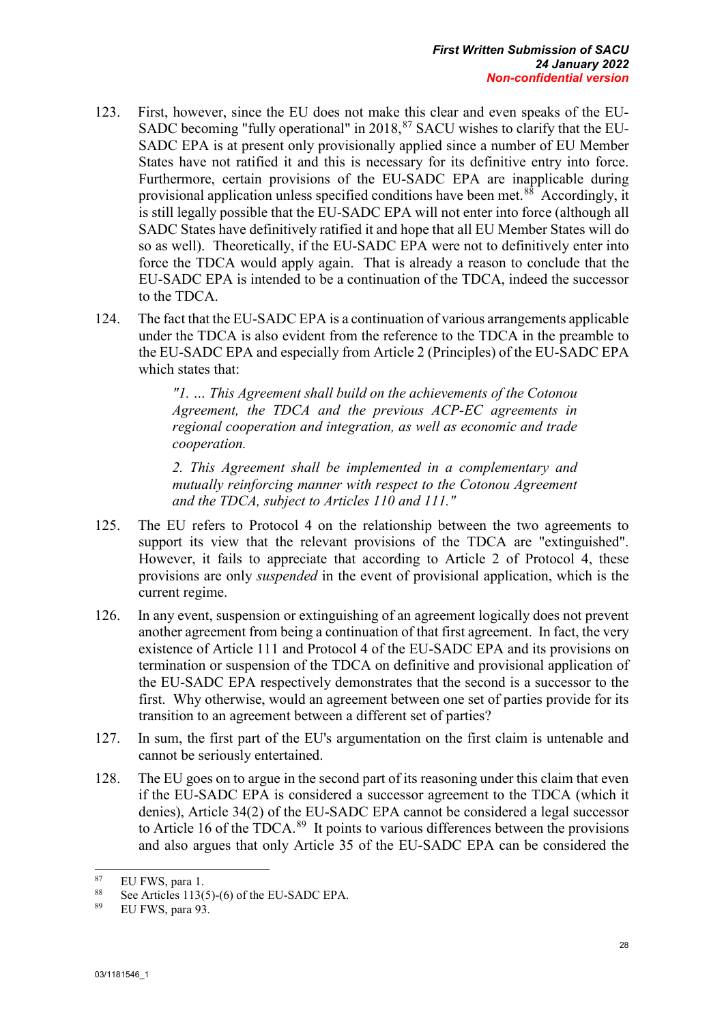- 123. First, however, since the EU does not make this clear and even speaks of the EU-SADC becoming "fully operational" in  $2018$ ,  $87$  SACU wishes to clarify that the EU-SADC EPA is at present only provisionally applied since a number of EU Member States have not ratified it and this is necessary for its definitive entry into force. Furthermore, certain provisions of the EU-SADC EPA are inapplicable during provisional application unless specified conditions have been met. [88](#page-38-1) Accordingly, it is still legally possible that the EU-SADC EPA will not enter into force (although all SADC States have definitively ratified it and hope that all EU Member States will do so as well). Theoretically, if the EU-SADC EPA were not to definitively enter into force the TDCA would apply again. That is already a reason to conclude that the EU-SADC EPA is intended to be a continuation of the TDCA, indeed the successor to the TDCA.
- 124. The fact that the EU-SADC EPA is a continuation of various arrangements applicable under the TDCA is also evident from the reference to the TDCA in the preamble to the EU-SADC EPA and especially from Article 2 (Principles) of the EU-SADC EPA which states that:

*"1. … This Agreement shall build on the achievements of the Cotonou Agreement, the TDCA and the previous ACP-EC agreements in regional cooperation and integration, as well as economic and trade cooperation.* 

*2. This Agreement shall be implemented in a complementary and mutually reinforcing manner with respect to the Cotonou Agreement and the TDCA, subject to Articles 110 and 111."*

- 125. The EU refers to Protocol 4 on the relationship between the two agreements to support its view that the relevant provisions of the TDCA are "extinguished". However, it fails to appreciate that according to Article 2 of Protocol 4, these provisions are only *suspended* in the event of provisional application, which is the current regime.
- 126. In any event, suspension or extinguishing of an agreement logically does not prevent another agreement from being a continuation of that first agreement. In fact, the very existence of Article 111 and Protocol 4 of the EU-SADC EPA and its provisions on termination or suspension of the TDCA on definitive and provisional application of the EU-SADC EPA respectively demonstrates that the second is a successor to the first. Why otherwise, would an agreement between one set of parties provide for its transition to an agreement between a different set of parties?
- 127. In sum, the first part of the EU's argumentation on the first claim is untenable and cannot be seriously entertained.
- 128. The EU goes on to argue in the second part of its reasoning under this claim that even if the EU-SADC EPA is considered a successor agreement to the TDCA (which it denies), Article 34(2) of the EU-SADC EPA cannot be considered a legal successor to Article 16 of the TDCA. $^{89}$  $^{89}$  $^{89}$  It points to various differences between the provisions and also argues that only Article 35 of the EU-SADC EPA can be considered the

<span id="page-38-0"></span> $87$  $^{87}$  EU FWS, para 1.<br> $^{88}$  See Articles 1126

<span id="page-38-2"></span><span id="page-38-1"></span><sup>&</sup>lt;sup>88</sup> See Articles 113(5)-(6) of the EU-SADC EPA.<br><sup>89</sup> EU EWS para 93

EU FWS, para 93.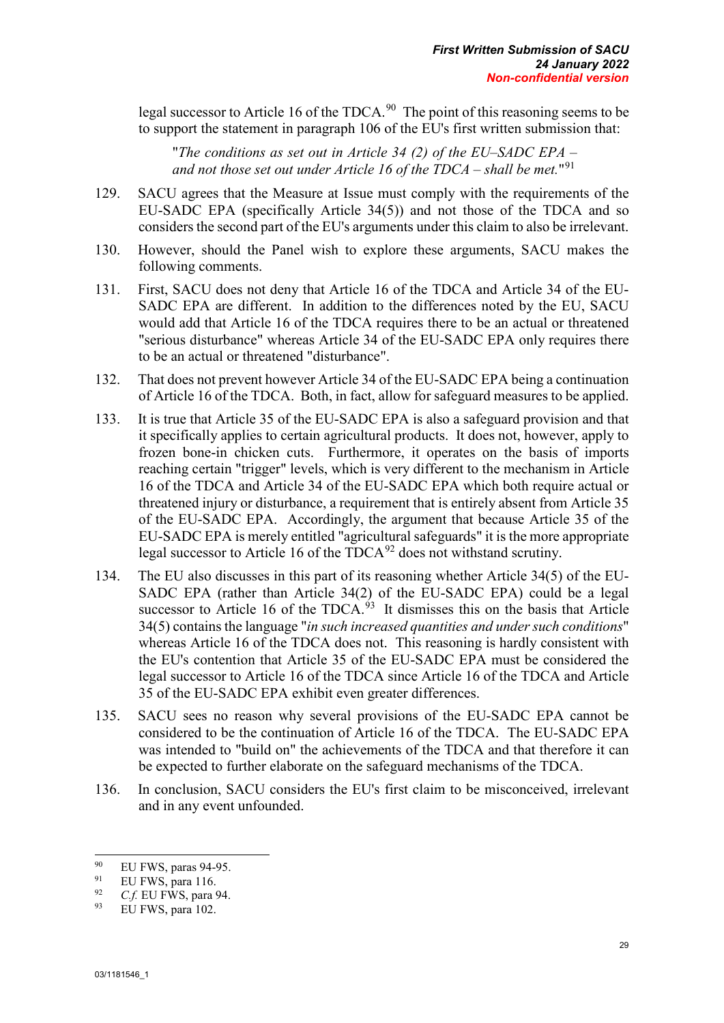legal successor to Article 16 of the TDCA.<sup>90</sup> The point of this reasoning seems to be to support the statement in paragraph 106 of the EU's first written submission that:

"*The conditions as set out in Article 34 (2) of the EU–SADC EPA – and not those set out under Article 16 of the TDCA – shall be met.*"[91](#page-39-1)

- 129. SACU agrees that the Measure at Issue must comply with the requirements of the EU-SADC EPA (specifically Article 34(5)) and not those of the TDCA and so considers the second part of the EU's arguments under this claim to also be irrelevant.
- 130. However, should the Panel wish to explore these arguments, SACU makes the following comments.
- 131. First, SACU does not deny that Article 16 of the TDCA and Article 34 of the EU-SADC EPA are different. In addition to the differences noted by the EU, SACU would add that Article 16 of the TDCA requires there to be an actual or threatened "serious disturbance" whereas Article 34 of the EU-SADC EPA only requires there to be an actual or threatened "disturbance".
- 132. That does not prevent however Article 34 of the EU-SADC EPA being a continuation of Article 16 of the TDCA. Both, in fact, allow for safeguard measures to be applied.
- 133. It is true that Article 35 of the EU-SADC EPA is also a safeguard provision and that it specifically applies to certain agricultural products. It does not, however, apply to frozen bone-in chicken cuts. Furthermore, it operates on the basis of imports reaching certain "trigger" levels, which is very different to the mechanism in Article 16 of the TDCA and Article 34 of the EU-SADC EPA which both require actual or threatened injury or disturbance, a requirement that is entirely absent from Article 35 of the EU-SADC EPA. Accordingly, the argument that because Article 35 of the EU-SADC EPA is merely entitled "agricultural safeguards" it is the more appropriate legal successor to Article 16 of the  $TDCA^{92}$  $TDCA^{92}$  $TDCA^{92}$  does not withstand scrutiny.
- 134. The EU also discusses in this part of its reasoning whether Article 34(5) of the EU-SADC EPA (rather than Article 34(2) of the EU-SADC EPA) could be a legal successor to Article 16 of the TDCA. $93$  It dismisses this on the basis that Article 34(5) contains the language "*in such increased quantities and under such conditions*" whereas Article 16 of the TDCA does not. This reasoning is hardly consistent with the EU's contention that Article 35 of the EU-SADC EPA must be considered the legal successor to Article 16 of the TDCA since Article 16 of the TDCA and Article 35 of the EU-SADC EPA exhibit even greater differences.
- 135. SACU sees no reason why several provisions of the EU-SADC EPA cannot be considered to be the continuation of Article 16 of the TDCA. The EU-SADC EPA was intended to "build on" the achievements of the TDCA and that therefore it can be expected to further elaborate on the safeguard mechanisms of the TDCA.
- 136. In conclusion, SACU considers the EU's first claim to be misconceived, irrelevant and in any event unfounded.

<span id="page-39-0"></span><sup>-</sup> $^{90}$  EU FWS, paras 94-95.

<span id="page-39-1"></span><sup>&</sup>lt;sup>91</sup> EU FWS, para 116.<br><sup>92</sup> C f EU EWS, para 1

<span id="page-39-2"></span> $^{92}$  *C.f.* EU FWS, para 94.

<span id="page-39-3"></span>EU FWS, para 102.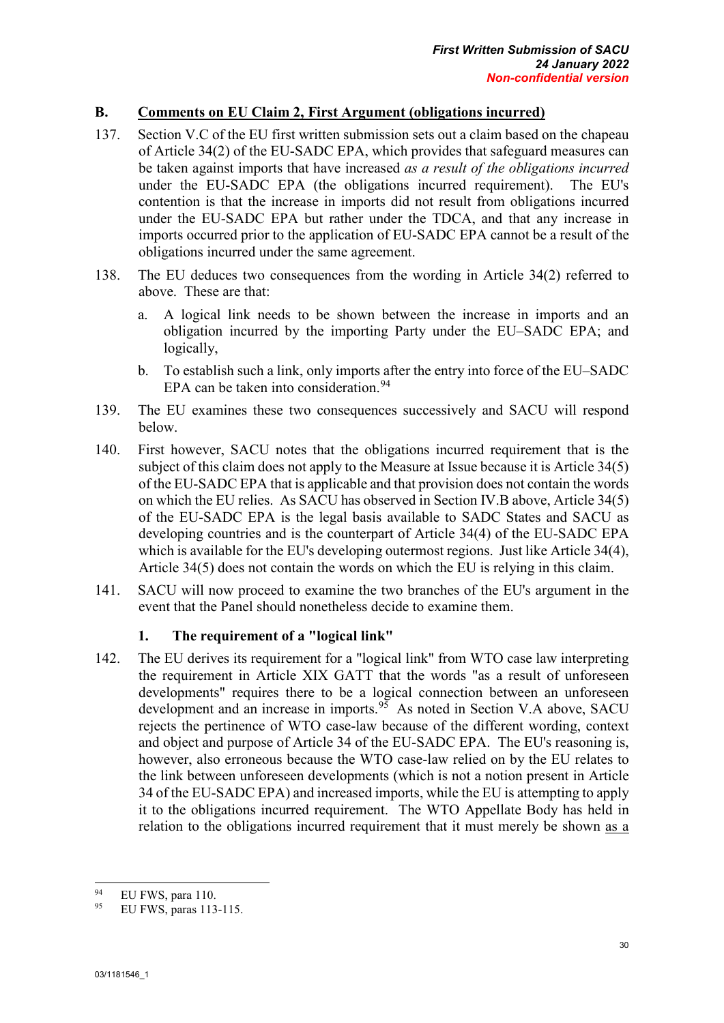# **B. Comments on EU Claim 2, First Argument (obligations incurred)**

- 137. Section V.C of the EU first written submission sets out a claim based on the chapeau of Article 34(2) of the EU-SADC EPA, which provides that safeguard measures can be taken against imports that have increased *as a result of the obligations incurred* under the EU-SADC EPA (the obligations incurred requirement). The EU's contention is that the increase in imports did not result from obligations incurred under the EU-SADC EPA but rather under the TDCA, and that any increase in imports occurred prior to the application of EU-SADC EPA cannot be a result of the obligations incurred under the same agreement.
- 138. The EU deduces two consequences from the wording in Article 34(2) referred to above. These are that:
	- a. A logical link needs to be shown between the increase in imports and an obligation incurred by the importing Party under the EU–SADC EPA; and logically,
	- b. To establish such a link, only imports after the entry into force of the EU–SADC EPA can be taken into consideration.<sup>[94](#page-40-0)</sup>
- 139. The EU examines these two consequences successively and SACU will respond below.
- 140. First however, SACU notes that the obligations incurred requirement that is the subject of this claim does not apply to the Measure at Issue because it is Article 34(5) of the EU-SADC EPA that is applicable and that provision does not contain the words on which the EU relies. As SACU has observed in Section IV.B above, Article 34(5) of the EU-SADC EPA is the legal basis available to SADC States and SACU as developing countries and is the counterpart of Article 34(4) of the EU-SADC EPA which is available for the EU's developing outermost regions. Just like Article 34(4), Article 34(5) does not contain the words on which the EU is relying in this claim.
- 141. SACU will now proceed to examine the two branches of the EU's argument in the event that the Panel should nonetheless decide to examine them.

#### **1. The requirement of a "logical link"**

142. The EU derives its requirement for a "logical link" from WTO case law interpreting the requirement in Article XIX GATT that the words "as a result of unforeseen developments" requires there to be a logical connection between an unforeseen development and an increase in imports.<sup>95</sup> As noted in Section V.A above, SACU rejects the pertinence of WTO case-law because of the different wording, context and object and purpose of Article 34 of the EU-SADC EPA. The EU's reasoning is, however, also erroneous because the WTO case-law relied on by the EU relates to the link between unforeseen developments (which is not a notion present in Article 34 of the EU-SADC EPA) and increased imports, while the EU is attempting to apply it to the obligations incurred requirement. The WTO Appellate Body has held in relation to the obligations incurred requirement that it must merely be shown as a

<span id="page-40-0"></span> $Q_{\Delta}$  $^{94}$  EU FWS, para 110.<br>
<sup>95</sup> EU FWS, paras 113

<span id="page-40-1"></span><sup>95</sup> EU FWS, paras 113-115.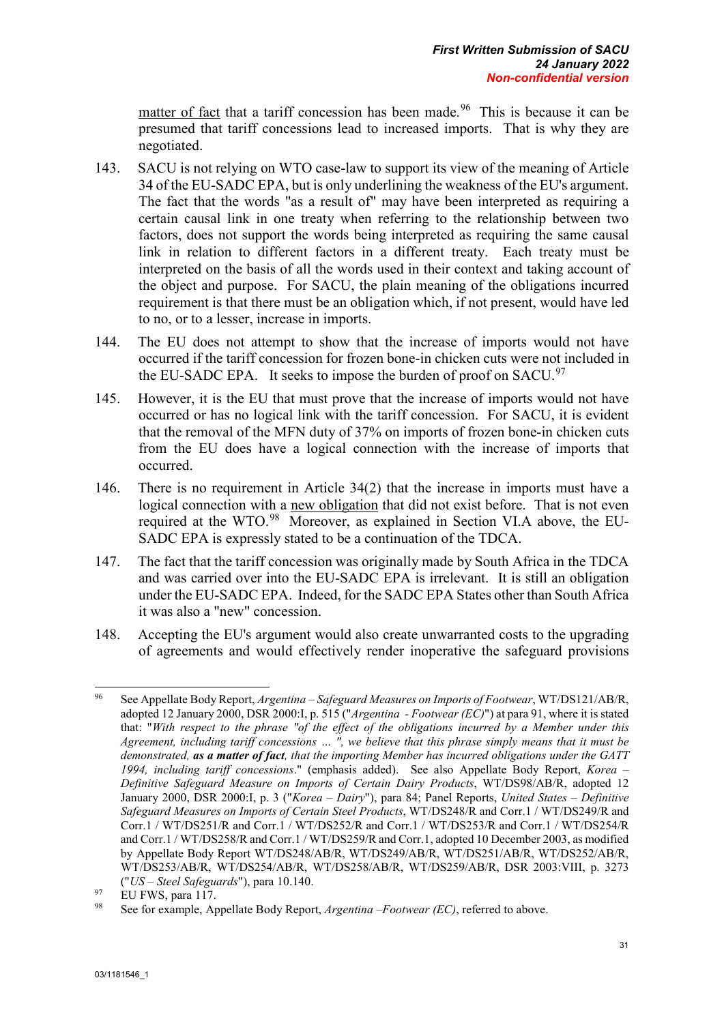matter of fact that a tariff concession has been made.<sup>[96](#page-41-0)</sup> This is because it can be presumed that tariff concessions lead to increased imports. That is why they are negotiated.

- 143. SACU is not relying on WTO case-law to support its view of the meaning of Article 34 of the EU-SADC EPA, but is only underlining the weakness of the EU's argument. The fact that the words "as a result of" may have been interpreted as requiring a certain causal link in one treaty when referring to the relationship between two factors, does not support the words being interpreted as requiring the same causal link in relation to different factors in a different treaty. Each treaty must be interpreted on the basis of all the words used in their context and taking account of the object and purpose. For SACU, the plain meaning of the obligations incurred requirement is that there must be an obligation which, if not present, would have led to no, or to a lesser, increase in imports.
- 144. The EU does not attempt to show that the increase of imports would not have occurred if the tariff concession for frozen bone-in chicken cuts were not included in the EU-SADC EPA. It seeks to impose the burden of proof on  $SACU$ .<sup>[97](#page-41-1)</sup>
- 145. However, it is the EU that must prove that the increase of imports would not have occurred or has no logical link with the tariff concession. For SACU, it is evident that the removal of the MFN duty of 37% on imports of frozen bone-in chicken cuts from the EU does have a logical connection with the increase of imports that occurred.
- 146. There is no requirement in Article 34(2) that the increase in imports must have a logical connection with a new obligation that did not exist before. That is not even required at the WTO.<sup>[98](#page-41-2)</sup> Moreover, as explained in Section VI.A above, the EU-SADC EPA is expressly stated to be a continuation of the TDCA.
- 147. The fact that the tariff concession was originally made by South Africa in the TDCA and was carried over into the EU-SADC EPA is irrelevant. It is still an obligation under the EU-SADC EPA. Indeed, for the SADC EPA States other than South Africa it was also a "new" concession.
- 148. Accepting the EU's argument would also create unwarranted costs to the upgrading of agreements and would effectively render inoperative the safeguard provisions

<span id="page-41-0"></span><sup>96</sup> <sup>96</sup> See Appellate Body Report, *Argentina – Safeguard Measures on Imports of Footwear*, WT/DS121/AB/R, adopted 12 January 2000, DSR 2000:I, p. 515 ("*Argentina - Footwear (EC)*") at para 91, where it is stated that: "*With respect to the phrase "of the effect of the obligations incurred by a Member under this Agreement, including tariff concessions … ", we believe that this phrase simply means that it must be demonstrated, as a matter of fact, that the importing Member has incurred obligations under the GATT 1994, including tariff concessions*." (emphasis added). See also Appellate Body Report, *Korea – Definitive Safeguard Measure on Imports of Certain Dairy Products*, WT/DS98/AB/R, adopted 12 January 2000, DSR 2000:I, p. 3 ("*Korea – Dairy*"), para 84; Panel Reports, *United States – Definitive Safeguard Measures on Imports of Certain Steel Products*, WT/DS248/R and Corr.1 / WT/DS249/R and Corr.1 / WT/DS251/R and Corr.1 / WT/DS252/R and Corr.1 / WT/DS253/R and Corr.1 / WT/DS254/R and Corr.1 / WT/DS258/R and Corr.1 / WT/DS259/R and Corr.1, adopted 10 December 2003, as modified by Appellate Body Report WT/DS248/AB/R, WT/DS249/AB/R, WT/DS251/AB/R, WT/DS252/AB/R, WT/DS253/AB/R, WT/DS254/AB/R, WT/DS258/AB/R, WT/DS259/AB/R, DSR 2003:VIII, p. 3273 ("*US – Steel Safeguards*"), para 10.140.

<span id="page-41-1"></span> $^{97}$  EU FWS, para 117.

<span id="page-41-2"></span><sup>98</sup> See for example, Appellate Body Report, *Argentina –Footwear (EC)*, referred to above.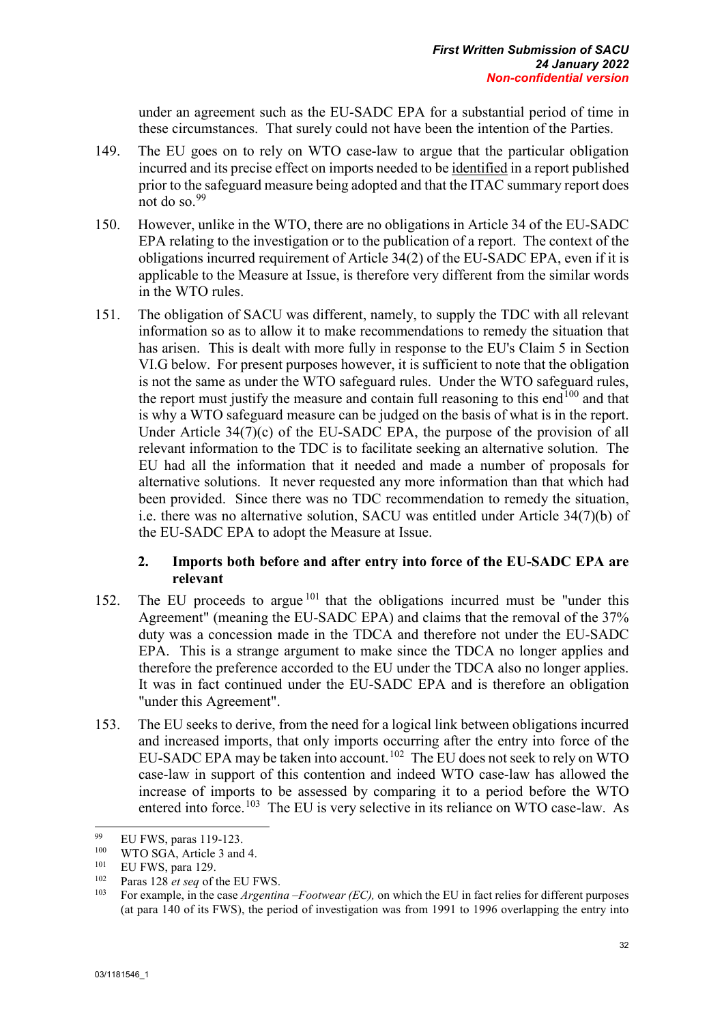under an agreement such as the EU-SADC EPA for a substantial period of time in these circumstances. That surely could not have been the intention of the Parties.

- 149. The EU goes on to rely on WTO case-law to argue that the particular obligation incurred and its precise effect on imports needed to be identified in a report published prior to the safeguard measure being adopted and that the ITAC summary report does not do so.[99](#page-42-0)
- 150. However, unlike in the WTO, there are no obligations in Article 34 of the EU-SADC EPA relating to the investigation or to the publication of a report. The context of the obligations incurred requirement of Article 34(2) of the EU-SADC EPA, even if it is applicable to the Measure at Issue, is therefore very different from the similar words in the WTO rules.
- 151. The obligation of SACU was different, namely, to supply the TDC with all relevant information so as to allow it to make recommendations to remedy the situation that has arisen. This is dealt with more fully in response to the EU's Claim 5 in Section VI.G below. For present purposes however, it is sufficient to note that the obligation is not the same as under the WTO safeguard rules. Under the WTO safeguard rules, the report must justify the measure and contain full reasoning to this end<sup>[100](#page-42-1)</sup> and that is why a WTO safeguard measure can be judged on the basis of what is in the report. Under Article 34(7)(c) of the EU-SADC EPA, the purpose of the provision of all relevant information to the TDC is to facilitate seeking an alternative solution. The EU had all the information that it needed and made a number of proposals for alternative solutions. It never requested any more information than that which had been provided. Since there was no TDC recommendation to remedy the situation, i.e. there was no alternative solution, SACU was entitled under Article 34(7)(b) of the EU-SADC EPA to adopt the Measure at Issue.

## **2. Imports both before and after entry into force of the EU-SADC EPA are relevant**

- 152. The EU proceeds to argue <sup>[101](#page-42-2)</sup> that the obligations incurred must be "under this Agreement" (meaning the EU-SADC EPA) and claims that the removal of the 37% duty was a concession made in the TDCA and therefore not under the EU-SADC EPA. This is a strange argument to make since the TDCA no longer applies and therefore the preference accorded to the EU under the TDCA also no longer applies. It was in fact continued under the EU-SADC EPA and is therefore an obligation "under this Agreement".
- 153. The EU seeks to derive, from the need for a logical link between obligations incurred and increased imports, that only imports occurring after the entry into force of the EU-SADC EPA may be taken into account.<sup>102</sup> The EU does not seek to rely on WTO case-law in support of this contention and indeed WTO case-law has allowed the increase of imports to be assessed by comparing it to a period before the WTO entered into force.<sup>[103](#page-42-4)</sup> The EU is very selective in its reliance on WTO case-law. As

<span id="page-42-0"></span><sup>99</sup>  $^{99}$  EU FWS, paras 119-123.

<span id="page-42-1"></span> $^{100}$  WTO SGA, Article 3 and 4.

<span id="page-42-2"></span> $^{101}$  EU FWS, para 129.

<span id="page-42-4"></span><span id="page-42-3"></span><sup>&</sup>lt;sup>102</sup> Paras 128 *et seq* of the EU FWS.

<sup>103</sup> For example, in the case *Argentina –Footwear (EC),* on which the EU in fact relies for different purposes (at para 140 of its FWS), the period of investigation was from 1991 to 1996 overlapping the entry into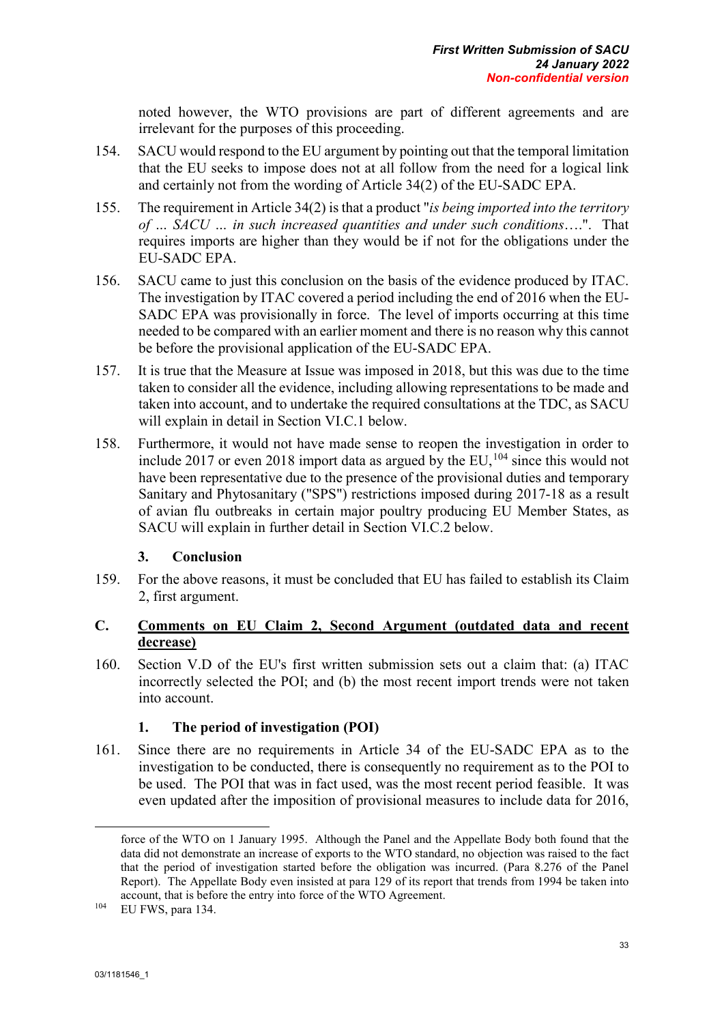noted however, the WTO provisions are part of different agreements and are irrelevant for the purposes of this proceeding.

- 154. SACU would respond to the EU argument by pointing out that the temporal limitation that the EU seeks to impose does not at all follow from the need for a logical link and certainly not from the wording of Article 34(2) of the EU-SADC EPA.
- 155. The requirement in Article 34(2) is that a product "*is being imported into the territory of … SACU … in such increased quantities and under such conditions*….". That requires imports are higher than they would be if not for the obligations under the EU-SADC EPA.
- 156. SACU came to just this conclusion on the basis of the evidence produced by ITAC. The investigation by ITAC covered a period including the end of 2016 when the EU-SADC EPA was provisionally in force. The level of imports occurring at this time needed to be compared with an earlier moment and there is no reason why this cannot be before the provisional application of the EU-SADC EPA.
- 157. It is true that the Measure at Issue was imposed in 2018, but this was due to the time taken to consider all the evidence, including allowing representations to be made and taken into account, and to undertake the required consultations at the TDC, as SACU will explain in detail in Section VI.C.1 below.
- 158. Furthermore, it would not have made sense to reopen the investigation in order to include 2017 or even 2018 import data as argued by the EU,  $104$  since this would not have been representative due to the presence of the provisional duties and temporary Sanitary and Phytosanitary ("SPS") restrictions imposed during 2017-18 as a result of avian flu outbreaks in certain major poultry producing EU Member States, as SACU will explain in further detail in Section VI.C.2 below.

# **3. Conclusion**

159. For the above reasons, it must be concluded that EU has failed to establish its Claim 2, first argument.

# **C. Comments on EU Claim 2, Second Argument (outdated data and recent decrease)**

160. Section V.D of the EU's first written submission sets out a claim that: (a) ITAC incorrectly selected the POI; and (b) the most recent import trends were not taken into account.

# **1. The period of investigation (POI)**

161. Since there are no requirements in Article 34 of the EU-SADC EPA as to the investigation to be conducted, there is consequently no requirement as to the POI to be used. The POI that was in fact used, was the most recent period feasible. It was even updated after the imposition of provisional measures to include data for 2016,

-

force of the WTO on 1 January 1995. Although the Panel and the Appellate Body both found that the data did not demonstrate an increase of exports to the WTO standard, no objection was raised to the fact that the period of investigation started before the obligation was incurred. (Para 8.276 of the Panel Report). The Appellate Body even insisted at para 129 of its report that trends from 1994 be taken into account, that is before the entry into force of the WTO Agreement.

<span id="page-43-0"></span><sup>104</sup> EU FWS, para 134.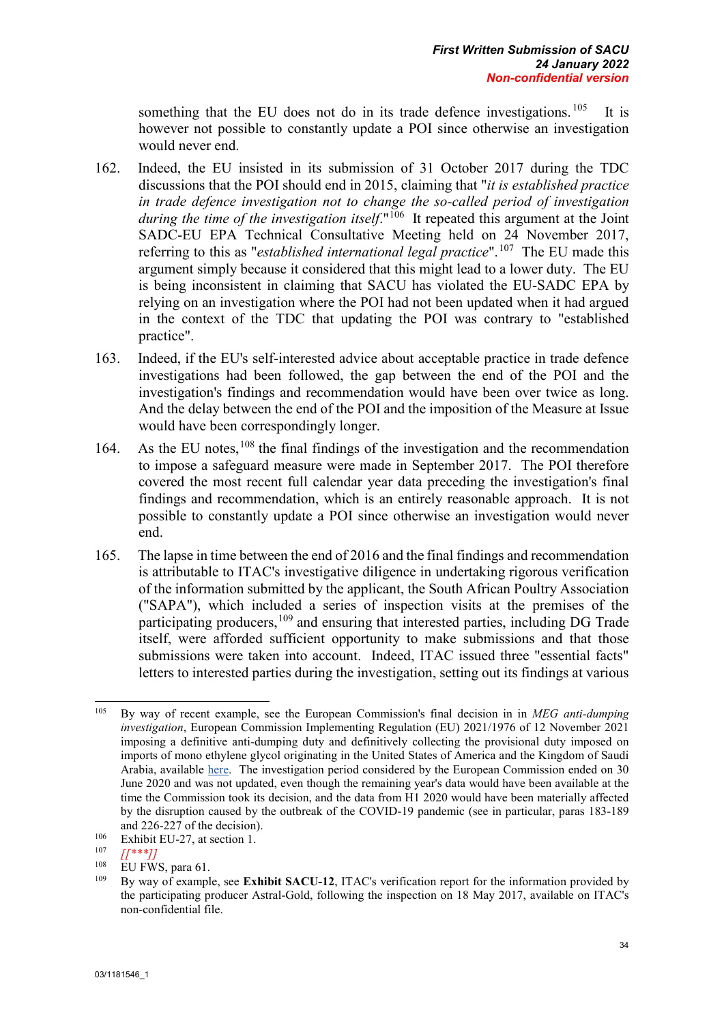something that the EU does not do in its trade defence investigations.  $105$  It is however not possible to constantly update a POI since otherwise an investigation would never end.

- 162. Indeed, the EU insisted in its submission of 31 October 2017 during the TDC discussions that the POI should end in 2015, claiming that "*it is established practice in trade defence investigation not to change the so-called period of investigation during the time of the investigation itself.*"<sup>106</sup> It repeated this argument at the Joint SADC-EU EPA Technical Consultative Meeting held on 24 November 2017, referring to this as "*established international legal practice*".[107](#page-44-2) The EU made this argument simply because it considered that this might lead to a lower duty. The EU is being inconsistent in claiming that SACU has violated the EU-SADC EPA by relying on an investigation where the POI had not been updated when it had argued in the context of the TDC that updating the POI was contrary to "established practice".
- 163. Indeed, if the EU's self-interested advice about acceptable practice in trade defence investigations had been followed, the gap between the end of the POI and the investigation's findings and recommendation would have been over twice as long. And the delay between the end of the POI and the imposition of the Measure at Issue would have been correspondingly longer.
- 164. As the EU notes,  $108$  the final findings of the investigation and the recommendation to impose a safeguard measure were made in September 2017. The POI therefore covered the most recent full calendar year data preceding the investigation's final findings and recommendation, which is an entirely reasonable approach. It is not possible to constantly update a POI since otherwise an investigation would never end.
- 165. The lapse in time between the end of 2016 and the final findings and recommendation is attributable to ITAC's investigative diligence in undertaking rigorous verification of the information submitted by the applicant, the South African Poultry Association ("SAPA"), which included a series of inspection visits at the premises of the participating producers,  $109$  and ensuring that interested parties, including DG Trade itself, were afforded sufficient opportunity to make submissions and that those submissions were taken into account. Indeed, ITAC issued three "essential facts" letters to interested parties during the investigation, setting out its findings at various

<span id="page-44-0"></span><sup>105</sup> <sup>105</sup> By way of recent example, see the European Commission's final decision in in *MEG anti-dumping investigation*, European Commission Implementing Regulation (EU) 2021/1976 of 12 November 2021 imposing a definitive anti-dumping duty and definitively collecting the provisional duty imposed on imports of mono ethylene glycol originating in the United States of America and the Kingdom of Saudi Arabia, available [here.](https://eur-lex.europa.eu/legal-content/EN/TXT/PDF/?uri=CELEX:32021R1976&from=EN) The investigation period considered by the European Commission ended on 30 June 2020 and was not updated, even though the remaining year's data would have been available at the time the Commission took its decision, and the data from H1 2020 would have been materially affected by the disruption caused by the outbreak of the COVID-19 pandemic (see in particular, paras 183-189 and 226-227 of the decision).

<span id="page-44-1"></span><sup>&</sup>lt;sup>106</sup> Exhibit EU-27, at section 1.

<span id="page-44-2"></span> $\frac{107}{108}$   $\frac{1}{108}$   $\frac{107}{101}$   $\frac{108}{101}$ 

<span id="page-44-4"></span><span id="page-44-3"></span> $^{108}$  EU FWS, para 61.

<sup>109</sup> By way of example, see **Exhibit SACU-12**, ITAC's verification report for the information provided by the participating producer Astral-Gold, following the inspection on 18 May 2017, available on ITAC's non-confidential file.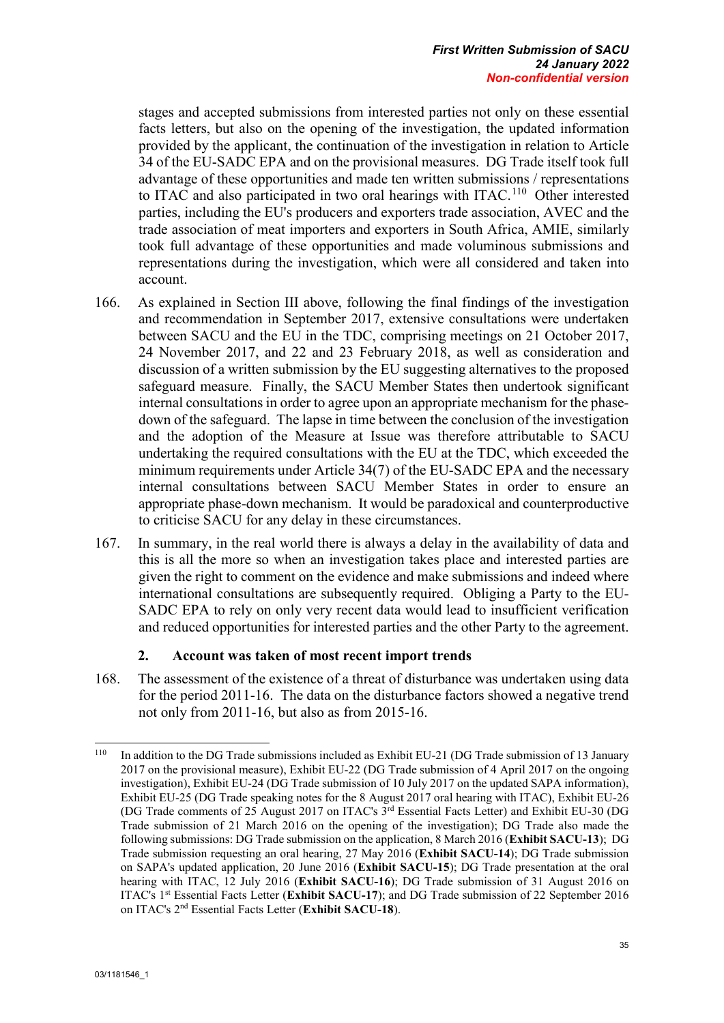stages and accepted submissions from interested parties not only on these essential facts letters, but also on the opening of the investigation, the updated information provided by the applicant, the continuation of the investigation in relation to Article 34 of the EU-SADC EPA and on the provisional measures. DG Trade itself took full advantage of these opportunities and made ten written submissions / representations to ITAC and also participated in two oral hearings with ITAC.[110](#page-45-0) Other interested parties, including the EU's producers and exporters trade association, AVEC and the trade association of meat importers and exporters in South Africa, AMIE, similarly took full advantage of these opportunities and made voluminous submissions and representations during the investigation, which were all considered and taken into account.

- 166. As explained in Section III above, following the final findings of the investigation and recommendation in September 2017, extensive consultations were undertaken between SACU and the EU in the TDC, comprising meetings on 21 October 2017, 24 November 2017, and 22 and 23 February 2018, as well as consideration and discussion of a written submission by the EU suggesting alternatives to the proposed safeguard measure. Finally, the SACU Member States then undertook significant internal consultations in order to agree upon an appropriate mechanism for the phasedown of the safeguard. The lapse in time between the conclusion of the investigation and the adoption of the Measure at Issue was therefore attributable to SACU undertaking the required consultations with the EU at the TDC, which exceeded the minimum requirements under Article 34(7) of the EU-SADC EPA and the necessary internal consultations between SACU Member States in order to ensure an appropriate phase-down mechanism. It would be paradoxical and counterproductive to criticise SACU for any delay in these circumstances.
- 167. In summary, in the real world there is always a delay in the availability of data and this is all the more so when an investigation takes place and interested parties are given the right to comment on the evidence and make submissions and indeed where international consultations are subsequently required. Obliging a Party to the EU-SADC EPA to rely on only very recent data would lead to insufficient verification and reduced opportunities for interested parties and the other Party to the agreement.

#### **2. Account was taken of most recent import trends**

168. The assessment of the existence of a threat of disturbance was undertaken using data for the period 2011-16. The data on the disturbance factors showed a negative trend not only from 2011-16, but also as from 2015-16.

<span id="page-45-0"></span><sup>110</sup> In addition to the DG Trade submissions included as Exhibit EU-21 (DG Trade submission of 13 January 2017 on the provisional measure), Exhibit EU-22 (DG Trade submission of 4 April 2017 on the ongoing investigation), Exhibit EU-24 (DG Trade submission of 10 July 2017 on the updated SAPA information), Exhibit EU-25 (DG Trade speaking notes for the 8 August 2017 oral hearing with ITAC), Exhibit EU-26 (DG Trade comments of 25 August 2017 on ITAC's 3rd Essential Facts Letter) and Exhibit EU-30 (DG Trade submission of 21 March 2016 on the opening of the investigation); DG Trade also made the following submissions: DG Trade submission on the application, 8 March 2016 (**Exhibit SACU-13**); DG Trade submission requesting an oral hearing, 27 May 2016 (**Exhibit SACU-14**); DG Trade submission on SAPA's updated application, 20 June 2016 (**Exhibit SACU-15**); DG Trade presentation at the oral hearing with ITAC, 12 July 2016 (**Exhibit SACU-16**); DG Trade submission of 31 August 2016 on ITAC's 1st Essential Facts Letter (**Exhibit SACU-17**); and DG Trade submission of 22 September 2016 on ITAC's 2nd Essential Facts Letter (**Exhibit SACU-18**).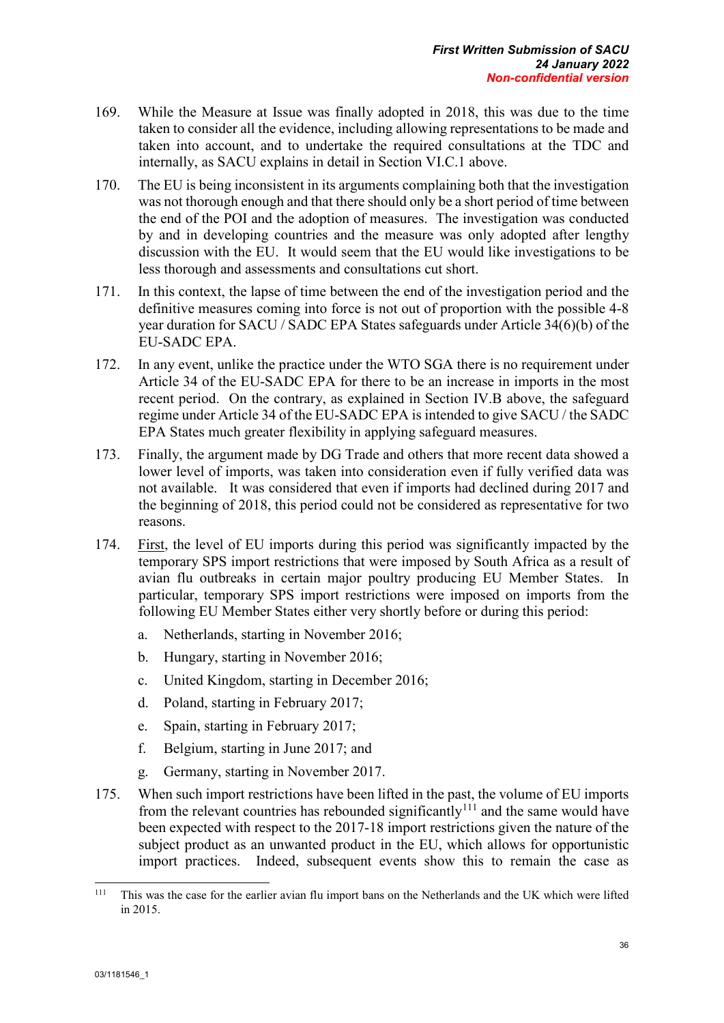- 169. While the Measure at Issue was finally adopted in 2018, this was due to the time taken to consider all the evidence, including allowing representations to be made and taken into account, and to undertake the required consultations at the TDC and internally, as SACU explains in detail in Section VI.C.1 above.
- 170. The EU is being inconsistent in its arguments complaining both that the investigation was not thorough enough and that there should only be a short period of time between the end of the POI and the adoption of measures. The investigation was conducted by and in developing countries and the measure was only adopted after lengthy discussion with the EU. It would seem that the EU would like investigations to be less thorough and assessments and consultations cut short.
- 171. In this context, the lapse of time between the end of the investigation period and the definitive measures coming into force is not out of proportion with the possible 4-8 year duration for SACU / SADC EPA States safeguards under Article 34(6)(b) of the EU-SADC EPA.
- 172. In any event, unlike the practice under the WTO SGA there is no requirement under Article 34 of the EU-SADC EPA for there to be an increase in imports in the most recent period. On the contrary, as explained in Section IV.B above, the safeguard regime under Article 34 of the EU-SADC EPA is intended to give SACU / the SADC EPA States much greater flexibility in applying safeguard measures.
- 173. Finally, the argument made by DG Trade and others that more recent data showed a lower level of imports, was taken into consideration even if fully verified data was not available. It was considered that even if imports had declined during 2017 and the beginning of 2018, this period could not be considered as representative for two reasons.
- 174. First, the level of EU imports during this period was significantly impacted by the temporary SPS import restrictions that were imposed by South Africa as a result of avian flu outbreaks in certain major poultry producing EU Member States. In particular, temporary SPS import restrictions were imposed on imports from the following EU Member States either very shortly before or during this period:
	- a. Netherlands, starting in November 2016;
	- b. Hungary, starting in November 2016;
	- c. United Kingdom, starting in December 2016;
	- d. Poland, starting in February 2017;
	- e. Spain, starting in February 2017;
	- f. Belgium, starting in June 2017; and
	- g. Germany, starting in November 2017.
- 175. When such import restrictions have been lifted in the past, the volume of EU imports from the relevant countries has rebounded significantly<sup>[111](#page-46-0)</sup> and the same would have been expected with respect to the 2017-18 import restrictions given the nature of the subject product as an unwanted product in the EU, which allows for opportunistic import practices. Indeed, subsequent events show this to remain the case as

<span id="page-46-0"></span> $111$ This was the case for the earlier avian flu import bans on the Netherlands and the UK which were lifted in 2015.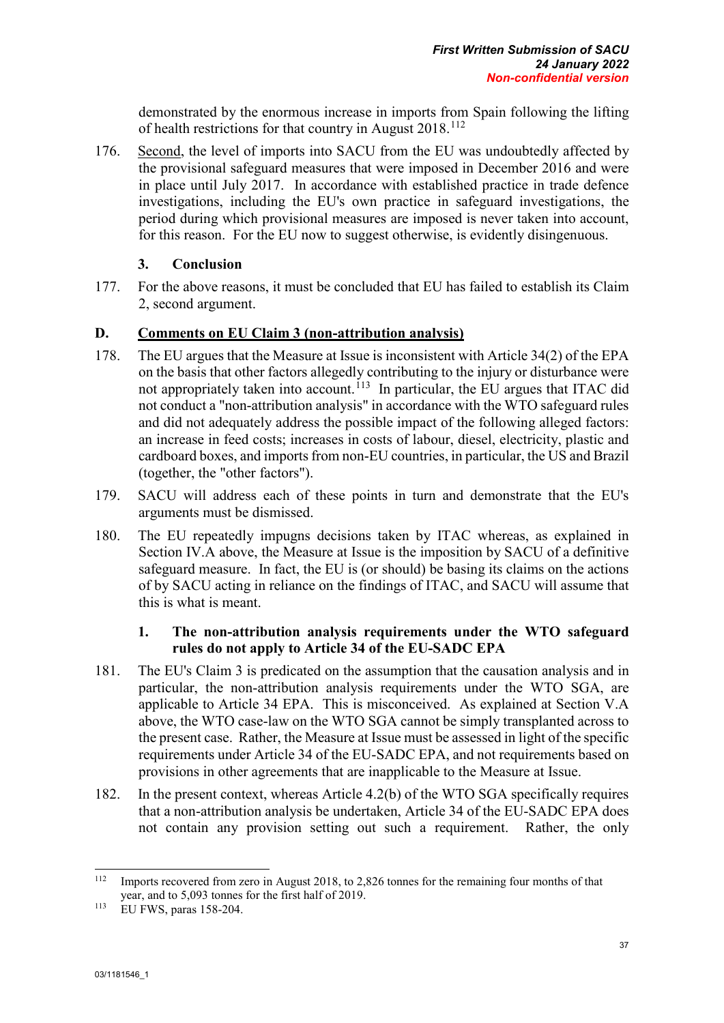demonstrated by the enormous increase in imports from Spain following the lifting of health restrictions for that country in August 2018.<sup>[112](#page-47-0)</sup>

176. Second, the level of imports into SACU from the EU was undoubtedly affected by the provisional safeguard measures that were imposed in December 2016 and were in place until July 2017. In accordance with established practice in trade defence investigations, including the EU's own practice in safeguard investigations, the period during which provisional measures are imposed is never taken into account, for this reason. For the EU now to suggest otherwise, is evidently disingenuous.

# **3. Conclusion**

177. For the above reasons, it must be concluded that EU has failed to establish its Claim 2, second argument.

# **D. Comments on EU Claim 3 (non-attribution analysis)**

- 178. The EU argues that the Measure at Issue is inconsistent with Article 34(2) of the EPA on the basis that other factors allegedly contributing to the injury or disturbance were not appropriately taken into account.<sup>113</sup> In particular, the EU argues that ITAC did not conduct a "non-attribution analysis" in accordance with the WTO safeguard rules and did not adequately address the possible impact of the following alleged factors: an increase in feed costs; increases in costs of labour, diesel, electricity, plastic and cardboard boxes, and imports from non-EU countries, in particular, the US and Brazil (together, the "other factors").
- 179. SACU will address each of these points in turn and demonstrate that the EU's arguments must be dismissed.
- 180. The EU repeatedly impugns decisions taken by ITAC whereas, as explained in Section IV.A above, the Measure at Issue is the imposition by SACU of a definitive safeguard measure. In fact, the EU is (or should) be basing its claims on the actions of by SACU acting in reliance on the findings of ITAC, and SACU will assume that this is what is meant.

## **1. The non-attribution analysis requirements under the WTO safeguard rules do not apply to Article 34 of the EU-SADC EPA**

- 181. The EU's Claim 3 is predicated on the assumption that the causation analysis and in particular, the non-attribution analysis requirements under the WTO SGA, are applicable to Article 34 EPA. This is misconceived. As explained at Section V.A above, the WTO case-law on the WTO SGA cannot be simply transplanted across to the present case. Rather, the Measure at Issue must be assessed in light of the specific requirements under Article 34 of the EU-SADC EPA, and not requirements based on provisions in other agreements that are inapplicable to the Measure at Issue.
- 182. In the present context, whereas Article 4.2(b) of the WTO SGA specifically requires that a non-attribution analysis be undertaken, Article 34 of the EU-SADC EPA does not contain any provision setting out such a requirement. Rather, the only

<span id="page-47-0"></span> $112$ <sup>112</sup> Imports recovered from zero in August 2018, to 2,826 tonnes for the remaining four months of that year, and to 5,093 tonnes for the first half of 2019.

<span id="page-47-1"></span><sup>113</sup> EU FWS, paras 158-204.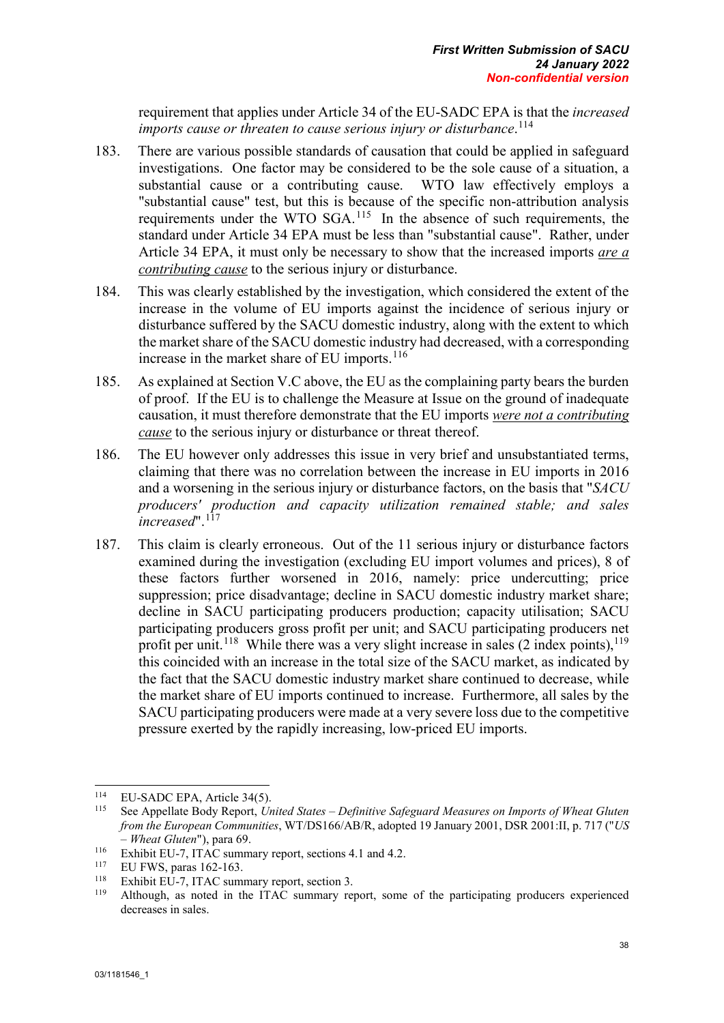requirement that applies under Article 34 of the EU-SADC EPA is that the *increased imports cause or threaten to cause serious injury or disturbance*. [114](#page-48-0) 

- 183. There are various possible standards of causation that could be applied in safeguard investigations. One factor may be considered to be the sole cause of a situation, a substantial cause or a contributing cause. WTO law effectively employs a "substantial cause" test, but this is because of the specific non-attribution analysis requirements under the WTO SGA.[115](#page-48-1) In the absence of such requirements, the standard under Article 34 EPA must be less than "substantial cause". Rather, under Article 34 EPA, it must only be necessary to show that the increased imports *are a contributing cause* to the serious injury or disturbance.
- 184. This was clearly established by the investigation, which considered the extent of the increase in the volume of EU imports against the incidence of serious injury or disturbance suffered by the SACU domestic industry, along with the extent to which the market share of the SACU domestic industry had decreased, with a corresponding increase in the market share of EU imports.<sup>[116](#page-48-2)</sup>
- 185. As explained at Section V.C above, the EU as the complaining party bears the burden of proof. If the EU is to challenge the Measure at Issue on the ground of inadequate causation, it must therefore demonstrate that the EU imports *were not a contributing cause* to the serious injury or disturbance or threat thereof.
- 186. The EU however only addresses this issue in very brief and unsubstantiated terms, claiming that there was no correlation between the increase in EU imports in 2016 and a worsening in the serious injury or disturbance factors, on the basis that "*SACU producers' production and capacity utilization remained stable; and sales increased*".[117](#page-48-3)
- 187. This claim is clearly erroneous. Out of the 11 serious injury or disturbance factors examined during the investigation (excluding EU import volumes and prices), 8 of these factors further worsened in 2016, namely: price undercutting; price suppression; price disadvantage; decline in SACU domestic industry market share; decline in SACU participating producers production; capacity utilisation; SACU participating producers gross profit per unit; and SACU participating producers net profit per unit.<sup>[118](#page-48-4)</sup> While there was a very slight increase in sales (2 index points),  $119$ this coincided with an increase in the total size of the SACU market, as indicated by the fact that the SACU domestic industry market share continued to decrease, while the market share of EU imports continued to increase. Furthermore, all sales by the SACU participating producers were made at a very severe loss due to the competitive pressure exerted by the rapidly increasing, low-priced EU imports.

<span id="page-48-0"></span><sup>114</sup> <sup>114</sup> EU-SADC EPA, Article 34(5).

<span id="page-48-1"></span><sup>115</sup> See Appellate Body Report, *United States – Definitive Safeguard Measures on Imports of Wheat Gluten from the European Communities*, WT/DS166/AB/R, adopted 19 January 2001, DSR 2001:II, p. 717 ("*US – Wheat Gluten*"), para 69.

<span id="page-48-2"></span><sup>&</sup>lt;sup>116</sup> Exhibit EU-7, ITAC summary report, sections 4.1 and 4.2.<br> $\frac{117}{117}$  EVENCE

<span id="page-48-3"></span><sup>&</sup>lt;sup>117</sup> EU FWS, paras 162-163.

<span id="page-48-5"></span><span id="page-48-4"></span><sup>&</sup>lt;sup>118</sup> Exhibit EU-7, ITAC summary report, section 3.<br><sup>119</sup> Although, as noted in the ITAC summary report, some of the participating producers experienced decreases in sales.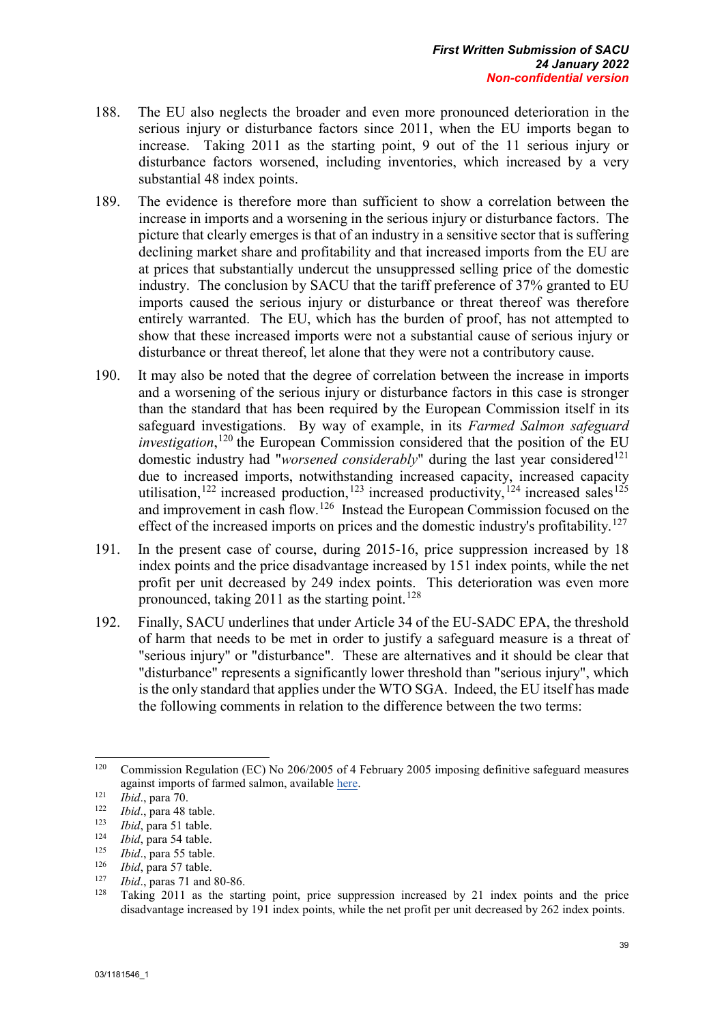- 188. The EU also neglects the broader and even more pronounced deterioration in the serious injury or disturbance factors since 2011, when the EU imports began to increase. Taking 2011 as the starting point, 9 out of the 11 serious injury or disturbance factors worsened, including inventories, which increased by a very substantial 48 index points.
- 189. The evidence is therefore more than sufficient to show a correlation between the increase in imports and a worsening in the serious injury or disturbance factors. The picture that clearly emerges is that of an industry in a sensitive sector that is suffering declining market share and profitability and that increased imports from the EU are at prices that substantially undercut the unsuppressed selling price of the domestic industry. The conclusion by SACU that the tariff preference of 37% granted to EU imports caused the serious injury or disturbance or threat thereof was therefore entirely warranted. The EU, which has the burden of proof, has not attempted to show that these increased imports were not a substantial cause of serious injury or disturbance or threat thereof, let alone that they were not a contributory cause.
- 190. It may also be noted that the degree of correlation between the increase in imports and a worsening of the serious injury or disturbance factors in this case is stronger than the standard that has been required by the European Commission itself in its safeguard investigations. By way of example, in its *Farmed Salmon safeguard investigation*, [120](#page-49-0) the European Commission considered that the position of the EU domestic industry had "*worsened considerably*" during the last year considered<sup>[121](#page-49-1)</sup> due to increased imports, notwithstanding increased capacity, increased capacity utilisation,<sup>[122](#page-49-2)</sup> increased production,<sup>[123](#page-49-3)</sup> increased productivity,<sup>[124](#page-49-4)</sup> increased sales<sup>[125](#page-49-5)</sup> and improvement in cash flow.[126](#page-49-6) Instead the European Commission focused on the effect of the increased imports on prices and the domestic industry's profitability.<sup>[127](#page-49-7)</sup>
- 191. In the present case of course, during 2015-16, price suppression increased by 18 index points and the price disadvantage increased by 151 index points, while the net profit per unit decreased by 249 index points. This deterioration was even more pronounced, taking  $2011$  as the starting point.<sup>[128](#page-49-8)</sup>
- 192. Finally, SACU underlines that under Article 34 of the EU-SADC EPA, the threshold of harm that needs to be met in order to justify a safeguard measure is a threat of "serious injury" or "disturbance". These are alternatives and it should be clear that "disturbance" represents a significantly lower threshold than "serious injury", which is the only standard that applies under the WTO SGA. Indeed, the EU itself has made the following comments in relation to the difference between the two terms:

<span id="page-49-5"></span><sup>125</sup> *Ibid.*, para 55 table.

<span id="page-49-7"></span><sup>127</sup> *Ibid.*, paras 71 and 80-86.<br><sup>128</sup> Teking 2011, as the star

<span id="page-49-0"></span><sup>120</sup> <sup>120</sup> Commission Regulation (EC) No 206/2005 of 4 February 2005 imposing definitive safeguard measures against imports of farmed salmon, available [here.](https://eur-lex.europa.eu/legal-content/EN/TXT/PDF/?uri=CELEX:32005R0206&from=EN)

<span id="page-49-1"></span><sup>&</sup>lt;sup>121</sup> *Ibid.*, para 70.

<span id="page-49-2"></span><sup>&</sup>lt;sup>122</sup> *Ibid.*, para 48 table.

<span id="page-49-3"></span> $\frac{123}{124}$  *Ibid*, para 51 table.

<span id="page-49-4"></span> $\frac{124}{125}$  *Ibid*, para 54 table.

<span id="page-49-6"></span><sup>&</sup>lt;sup>126</sup> *Ibid*, para 57 table.

<span id="page-49-8"></span>Taking 2011 as the starting point, price suppression increased by 21 index points and the price disadvantage increased by 191 index points, while the net profit per unit decreased by 262 index points.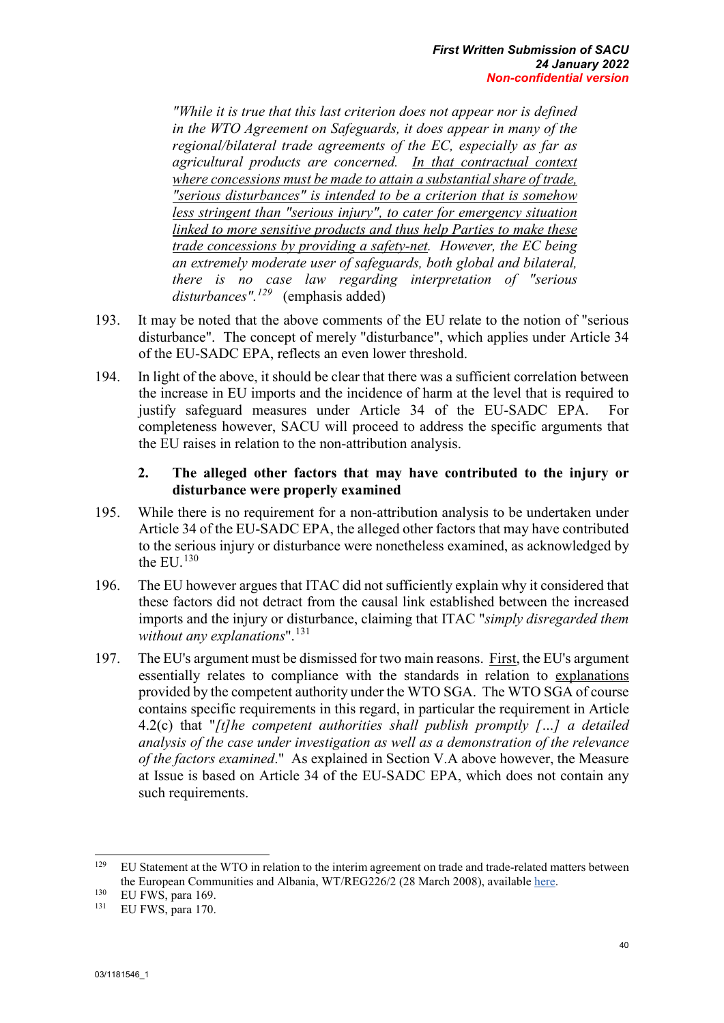*"While it is true that this last criterion does not appear nor is defined in the WTO Agreement on Safeguards, it does appear in many of the regional/bilateral trade agreements of the EC, especially as far as agricultural products are concerned. In that contractual context where concessions must be made to attain a substantial share of trade, "serious disturbances" is intended to be a criterion that is somehow less stringent than "serious injury", to cater for emergency situation linked to more sensitive products and thus help Parties to make these trade concessions by providing a safety-net. However, the EC being an extremely moderate user of safeguards, both global and bilateral, there is no case law regarding interpretation of "serious disturbances".[129](#page-50-0)* (emphasis added)

- 193. It may be noted that the above comments of the EU relate to the notion of "serious disturbance". The concept of merely "disturbance", which applies under Article 34 of the EU-SADC EPA, reflects an even lower threshold.
- 194. In light of the above, it should be clear that there was a sufficient correlation between the increase in EU imports and the incidence of harm at the level that is required to justify safeguard measures under Article 34 of the EU-SADC EPA. For completeness however, SACU will proceed to address the specific arguments that the EU raises in relation to the non-attribution analysis.

# **2. The alleged other factors that may have contributed to the injury or disturbance were properly examined**

- 195. While there is no requirement for a non-attribution analysis to be undertaken under Article 34 of the EU-SADC EPA, the alleged other factors that may have contributed to the serious injury or disturbance were nonetheless examined, as acknowledged by the EU.<sup>[130](#page-50-1)</sup>
- 196. The EU however argues that ITAC did not sufficiently explain why it considered that these factors did not detract from the causal link established between the increased imports and the injury or disturbance, claiming that ITAC "*simply disregarded them*  without any explanations".<sup>[131](#page-50-2)</sup>
- 197. The EU's argument must be dismissed for two main reasons. First, the EU's argument essentially relates to compliance with the standards in relation to explanations provided by the competent authority under the WTO SGA. The WTO SGA of course contains specific requirements in this regard, in particular the requirement in Article 4.2(c) that "*[t]he competent authorities shall publish promptly […] a detailed analysis of the case under investigation as well as a demonstration of the relevance of the factors examined*." As explained in Section V.A above however, the Measure at Issue is based on Article 34 of the EU-SADC EPA, which does not contain any such requirements.

<span id="page-50-0"></span><sup>129</sup> <sup>129</sup> EU Statement at the WTO in relation to the interim agreement on trade and trade-related matters between the European Communities and Albania, WT/REG226/2 (28 March 2008), availabl[e here.](https://docs.wto.org/dol2fe/Pages/SS/directdoc.aspx?filename=Q:/WT/REG/226-2.pdf)

<span id="page-50-1"></span> $130$  EU FWS, para 169.

<span id="page-50-2"></span>EU FWS, para 170.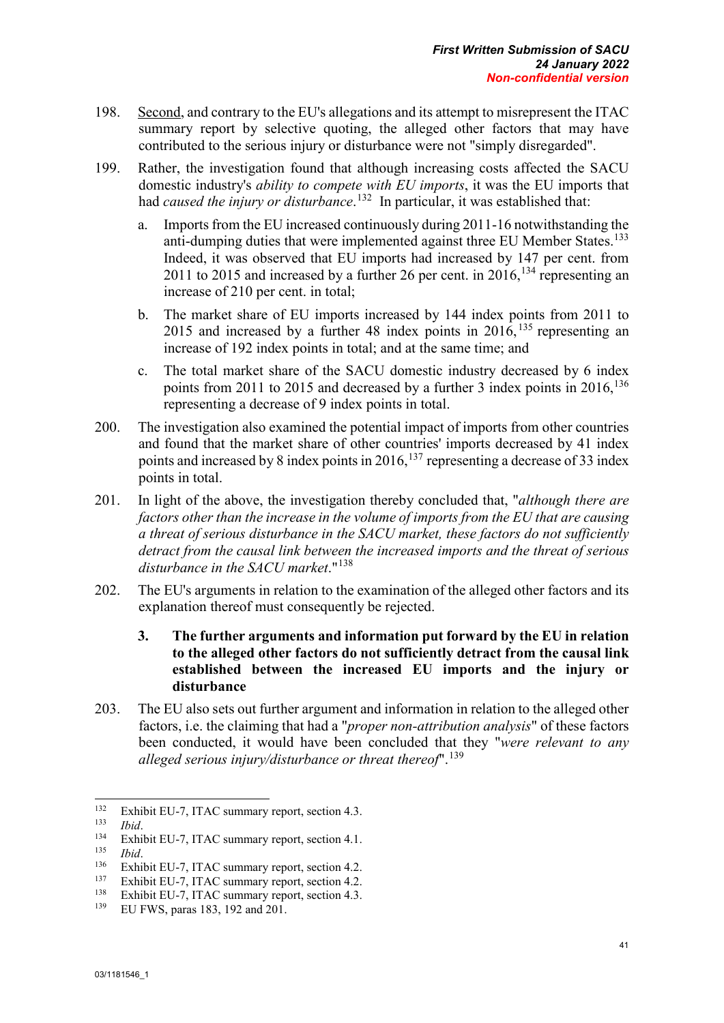- 198. Second, and contrary to the EU's allegations and its attempt to misrepresent the ITAC summary report by selective quoting, the alleged other factors that may have contributed to the serious injury or disturbance were not "simply disregarded".
- 199. Rather, the investigation found that although increasing costs affected the SACU domestic industry's *ability to compete with EU imports*, it was the EU imports that had *caused the injury or disturbance*. [132](#page-51-0) In particular, it was established that:
	- a. Imports from the EU increased continuously during 2011-16 notwithstanding the anti-dumping duties that were implemented against three EU Member States.<sup>[133](#page-51-1)</sup> Indeed, it was observed that EU imports had increased by 147 per cent. from 2011 to 2015 and increased by a further 26 per cent. in 2016,<sup>[134](#page-51-2)</sup> representing an increase of 210 per cent. in total;
	- b. The market share of EU imports increased by 144 index points from 2011 to 2015 and increased by a further 48 index points in  $2016$ ,  $135$  representing an increase of 192 index points in total; and at the same time; and
	- c. The total market share of the SACU domestic industry decreased by 6 index points from 2011 to 2015 and decreased by a further 3 index points in  $2016$ ,  $136$ representing a decrease of 9 index points in total.
- 200. The investigation also examined the potential impact of imports from other countries and found that the market share of other countries' imports decreased by 41 index points and increased by 8 index points in  $2016$ ,  $^{137}$  $^{137}$  $^{137}$  representing a decrease of 33 index points in total.
- 201. In light of the above, the investigation thereby concluded that, "*although there are factors other than the increase in the volume of imports from the EU that are causing a threat of serious disturbance in the SACU market, these factors do not sufficiently detract from the causal link between the increased imports and the threat of serious disturbance in the SACU market*."[138](#page-51-6)
- 202. The EU's arguments in relation to the examination of the alleged other factors and its explanation thereof must consequently be rejected.
	- **3. The further arguments and information put forward by the EU in relation to the alleged other factors do not sufficiently detract from the causal link established between the increased EU imports and the injury or disturbance**
- 203. The EU also sets out further argument and information in relation to the alleged other factors, i.e. the claiming that had a "*proper non-attribution analysis*" of these factors been conducted, it would have been concluded that they "*were relevant to any alleged serious injury/disturbance or threat thereof*".[139](#page-51-7)

<span id="page-51-0"></span><sup>132</sup> <sup>132</sup> Exhibit EU-7, ITAC summary report, section 4.3.<br><sup>133</sup> Ibid

<span id="page-51-1"></span><sup>133</sup> *Ibid*.

<span id="page-51-2"></span><sup>&</sup>lt;sup>134</sup> Exhibit EU-7, ITAC summary report, section 4.1.

<span id="page-51-3"></span> $\frac{135}{136}$  *Ibid.* 

<span id="page-51-4"></span><sup>&</sup>lt;sup>136</sup> Exhibit EU-7, ITAC summary report, section 4.2.<br><sup>137</sup> Exhibit EU-7, ITAC summary report, section 4.2.

<span id="page-51-6"></span><span id="page-51-5"></span><sup>137</sup> Exhibit EU-7, ITAC summary report, section 4.2.<br>  $\frac{138}{139}$  EU EWS paras 183, 192 and 201

<span id="page-51-7"></span><sup>139</sup> EU FWS, paras 183, 192 and 201.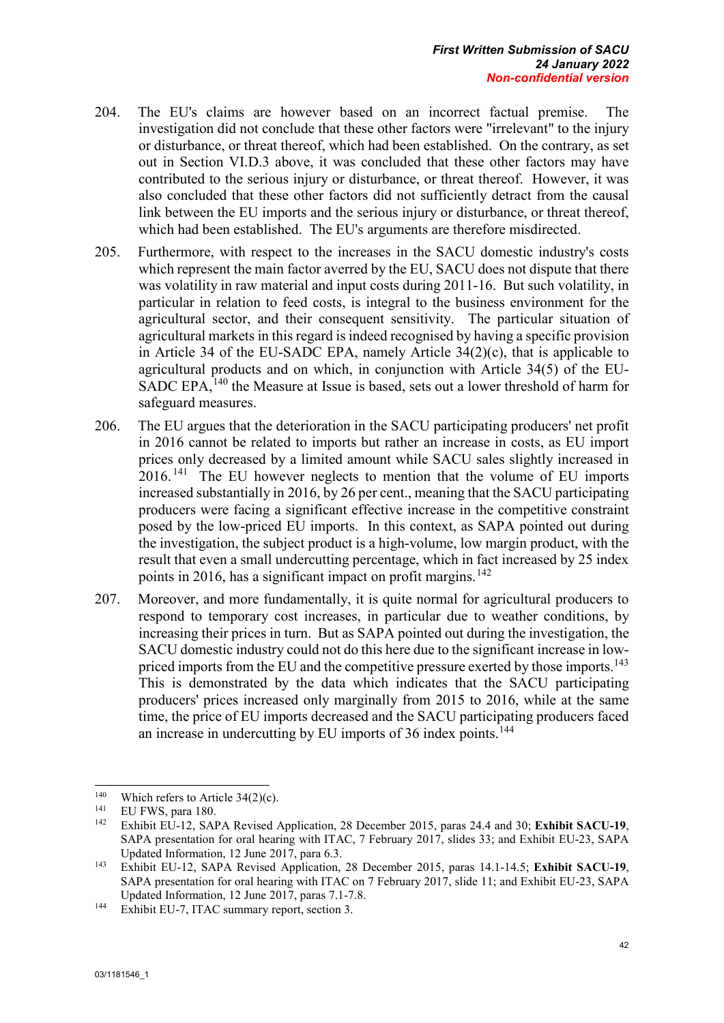- 204. The EU's claims are however based on an incorrect factual premise. The investigation did not conclude that these other factors were "irrelevant" to the injury or disturbance, or threat thereof, which had been established. On the contrary, as set out in Section VI.D.3 above, it was concluded that these other factors may have contributed to the serious injury or disturbance, or threat thereof. However, it was also concluded that these other factors did not sufficiently detract from the causal link between the EU imports and the serious injury or disturbance, or threat thereof, which had been established. The EU's arguments are therefore misdirected.
- 205. Furthermore, with respect to the increases in the SACU domestic industry's costs which represent the main factor averred by the EU, SACU does not dispute that there was volatility in raw material and input costs during 2011-16. But such volatility, in particular in relation to feed costs, is integral to the business environment for the agricultural sector, and their consequent sensitivity. The particular situation of agricultural markets in this regard is indeed recognised by having a specific provision in Article 34 of the EU-SADC EPA, namely Article 34(2)(c), that is applicable to agricultural products and on which, in conjunction with Article 34(5) of the EU-SADC EPA,<sup>[140](#page-52-0)</sup> the Measure at Issue is based, sets out a lower threshold of harm for safeguard measures.
- 206. The EU argues that the deterioration in the SACU participating producers' net profit in 2016 cannot be related to imports but rather an increase in costs, as EU import prices only decreased by a limited amount while SACU sales slightly increased in 2016.<sup>[141](#page-52-1)</sup> The EU however neglects to mention that the volume of EU imports increased substantially in 2016, by 26 per cent., meaning that the SACU participating producers were facing a significant effective increase in the competitive constraint posed by the low-priced EU imports. In this context, as SAPA pointed out during the investigation, the subject product is a high-volume, low margin product, with the result that even a small undercutting percentage, which in fact increased by 25 index points in 2016, has a significant impact on profit margins. <sup>[142](#page-52-2)</sup>
- 207. Moreover, and more fundamentally, it is quite normal for agricultural producers to respond to temporary cost increases, in particular due to weather conditions, by increasing their prices in turn. But as SAPA pointed out during the investigation, the SACU domestic industry could not do this here due to the significant increase in low-priced imports from the EU and the competitive pressure exerted by those imports.<sup>[143](#page-52-3)</sup> This is demonstrated by the data which indicates that the SACU participating producers' prices increased only marginally from 2015 to 2016, while at the same time, the price of EU imports decreased and the SACU participating producers faced an increase in undercutting by EU imports of 36 index points.<sup>[144](#page-52-4)</sup>

<span id="page-52-0"></span><sup>140</sup> <sup>140</sup> Which refers to Article 34(2)(c).

<span id="page-52-2"></span><span id="page-52-1"></span><sup>&</sup>lt;sup>141</sup> EU FWS, para 180.

<sup>142</sup> Exhibit EU-12, SAPA Revised Application, 28 December 2015, paras 24.4 and 30; **Exhibit SACU-19**, SAPA presentation for oral hearing with ITAC, 7 February 2017, slides 33; and Exhibit EU-23, SAPA Updated Information, 12 June 2017, para 6.3.

<span id="page-52-3"></span><sup>143</sup> Exhibit EU-12, SAPA Revised Application, 28 December 2015, paras 14.1-14.5; **Exhibit SACU-19**, SAPA presentation for oral hearing with ITAC on 7 February 2017, slide 11; and Exhibit EU-23, SAPA Updated Information, 12 June 2017, paras 7.1-7.8.

<span id="page-52-4"></span><sup>144</sup> Exhibit EU-7, ITAC summary report, section 3.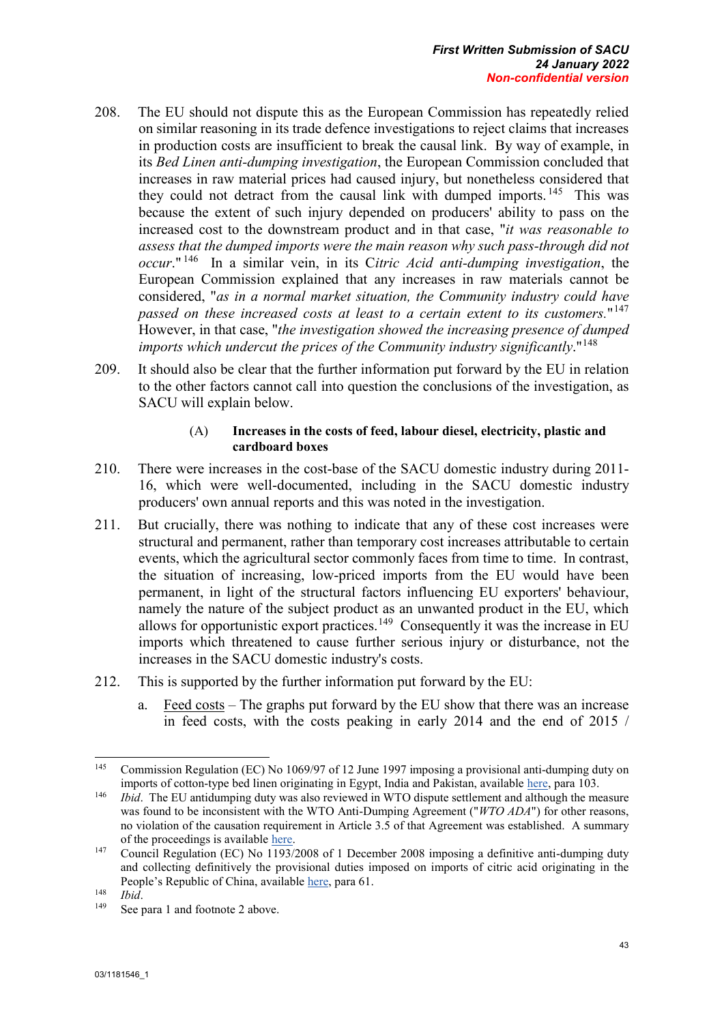- 208. The EU should not dispute this as the European Commission has repeatedly relied on similar reasoning in its trade defence investigations to reject claims that increases in production costs are insufficient to break the causal link. By way of example, in its *Bed Linen anti-dumping investigation*, the European Commission concluded that increases in raw material prices had caused injury, but nonetheless considered that they could not detract from the causal link with dumped imports.<sup>[145](#page-53-0)</sup> This was because the extent of such injury depended on producers' ability to pass on the increased cost to the downstream product and in that case, "*it was reasonable to assess that the dumped imports were the main reason why such pass-through did not occur*." [146](#page-53-1) In a similar vein, in its C*itric Acid anti-dumping investigation*, the European Commission explained that any increases in raw materials cannot be considered, "*as in a normal market situation, the Community industry could have passed on these increased costs at least to a certain extent to its customers.*"[147](#page-53-2) However, in that case, "*the investigation showed the increasing presence of dumped imports which undercut the prices of the Community industry significantly*."[148](#page-53-3)
- 209. It should also be clear that the further information put forward by the EU in relation to the other factors cannot call into question the conclusions of the investigation, as SACU will explain below.

#### (A) **Increases in the costs of feed, labour diesel, electricity, plastic and cardboard boxes**

- 210. There were increases in the cost-base of the SACU domestic industry during 2011- 16, which were well-documented, including in the SACU domestic industry producers' own annual reports and this was noted in the investigation.
- 211. But crucially, there was nothing to indicate that any of these cost increases were structural and permanent, rather than temporary cost increases attributable to certain events, which the agricultural sector commonly faces from time to time. In contrast, the situation of increasing, low-priced imports from the EU would have been permanent, in light of the structural factors influencing EU exporters' behaviour, namely the nature of the subject product as an unwanted product in the EU, which allows for opportunistic export practices.<sup>[149](#page-53-4)</sup> Consequently it was the increase in EU imports which threatened to cause further serious injury or disturbance, not the increases in the SACU domestic industry's costs.
- 212. This is supported by the further information put forward by the EU:
	- a. Feed costs The graphs put forward by the EU show that there was an increase in feed costs, with the costs peaking in early 2014 and the end of 2015 /

<span id="page-53-0"></span><sup>145</sup> <sup>145</sup> Commission Regulation (EC) No 1069/97 of 12 June 1997 imposing a provisional anti-dumping duty on imports of cotton-type bed linen originating in Egypt, India and Pakistan, availabl[e here,](https://eur-lex.europa.eu/legal-content/EN/TXT/PDF/?uri=CELEX:31997R1069&from=EN) para 103. 146 *Ibid*. The EU antidumping duty was also reviewed in WTO dispute settlement and although the measure

<span id="page-53-1"></span>was found to be inconsistent with the WTO Anti-Dumping Agreement ("*WTO ADA*") for other reasons, no violation of the causation requirement in Article 3.5 of that Agreement was established. A summary of the proceedings is available [here.](https://www.wto.org/english/tratop_e/dispu_e/cases_e/ds141_e.htm)

<span id="page-53-2"></span><sup>147</sup> Council Regulation (EC) No 1193/2008 of 1 December 2008 imposing a definitive anti-dumping duty and collecting definitively the provisional duties imposed on imports of citric acid originating in the People's Republic of China, available [here,](https://eur-lex.europa.eu/legal-content/EN/TXT/PDF/?uri=CELEX:32008R1193&from=EN) para 61.

<span id="page-53-3"></span> $\frac{148}{149}$  *Ibid.* 

<span id="page-53-4"></span>See para 1 and footnote 2 above.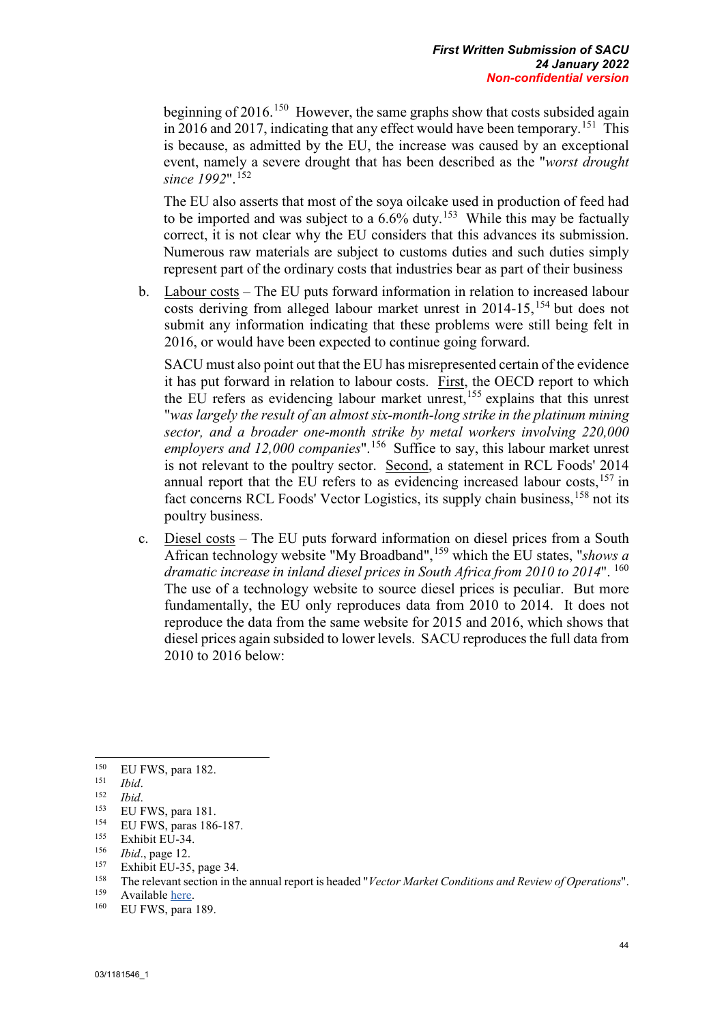beginning of 2016.<sup>150</sup> However, the same graphs show that costs subsided again in 2016 and 2017, indicating that any effect would have been temporary.<sup>151</sup> This is because, as admitted by the EU, the increase was caused by an exceptional event, namely a severe drought that has been described as the "*worst drought since 1992*".[152](#page-54-2)

The EU also asserts that most of the soya oilcake used in production of feed had to be imported and was subject to a  $6.6\%$  duty.<sup>153</sup> While this may be factually correct, it is not clear why the EU considers that this advances its submission. Numerous raw materials are subject to customs duties and such duties simply represent part of the ordinary costs that industries bear as part of their business

b. Labour costs – The EU puts forward information in relation to increased labour costs deriving from alleged labour market unrest in  $2014-15$ , <sup>[154](#page-54-4)</sup> but does not submit any information indicating that these problems were still being felt in 2016, or would have been expected to continue going forward.

SACU must also point out that the EU has misrepresented certain of the evidence it has put forward in relation to labour costs. First, the OECD report to which the EU refers as evidencing labour market unrest,<sup>[155](#page-54-5)</sup> explains that this unrest "*was largely the result of an almost six-month-long strike in the platinum mining sector, and a broader one-month strike by metal workers involving 220,000 employers and 12,000 companies*".[156](#page-54-6) Suffice to say, this labour market unrest is not relevant to the poultry sector. Second, a statement in RCL Foods' 2014 annual report that the EU refers to as evidencing increased labour costs,  $157$  in fact concerns RCL Foods' Vector Logistics, its supply chain business, <sup>[158](#page-54-8)</sup> not its poultry business.

c. Diesel costs – The EU puts forward information on diesel prices from a South African technology website "My Broadband",[159](#page-54-9) which the EU states, "*shows a dramatic increase in inland diesel prices in South Africa from 2010 to 2014*". [160](#page-54-10) The use of a technology website to source diesel prices is peculiar. But more fundamentally, the EU only reproduces data from 2010 to 2014. It does not reproduce the data from the same website for 2015 and 2016, which shows that diesel prices again subsided to lower levels. SACU reproduces the full data from 2010 to 2016 below:

<span id="page-54-7"></span><sup>157</sup> Exhibit EU-35, page 34.

<span id="page-54-0"></span><sup>150</sup>  $^{150}$  EU FWS, para 182.

<span id="page-54-1"></span><sup>151</sup> *Ibid*.

<span id="page-54-2"></span><sup>152</sup> *Ibid*.

<span id="page-54-3"></span> $^{153}$  EU FWS, para 181.

<span id="page-54-4"></span><sup>&</sup>lt;sup>154</sup> EU FWS, paras 186-187.

<span id="page-54-5"></span> $^{155}$  Exhibit EU-34.

<span id="page-54-6"></span><sup>&</sup>lt;sup>156</sup> *Ibid.*, page 12.<br><sup>157</sup> Exhibit ELL 25

<span id="page-54-8"></span><sup>158</sup> The relevant section in the annual report is headed "*Vector Market Conditions and Review of Operations*".

<span id="page-54-9"></span> $^{159}$  Available <u>here</u>.<br><sup>160</sup> ELLEWS para

<span id="page-54-10"></span>EU FWS, para 189.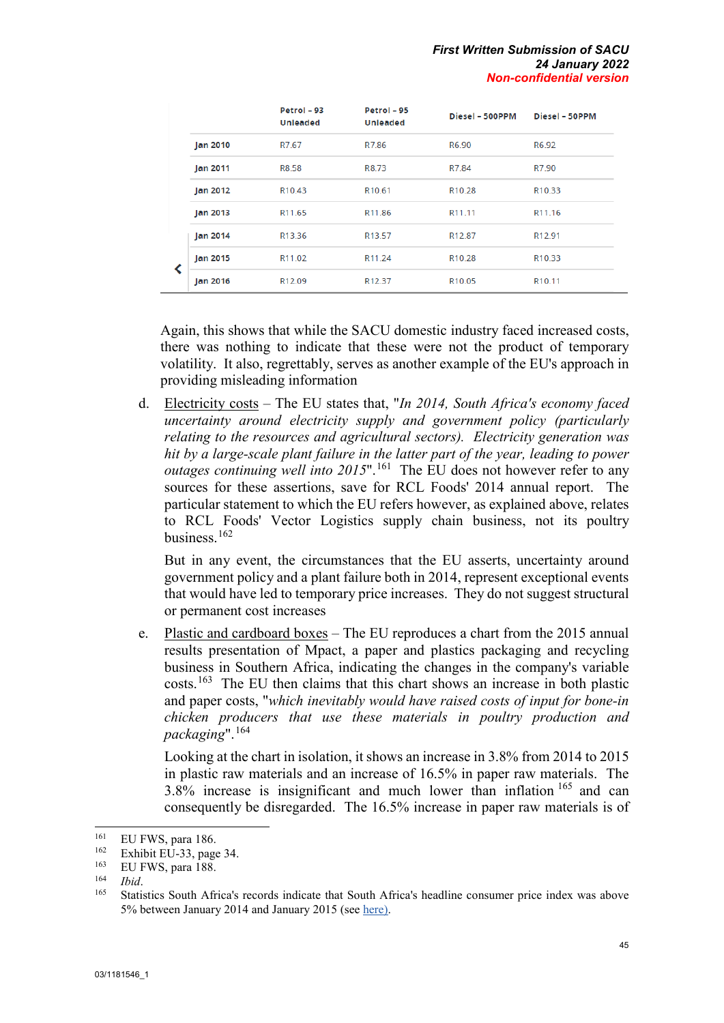|  |                 | Petrol - 93<br><b>Unleaded</b> | Petrol - 95<br><b>Unleaded</b> | Diesel - 500PPM    | Diesel - 50PPM     |
|--|-----------------|--------------------------------|--------------------------------|--------------------|--------------------|
|  | Jan 2010        | R7.67                          | R7.86                          | R6.90              | R6.92              |
|  | <b>Jan 2011</b> | R8.58                          | R8.73                          | R7.84              | R7.90              |
|  | Jan 2012        | R <sub>10.43</sub>             | R <sub>10.61</sub>             | R <sub>10.28</sub> | R <sub>10.33</sub> |
|  | Jan 2013        | R <sub>11.65</sub>             | R <sub>11.86</sub>             | R11.11             | R <sub>11.16</sub> |
|  | <b>Jan 2014</b> | R13.36                         | R <sub>13.57</sub>             | R <sub>12.87</sub> | R <sub>12.91</sub> |
|  | <b>Jan 2015</b> | R11.02                         | R <sub>11.24</sub>             | R <sub>10.28</sub> | R <sub>10.33</sub> |
|  | Jan 2016        | R <sub>12.09</sub>             | R <sub>12.37</sub>             | R <sub>10.05</sub> | R <sub>10.11</sub> |

Again, this shows that while the SACU domestic industry faced increased costs, there was nothing to indicate that these were not the product of temporary volatility. It also, regrettably, serves as another example of the EU's approach in providing misleading information

d. Electricity costs – The EU states that, "*In 2014, South Africa's economy faced uncertainty around electricity supply and government policy (particularly relating to the resources and agricultural sectors). Electricity generation was hit by a large-scale plant failure in the latter part of the year, leading to power outages continuing well into 2015*".<sup>[161](#page-55-0)</sup> The EU does not however refer to any sources for these assertions, save for RCL Foods' 2014 annual report. The particular statement to which the EU refers however, as explained above, relates to RCL Foods' Vector Logistics supply chain business, not its poultry business.[162](#page-55-1)

But in any event, the circumstances that the EU asserts, uncertainty around government policy and a plant failure both in 2014, represent exceptional events that would have led to temporary price increases. They do not suggest structural or permanent cost increases

e. Plastic and cardboard boxes – The EU reproduces a chart from the 2015 annual results presentation of Mpact, a paper and plastics packaging and recycling business in Southern Africa, indicating the changes in the company's variable costs.[163](#page-55-2) The EU then claims that this chart shows an increase in both plastic and paper costs, "*which inevitably would have raised costs of input for bone-in chicken producers that use these materials in poultry production and packaging*".[164](#page-55-3)

Looking at the chart in isolation, it shows an increase in 3.8% from 2014 to 2015 in plastic raw materials and an increase of 16.5% in paper raw materials. The 3.8% increase is insignificant and much lower than inflation [165](#page-55-4) and can consequently be disregarded. The 16.5% increase in paper raw materials is of

<span id="page-55-0"></span><sup>161</sup>  $^{161}$  EU FWS, para 186.

<span id="page-55-1"></span> $\frac{162}{163}$  Exhibit EU-33, page 34.

<span id="page-55-2"></span> $^{163}$  EU FWS, para 188.

<span id="page-55-4"></span><span id="page-55-3"></span><sup>164</sup>*Ibid*. 165 Statistics South Africa's records indicate that South Africa's headline consumer price index was above 5% between January 2014 and January 2015 (se[e here\)](http://www.statssa.gov.za/wp-content/uploads/2021/12/cpi2.jpg).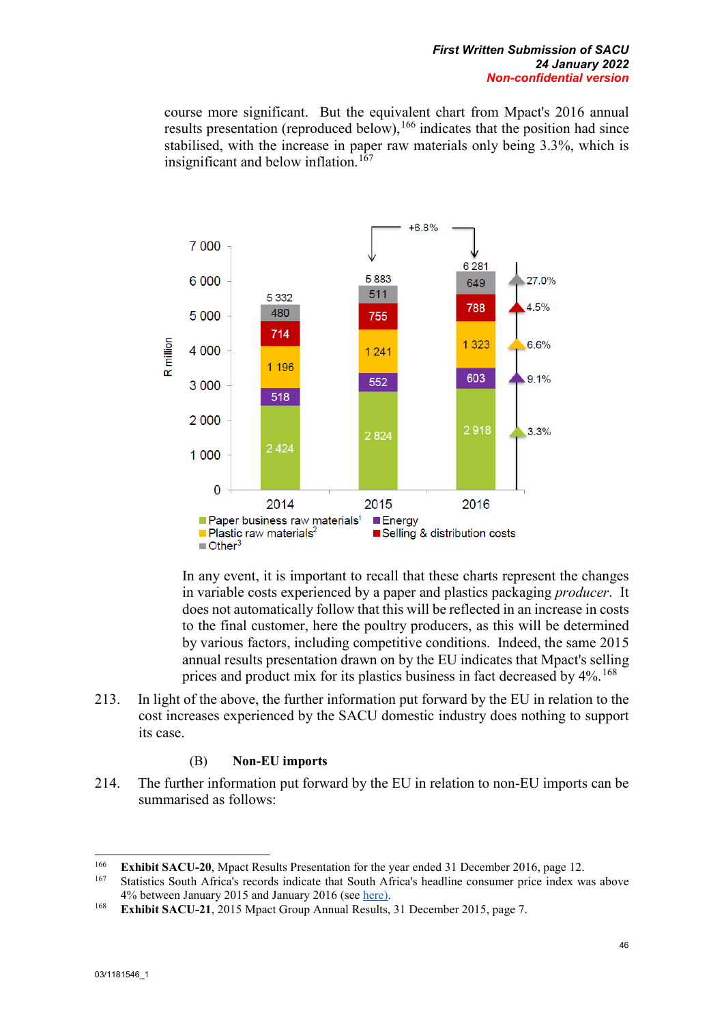course more significant. But the equivalent chart from Mpact's 2016 annual results presentation (reproduced below),  $166$  indicates that the position had since stabilised, with the increase in paper raw materials only being 3.3%, which is insignificant and below inflation.<sup>[167](#page-56-1)</sup>



In any event, it is important to recall that these charts represent the changes in variable costs experienced by a paper and plastics packaging *producer*. It does not automatically follow that this will be reflected in an increase in costs to the final customer, here the poultry producers, as this will be determined by various factors, including competitive conditions. Indeed, the same 2015 annual results presentation drawn on by the EU indicates that Mpact's selling prices and product mix for its plastics business in fact decreased by  $4\%$ .<sup>[168](#page-56-2)</sup>

213. In light of the above, the further information put forward by the EU in relation to the cost increases experienced by the SACU domestic industry does nothing to support its case.

#### (B) **Non-EU imports**

214. The further information put forward by the EU in relation to non-EU imports can be summarised as follows:

-

<span id="page-56-1"></span><span id="page-56-0"></span><sup>&</sup>lt;sup>166</sup> **Exhibit SACU-20**, Mpact Results Presentation for the year ended 31 December 2016, page 12.

<sup>167</sup> Statistics South Africa's records indicate that South Africa's headline consumer price index was above 4% between January 2015 and January 2016 (se[e here\)](http://www.statssa.gov.za/wp-content/uploads/2021/12/cpi2.jpg).

<span id="page-56-2"></span><sup>168</sup> **Exhibit SACU-21**, 2015 Mpact Group Annual Results, 31 December 2015, page 7.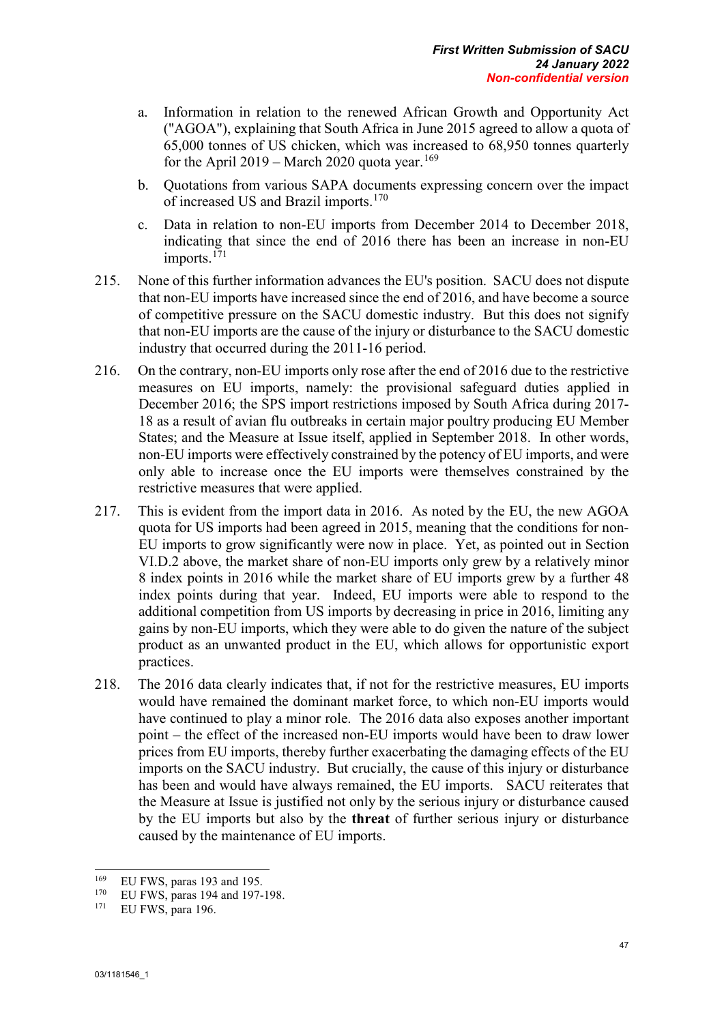- a. Information in relation to the renewed African Growth and Opportunity Act ("AGOA"), explaining that South Africa in June 2015 agreed to allow a quota of 65,000 tonnes of US chicken, which was increased to 68,950 tonnes quarterly for the April 2019 – March 2020 quota year.<sup>[169](#page-57-0)</sup>
- b. Quotations from various SAPA documents expressing concern over the impact of increased US and Brazil imports.<sup>[170](#page-57-1)</sup>
- c. Data in relation to non-EU imports from December 2014 to December 2018, indicating that since the end of 2016 there has been an increase in non-EU imports.<sup>[171](#page-57-2)</sup>
- 215. None of this further information advances the EU's position. SACU does not dispute that non-EU imports have increased since the end of 2016, and have become a source of competitive pressure on the SACU domestic industry. But this does not signify that non-EU imports are the cause of the injury or disturbance to the SACU domestic industry that occurred during the 2011-16 period.
- 216. On the contrary, non-EU imports only rose after the end of 2016 due to the restrictive measures on EU imports, namely: the provisional safeguard duties applied in December 2016; the SPS import restrictions imposed by South Africa during 2017- 18 as a result of avian flu outbreaks in certain major poultry producing EU Member States; and the Measure at Issue itself, applied in September 2018. In other words, non-EU imports were effectively constrained by the potency of EU imports, and were only able to increase once the EU imports were themselves constrained by the restrictive measures that were applied.
- 217. This is evident from the import data in 2016. As noted by the EU, the new AGOA quota for US imports had been agreed in 2015, meaning that the conditions for non-EU imports to grow significantly were now in place. Yet, as pointed out in Section VI.D.2 above, the market share of non-EU imports only grew by a relatively minor 8 index points in 2016 while the market share of EU imports grew by a further 48 index points during that year. Indeed, EU imports were able to respond to the additional competition from US imports by decreasing in price in 2016, limiting any gains by non-EU imports, which they were able to do given the nature of the subject product as an unwanted product in the EU, which allows for opportunistic export practices.
- 218. The 2016 data clearly indicates that, if not for the restrictive measures, EU imports would have remained the dominant market force, to which non-EU imports would have continued to play a minor role. The 2016 data also exposes another important point – the effect of the increased non-EU imports would have been to draw lower prices from EU imports, thereby further exacerbating the damaging effects of the EU imports on the SACU industry. But crucially, the cause of this injury or disturbance has been and would have always remained, the EU imports. SACU reiterates that the Measure at Issue is justified not only by the serious injury or disturbance caused by the EU imports but also by the **threat** of further serious injury or disturbance caused by the maintenance of EU imports.

<span id="page-57-0"></span><sup>-</sup><sup>169</sup> EU FWS, paras 193 and 195.<br><sup>170</sup> ELLEWS, paras 104 and 107

<span id="page-57-2"></span><span id="page-57-1"></span><sup>&</sup>lt;sup>170</sup> EU FWS, paras 194 and 197-198.

EU FWS, para 196.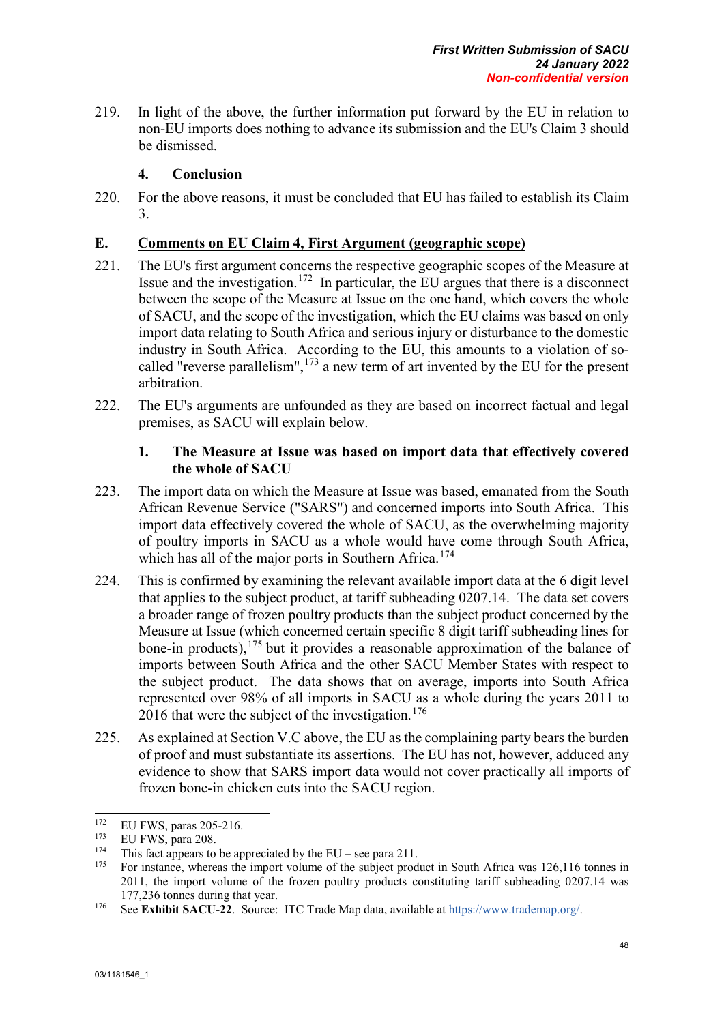219. In light of the above, the further information put forward by the EU in relation to non-EU imports does nothing to advance its submission and the EU's Claim 3 should be dismissed.

# **4. Conclusion**

220. For the above reasons, it must be concluded that EU has failed to establish its Claim 3.

# **E. Comments on EU Claim 4, First Argument (geographic scope)**

- 221. The EU's first argument concerns the respective geographic scopes of the Measure at Issue and the investigation.<sup>[172](#page-58-0)</sup> In particular, the EU argues that there is a disconnect between the scope of the Measure at Issue on the one hand, which covers the whole of SACU, and the scope of the investigation, which the EU claims was based on only import data relating to South Africa and serious injury or disturbance to the domestic industry in South Africa. According to the EU, this amounts to a violation of socalled "reverse parallelism",  $173$  a new term of art invented by the EU for the present arbitration.
- 222. The EU's arguments are unfounded as they are based on incorrect factual and legal premises, as SACU will explain below.

# **1. The Measure at Issue was based on import data that effectively covered the whole of SACU**

- 223. The import data on which the Measure at Issue was based, emanated from the South African Revenue Service ("SARS") and concerned imports into South Africa. This import data effectively covered the whole of SACU, as the overwhelming majority of poultry imports in SACU as a whole would have come through South Africa, which has all of the major ports in Southern Africa.<sup>[174](#page-58-2)</sup>
- 224. This is confirmed by examining the relevant available import data at the 6 digit level that applies to the subject product, at tariff subheading 0207.14. The data set covers a broader range of frozen poultry products than the subject product concerned by the Measure at Issue (which concerned certain specific 8 digit tariff subheading lines for bone-in products), $175$  but it provides a reasonable approximation of the balance of imports between South Africa and the other SACU Member States with respect to the subject product. The data shows that on average, imports into South Africa represented over 98% of all imports in SACU as a whole during the years 2011 to 2016 that were the subject of the investigation.  $176$
- 225. As explained at Section V.C above, the EU as the complaining party bears the burden of proof and must substantiate its assertions. The EU has not, however, adduced any evidence to show that SARS import data would not cover practically all imports of frozen bone-in chicken cuts into the SACU region.

<span id="page-58-0"></span><sup>172</sup> <sup>172</sup> EU FWS, paras 205-216.<br><sup>173</sup> EU EWS, now 208

<span id="page-58-2"></span><span id="page-58-1"></span><sup>&</sup>lt;sup>173</sup> EU FWS, para 208.<br><sup>174</sup> This fact appears to be appreciated by the EU – see para 211.

<span id="page-58-3"></span><sup>&</sup>lt;sup>175</sup> For instance, whereas the import volume of the subject product in South Africa was  $126,116$  tonnes in 2011, the import volume of the frozen poultry products constituting tariff subheading 0207.14 was 177,236 tonnes during that year.

<span id="page-58-4"></span><sup>176</sup> See **Exhibit SACU-22**. Source: ITC Trade Map data, available at [https://www.trademap.org/.](https://www.trademap.org/)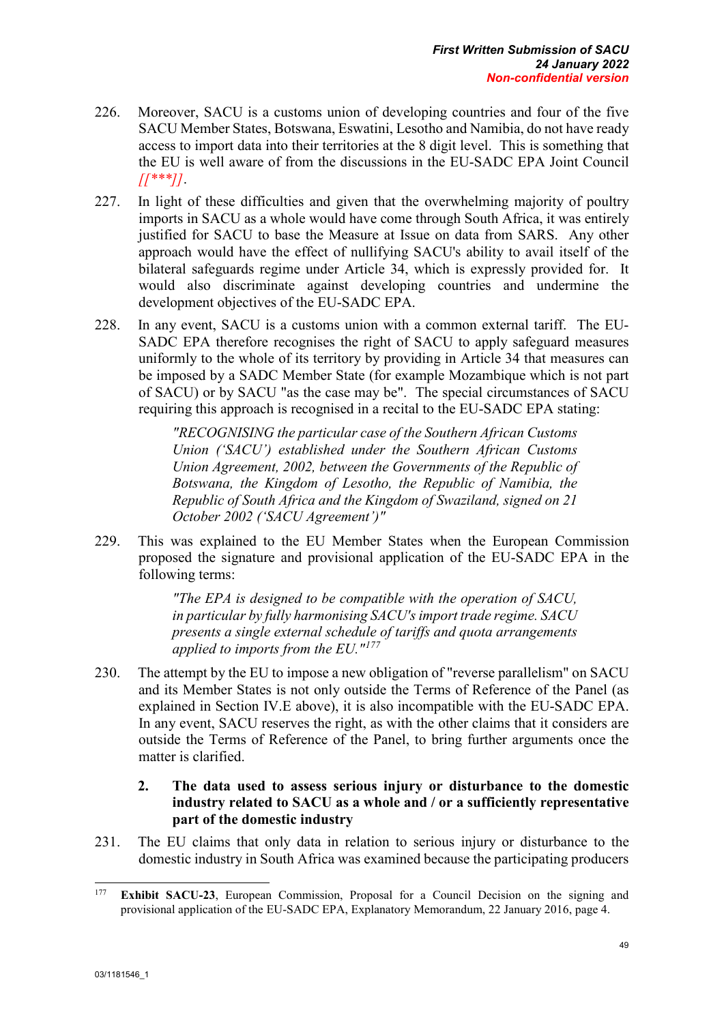- 226. Moreover, SACU is a customs union of developing countries and four of the five SACU Member States, Botswana, Eswatini, Lesotho and Namibia, do not have ready access to import data into their territories at the 8 digit level. This is something that the EU is well aware of from the discussions in the EU-SADC EPA Joint Council *[[\*\*\*]]*.
- 227. In light of these difficulties and given that the overwhelming majority of poultry imports in SACU as a whole would have come through South Africa, it was entirely justified for SACU to base the Measure at Issue on data from SARS. Any other approach would have the effect of nullifying SACU's ability to avail itself of the bilateral safeguards regime under Article 34, which is expressly provided for. It would also discriminate against developing countries and undermine the development objectives of the EU-SADC EPA.
- 228. In any event, SACU is a customs union with a common external tariff. The EU-SADC EPA therefore recognises the right of SACU to apply safeguard measures uniformly to the whole of its territory by providing in Article 34 that measures can be imposed by a SADC Member State (for example Mozambique which is not part of SACU) or by SACU "as the case may be". The special circumstances of SACU requiring this approach is recognised in a recital to the EU-SADC EPA stating:

*"RECOGNISING the particular case of the Southern African Customs Union ('SACU') established under the Southern African Customs Union Agreement, 2002, between the Governments of the Republic of Botswana, the Kingdom of Lesotho, the Republic of Namibia, the Republic of South Africa and the Kingdom of Swaziland, signed on 21 October 2002 ('SACU Agreement')"*

229. This was explained to the EU Member States when the European Commission proposed the signature and provisional application of the EU-SADC EPA in the following terms:

> *"The EPA is designed to be compatible with the operation of SACU, in particular by fully harmonising SACU's import trade regime. SACU presents a single external schedule of tariffs and quota arrangements applied to imports from the EU."[177](#page-59-0)*

230. The attempt by the EU to impose a new obligation of "reverse parallelism" on SACU and its Member States is not only outside the Terms of Reference of the Panel (as explained in Section IV.E above), it is also incompatible with the EU-SADC EPA. In any event, SACU reserves the right, as with the other claims that it considers are outside the Terms of Reference of the Panel, to bring further arguments once the matter is clarified.

## **2. The data used to assess serious injury or disturbance to the domestic industry related to SACU as a whole and / or a sufficiently representative part of the domestic industry**

231. The EU claims that only data in relation to serious injury or disturbance to the domestic industry in South Africa was examined because the participating producers

<span id="page-59-0"></span><sup>177</sup> **Exhibit SACU-23**, European Commission, Proposal for a Council Decision on the signing and provisional application of the EU-SADC EPA, Explanatory Memorandum, 22 January 2016, page 4.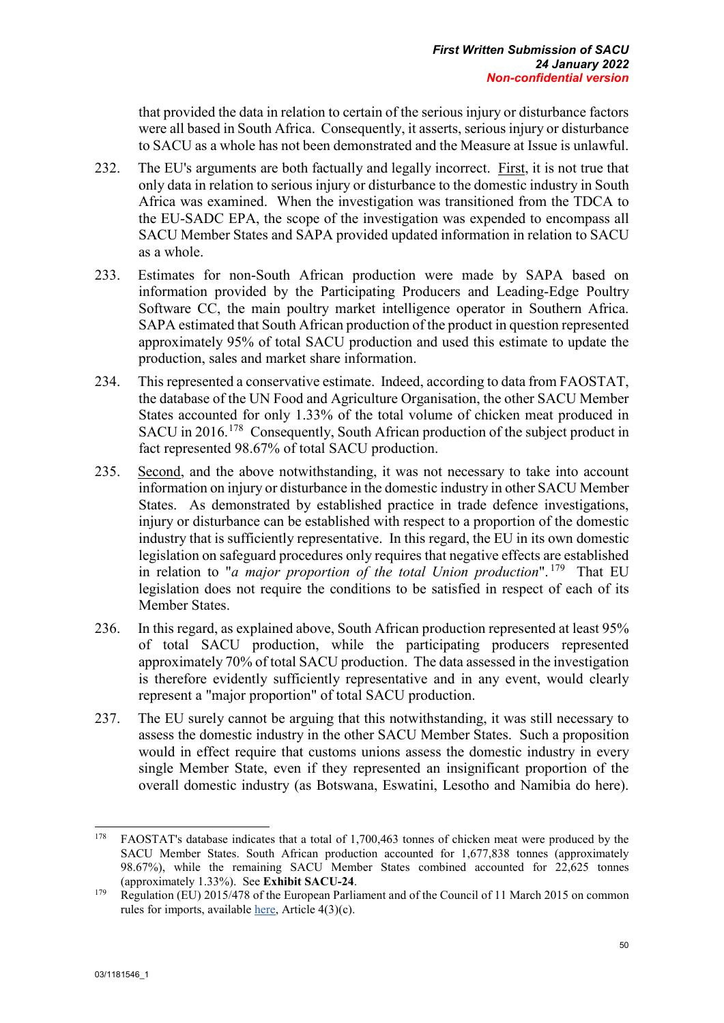that provided the data in relation to certain of the serious injury or disturbance factors were all based in South Africa. Consequently, it asserts, serious injury or disturbance to SACU as a whole has not been demonstrated and the Measure at Issue is unlawful.

- 232. The EU's arguments are both factually and legally incorrect. First, it is not true that only data in relation to serious injury or disturbance to the domestic industry in South Africa was examined. When the investigation was transitioned from the TDCA to the EU-SADC EPA, the scope of the investigation was expended to encompass all SACU Member States and SAPA provided updated information in relation to SACU as a whole.
- 233. Estimates for non-South African production were made by SAPA based on information provided by the Participating Producers and Leading-Edge Poultry Software CC, the main poultry market intelligence operator in Southern Africa. SAPA estimated that South African production of the product in question represented approximately 95% of total SACU production and used this estimate to update the production, sales and market share information.
- 234. This represented a conservative estimate. Indeed, according to data from FAOSTAT, the database of the UN Food and Agriculture Organisation, the other SACU Member States accounted for only 1.33% of the total volume of chicken meat produced in SACU in 2016.<sup>[178](#page-60-0)</sup> Consequently, South African production of the subject product in fact represented 98.67% of total SACU production.
- 235. Second, and the above notwithstanding, it was not necessary to take into account information on injury or disturbance in the domestic industry in other SACU Member States. As demonstrated by established practice in trade defence investigations, injury or disturbance can be established with respect to a proportion of the domestic industry that is sufficiently representative. In this regard, the EU in its own domestic legislation on safeguard procedures only requires that negative effects are established in relation to "*a major proportion of the total Union production*". [179](#page-60-1) That EU legislation does not require the conditions to be satisfied in respect of each of its Member States.
- 236. In this regard, as explained above, South African production represented at least 95% of total SACU production, while the participating producers represented approximately 70% of total SACU production. The data assessed in the investigation is therefore evidently sufficiently representative and in any event, would clearly represent a "major proportion" of total SACU production.
- 237. The EU surely cannot be arguing that this notwithstanding, it was still necessary to assess the domestic industry in the other SACU Member States. Such a proposition would in effect require that customs unions assess the domestic industry in every single Member State, even if they represented an insignificant proportion of the overall domestic industry (as Botswana, Eswatini, Lesotho and Namibia do here).

<span id="page-60-0"></span><sup>178</sup> <sup>178</sup> FAOSTAT's database indicates that a total of 1,700,463 tonnes of chicken meat were produced by the SACU Member States. South African production accounted for 1,677,838 tonnes (approximately 98.67%), while the remaining SACU Member States combined accounted for 22,625 tonnes (approximately 1.33%). See **Exhibit SACU-24**.

<span id="page-60-1"></span><sup>&</sup>lt;sup>179</sup> Regulation (EU) 2015/478 of the European Parliament and of the Council of 11 March 2015 on common rules for imports, available [here,](https://eur-lex.europa.eu/legal-content/EN/TXT/PDF/?uri=CELEX:32015R0478&qid=1640280521669&from=EN) Article 4(3)(c).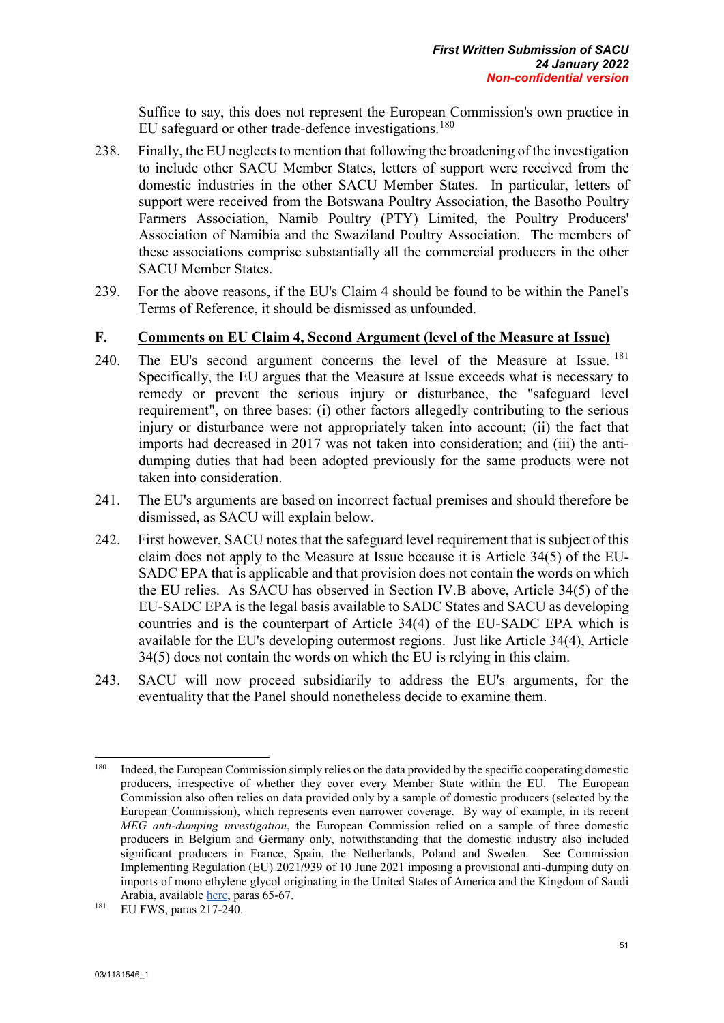Suffice to say, this does not represent the European Commission's own practice in EU safeguard or other trade-defence investigations.<sup>[180](#page-61-0)</sup>

- 238. Finally, the EU neglects to mention that following the broadening of the investigation to include other SACU Member States, letters of support were received from the domestic industries in the other SACU Member States. In particular, letters of support were received from the Botswana Poultry Association, the Basotho Poultry Farmers Association, Namib Poultry (PTY) Limited, the Poultry Producers' Association of Namibia and the Swaziland Poultry Association. The members of these associations comprise substantially all the commercial producers in the other SACU Member States.
- 239. For the above reasons, if the EU's Claim 4 should be found to be within the Panel's Terms of Reference, it should be dismissed as unfounded.

#### **F. Comments on EU Claim 4, Second Argument (level of the Measure at Issue)**

- 240. The EU's second argument concerns the level of the Measure at Issue. [181](#page-61-1) Specifically, the EU argues that the Measure at Issue exceeds what is necessary to remedy or prevent the serious injury or disturbance, the "safeguard level requirement", on three bases: (i) other factors allegedly contributing to the serious injury or disturbance were not appropriately taken into account; (ii) the fact that imports had decreased in 2017 was not taken into consideration; and (iii) the antidumping duties that had been adopted previously for the same products were not taken into consideration.
- 241. The EU's arguments are based on incorrect factual premises and should therefore be dismissed, as SACU will explain below.
- 242. First however, SACU notes that the safeguard level requirement that is subject of this claim does not apply to the Measure at Issue because it is Article 34(5) of the EU-SADC EPA that is applicable and that provision does not contain the words on which the EU relies. As SACU has observed in Section IV.B above, Article 34(5) of the EU-SADC EPA is the legal basis available to SADC States and SACU as developing countries and is the counterpart of Article 34(4) of the EU-SADC EPA which is available for the EU's developing outermost regions. Just like Article 34(4), Article 34(5) does not contain the words on which the EU is relying in this claim.
- 243. SACU will now proceed subsidiarily to address the EU's arguments, for the eventuality that the Panel should nonetheless decide to examine them.

<span id="page-61-0"></span><sup>180</sup> <sup>180</sup> Indeed, the European Commission simply relies on the data provided by the specific cooperating domestic producers, irrespective of whether they cover every Member State within the EU. The European Commission also often relies on data provided only by a sample of domestic producers (selected by the European Commission), which represents even narrower coverage. By way of example, in its recent *MEG anti-dumping investigation*, the European Commission relied on a sample of three domestic producers in Belgium and Germany only, notwithstanding that the domestic industry also included significant producers in France, Spain, the Netherlands, Poland and Sweden. See Commission Implementing Regulation (EU) 2021/939 of 10 June 2021 imposing a provisional anti-dumping duty on imports of mono ethylene glycol originating in the United States of America and the Kingdom of Saudi Arabia, available [here,](https://eur-lex.europa.eu/legal-content/EN/TXT/PDF/?uri=CELEX:32021R0939&from=EN) paras 65-67. 181 EU FWS, paras 217-240.

<span id="page-61-1"></span>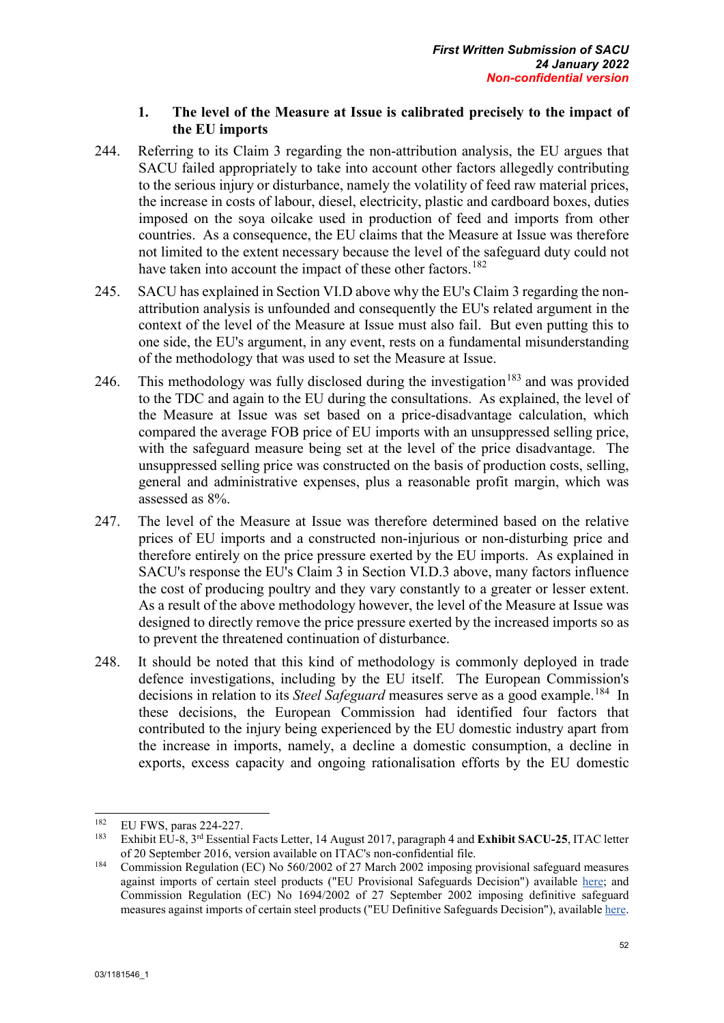# **1. The level of the Measure at Issue is calibrated precisely to the impact of the EU imports**

- 244. Referring to its Claim 3 regarding the non-attribution analysis, the EU argues that SACU failed appropriately to take into account other factors allegedly contributing to the serious injury or disturbance, namely the volatility of feed raw material prices, the increase in costs of labour, diesel, electricity, plastic and cardboard boxes, duties imposed on the soya oilcake used in production of feed and imports from other countries. As a consequence, the EU claims that the Measure at Issue was therefore not limited to the extent necessary because the level of the safeguard duty could not have taken into account the impact of these other factors.<sup>[182](#page-62-0)</sup>
- 245. SACU has explained in Section VI.D above why the EU's Claim 3 regarding the nonattribution analysis is unfounded and consequently the EU's related argument in the context of the level of the Measure at Issue must also fail. But even putting this to one side, the EU's argument, in any event, rests on a fundamental misunderstanding of the methodology that was used to set the Measure at Issue.
- 246. This methodology was fully disclosed during the investigation<sup>[183](#page-62-1)</sup> and was provided to the TDC and again to the EU during the consultations. As explained, the level of the Measure at Issue was set based on a price-disadvantage calculation, which compared the average FOB price of EU imports with an unsuppressed selling price, with the safeguard measure being set at the level of the price disadvantage. The unsuppressed selling price was constructed on the basis of production costs, selling, general and administrative expenses, plus a reasonable profit margin, which was assessed as 8%.
- 247. The level of the Measure at Issue was therefore determined based on the relative prices of EU imports and a constructed non-injurious or non-disturbing price and therefore entirely on the price pressure exerted by the EU imports. As explained in SACU's response the EU's Claim 3 in Section VI.D.3 above, many factors influence the cost of producing poultry and they vary constantly to a greater or lesser extent. As a result of the above methodology however, the level of the Measure at Issue was designed to directly remove the price pressure exerted by the increased imports so as to prevent the threatened continuation of disturbance.
- 248. It should be noted that this kind of methodology is commonly deployed in trade defence investigations, including by the EU itself. The European Commission's decisions in relation to its *Steel Safeguard* measures serve as a good example.<sup>[184](#page-62-2)</sup> In these decisions, the European Commission had identified four factors that contributed to the injury being experienced by the EU domestic industry apart from the increase in imports, namely, a decline a domestic consumption, a decline in exports, excess capacity and ongoing rationalisation efforts by the EU domestic

<span id="page-62-0"></span><sup>182</sup> <sup>182</sup> EU FWS, paras 224-227.<br><sup>183</sup> Eulilia EU 8, 21<sup>d</sup> Essentia

<span id="page-62-1"></span><sup>183</sup> Exhibit EU-8, 3rd Essential Facts Letter, 14 August 2017, paragraph 4 and **Exhibit SACU-25**, ITAC letter of 20 September 2016, version available on ITAC's non-confidential file.

<span id="page-62-2"></span><sup>184</sup> Commission Regulation (EC) No 560/2002 of 27 March 2002 imposing provisional safeguard measures against imports of certain steel products ("EU Provisional Safeguards Decision") available [here;](https://eur-lex.europa.eu/legal-content/EN/TXT/PDF/?uri=CELEX:32002R0560&from=EN) and Commission Regulation (EC) No 1694/2002 of 27 September 2002 imposing definitive safeguard measures against imports of certain steel products ("EU Definitive Safeguards Decision"), availabl[e here.](https://eur-lex.europa.eu/legal-content/EN/TXT/PDF/?uri=CELEX:32002R1694&from=EN)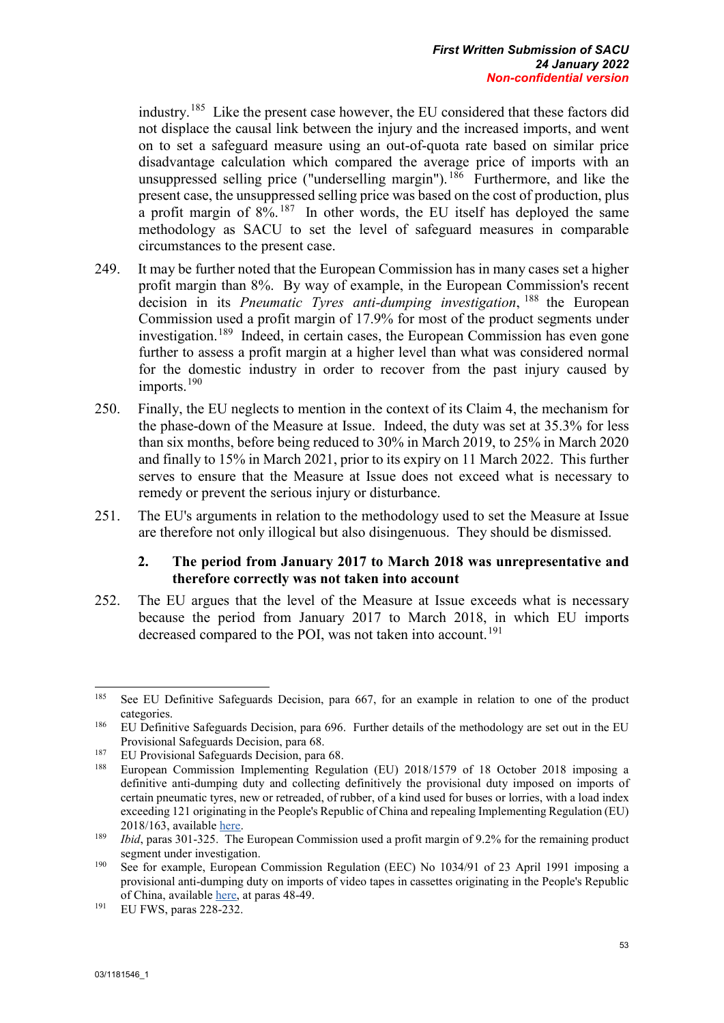industry.[185](#page-63-0) Like the present case however, the EU considered that these factors did not displace the causal link between the injury and the increased imports, and went on to set a safeguard measure using an out-of-quota rate based on similar price disadvantage calculation which compared the average price of imports with an unsuppressed selling price ("underselling margin"). [186](#page-63-1) Furthermore, and like the present case, the unsuppressed selling price was based on the cost of production, plus a profit margin of  $8\%$ . <sup>[187](#page-63-2)</sup> In other words, the EU itself has deployed the same methodology as SACU to set the level of safeguard measures in comparable circumstances to the present case.

- 249. It may be further noted that the European Commission has in many cases set a higher profit margin than 8%. By way of example, in the European Commission's recent decision in its *Pneumatic Tyres anti-dumping investigation*, [188](#page-63-3) the European Commission used a profit margin of 17.9% for most of the product segments under investigation. [189](#page-63-4) Indeed, in certain cases, the European Commission has even gone further to assess a profit margin at a higher level than what was considered normal for the domestic industry in order to recover from the past injury caused by imports.<sup>[190](#page-63-5)</sup>
- 250. Finally, the EU neglects to mention in the context of its Claim 4, the mechanism for the phase-down of the Measure at Issue. Indeed, the duty was set at 35.3% for less than six months, before being reduced to 30% in March 2019, to 25% in March 2020 and finally to 15% in March 2021, prior to its expiry on 11 March 2022. This further serves to ensure that the Measure at Issue does not exceed what is necessary to remedy or prevent the serious injury or disturbance.
- 251. The EU's arguments in relation to the methodology used to set the Measure at Issue are therefore not only illogical but also disingenuous. They should be dismissed.

#### **2. The period from January 2017 to March 2018 was unrepresentative and therefore correctly was not taken into account**

252. The EU argues that the level of the Measure at Issue exceeds what is necessary because the period from January 2017 to March 2018, in which EU imports decreased compared to the POI, was not taken into account.<sup>[191](#page-63-6)</sup>

<span id="page-63-0"></span><sup>185</sup> See EU Definitive Safeguards Decision, para 667, for an example in relation to one of the product categories.

<span id="page-63-1"></span><sup>&</sup>lt;sup>186</sup> EU Definitive Safeguards Decision, para 696. Further details of the methodology are set out in the EU Provisional Safeguards Decision, para 68.

<span id="page-63-3"></span><span id="page-63-2"></span><sup>&</sup>lt;sup>187</sup> EU Provisional Safeguards Decision, para 68.

<sup>188</sup> European Commission Implementing Regulation (EU) 2018/1579 of 18 October 2018 imposing a definitive anti-dumping duty and collecting definitively the provisional duty imposed on imports of certain pneumatic tyres, new or retreaded, of rubber, of a kind used for buses or lorries, with a load index exceeding 121 originating in the People's Republic of China and repealing Implementing Regulation (EU) 2018/163, availabl[e here.](https://eur-lex.europa.eu/legal-content/EN/TXT/PDF/?uri=CELEX:32018R1579&from=EN)

<span id="page-63-4"></span><sup>&</sup>lt;sup>189</sup> *Ibid*, paras 301-325. The European Commission used a profit margin of 9.2% for the remaining product segment under investigation.

<span id="page-63-5"></span><sup>&</sup>lt;sup>190</sup> See for example, European Commission Regulation (EEC) No 1034/91 of 23 April 1991 imposing a provisional anti-dumping duty on imports of video tapes in cassettes originating in the People's Republic of China, available [here,](https://eur-lex.europa.eu/legal-content/EN/TXT/PDF/?uri=CELEX:31991R1034&from=EN) at paras 48-49. 191 EU FWS, paras 228-232.

<span id="page-63-6"></span>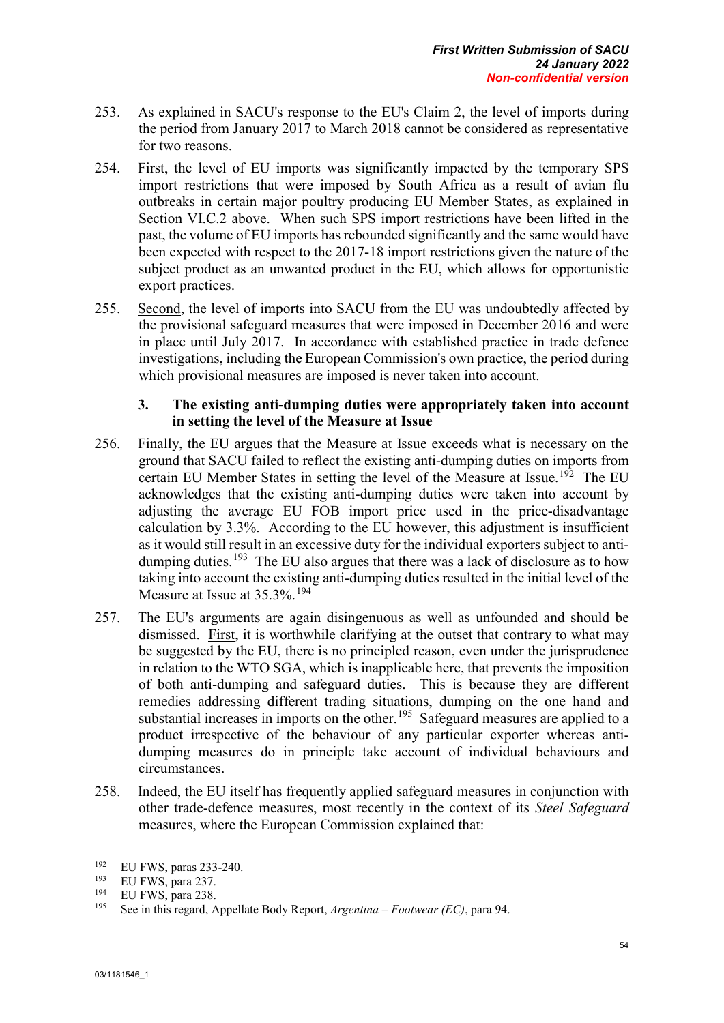- 253. As explained in SACU's response to the EU's Claim 2, the level of imports during the period from January 2017 to March 2018 cannot be considered as representative for two reasons.
- 254. First, the level of EU imports was significantly impacted by the temporary SPS import restrictions that were imposed by South Africa as a result of avian flu outbreaks in certain major poultry producing EU Member States, as explained in Section VI.C.2 above. When such SPS import restrictions have been lifted in the past, the volume of EU imports has rebounded significantly and the same would have been expected with respect to the 2017-18 import restrictions given the nature of the subject product as an unwanted product in the EU, which allows for opportunistic export practices.
- 255. Second, the level of imports into SACU from the EU was undoubtedly affected by the provisional safeguard measures that were imposed in December 2016 and were in place until July 2017. In accordance with established practice in trade defence investigations, including the European Commission's own practice, the period during which provisional measures are imposed is never taken into account.

## **3. The existing anti-dumping duties were appropriately taken into account in setting the level of the Measure at Issue**

- 256. Finally, the EU argues that the Measure at Issue exceeds what is necessary on the ground that SACU failed to reflect the existing anti-dumping duties on imports from certain EU Member States in setting the level of the Measure at Issue.<sup>[192](#page-64-0)</sup> The EU acknowledges that the existing anti-dumping duties were taken into account by adjusting the average EU FOB import price used in the price-disadvantage calculation by 3.3%. According to the EU however, this adjustment is insufficient as it would still result in an excessive duty for the individual exporters subject to anti-dumping duties.<sup>[193](#page-64-1)</sup> The EU also argues that there was a lack of disclosure as to how taking into account the existing anti-dumping duties resulted in the initial level of the Measure at Issue at  $35.3\%$ .<sup>[194](#page-64-2)</sup>
- 257. The EU's arguments are again disingenuous as well as unfounded and should be dismissed. First, it is worthwhile clarifying at the outset that contrary to what may be suggested by the EU, there is no principled reason, even under the jurisprudence in relation to the WTO SGA, which is inapplicable here, that prevents the imposition of both anti-dumping and safeguard duties. This is because they are different remedies addressing different trading situations, dumping on the one hand and substantial increases in imports on the other.<sup>[195](#page-64-3)</sup> Safeguard measures are applied to a product irrespective of the behaviour of any particular exporter whereas antidumping measures do in principle take account of individual behaviours and circumstances.
- 258. Indeed, the EU itself has frequently applied safeguard measures in conjunction with other trade-defence measures, most recently in the context of its *Steel Safeguard* measures, where the European Commission explained that:

<span id="page-64-0"></span><sup>192</sup> <sup>192</sup> EU FWS, paras 233-240.

<span id="page-64-1"></span><sup>&</sup>lt;sup>193</sup> EU FWS, para 237.

<span id="page-64-3"></span><span id="page-64-2"></span> $^{194}$  EU FWS, para 238.

<sup>195</sup> See in this regard, Appellate Body Report, *Argentina – Footwear (EC)*, para 94.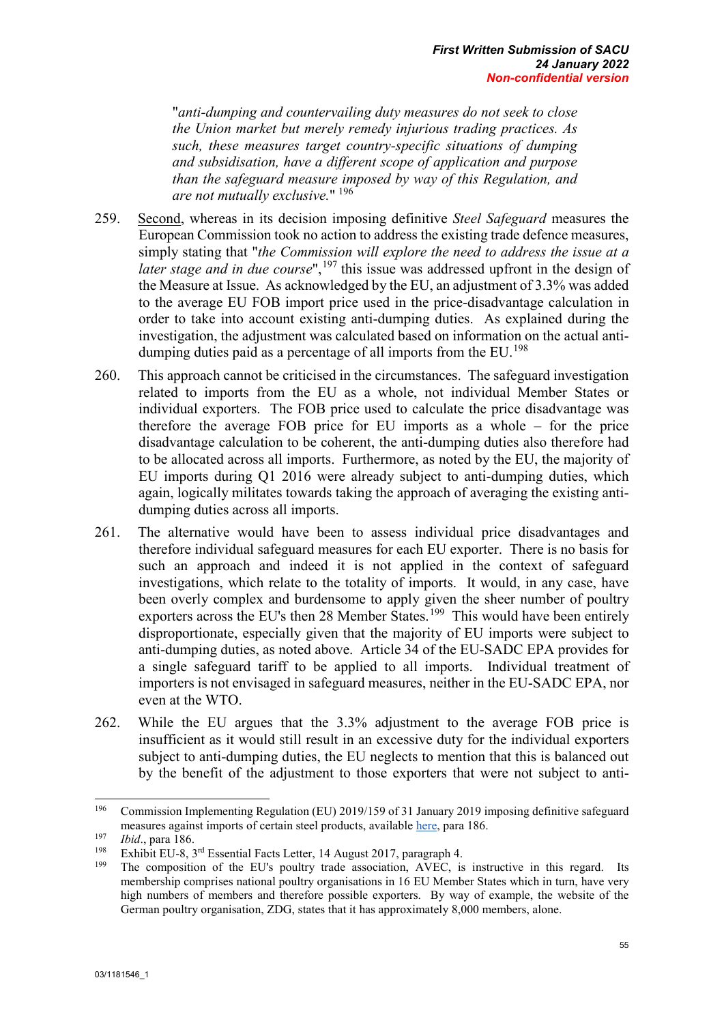"*anti-dumping and countervailing duty measures do not seek to close the Union market but merely remedy injurious trading practices. As such, these measures target country-specific situations of dumping and subsidisation, have a different scope of application and purpose than the safeguard measure imposed by way of this Regulation, and are not mutually exclusive.*" [196](#page-65-0)

- 259. Second, whereas in its decision imposing definitive *Steel Safeguard* measures the European Commission took no action to address the existing trade defence measures, simply stating that "*the Commission will explore the need to address the issue at a later stage and in due course*",<sup>[197](#page-65-1)</sup> this issue was addressed upfront in the design of the Measure at Issue. As acknowledged by the EU, an adjustment of 3.3% was added to the average EU FOB import price used in the price-disadvantage calculation in order to take into account existing anti-dumping duties. As explained during the investigation, the adjustment was calculated based on information on the actual antidumping duties paid as a percentage of all imports from the  $EU$ .<sup>[198](#page-65-2)</sup>
- 260. This approach cannot be criticised in the circumstances. The safeguard investigation related to imports from the EU as a whole, not individual Member States or individual exporters. The FOB price used to calculate the price disadvantage was therefore the average FOB price for EU imports as a whole – for the price disadvantage calculation to be coherent, the anti-dumping duties also therefore had to be allocated across all imports. Furthermore, as noted by the EU, the majority of EU imports during Q1 2016 were already subject to anti-dumping duties, which again, logically militates towards taking the approach of averaging the existing antidumping duties across all imports.
- 261. The alternative would have been to assess individual price disadvantages and therefore individual safeguard measures for each EU exporter. There is no basis for such an approach and indeed it is not applied in the context of safeguard investigations, which relate to the totality of imports. It would, in any case, have been overly complex and burdensome to apply given the sheer number of poultry exporters across the EU's then 28 Member States.<sup>199</sup> This would have been entirely disproportionate, especially given that the majority of EU imports were subject to anti-dumping duties, as noted above. Article 34 of the EU-SADC EPA provides for a single safeguard tariff to be applied to all imports. Individual treatment of importers is not envisaged in safeguard measures, neither in the EU-SADC EPA, nor even at the WTO.
- 262. While the EU argues that the 3.3% adjustment to the average FOB price is insufficient as it would still result in an excessive duty for the individual exporters subject to anti-dumping duties, the EU neglects to mention that this is balanced out by the benefit of the adjustment to those exporters that were not subject to anti-

<span id="page-65-0"></span><sup>196</sup> <sup>196</sup> Commission Implementing Regulation (EU) 2019/159 of 31 January 2019 imposing definitive safeguard measures against imports of certain steel products, available [here,](https://eur-lex.europa.eu/legal-content/EN/TXT/PDF/?uri=CELEX:32019R0159&from=EN) para 186.

<span id="page-65-1"></span><sup>&</sup>lt;sup>197</sup> *Ibid.*, para 186.

<span id="page-65-3"></span><span id="page-65-2"></span><sup>&</sup>lt;sup>198</sup> Exhibit EU-8, 3<sup>rd</sup> Essential Facts Letter, 14 August 2017, paragraph 4.<br><sup>199</sup> The composition of the EU's poultage trade association. AVEC is

The composition of the EU's poultry trade association, AVEC, is instructive in this regard. Its membership comprises national poultry organisations in 16 EU Member States which in turn, have very high numbers of members and therefore possible exporters. By way of example, the website of the German poultry organisation, ZDG, states that it has approximately 8,000 members, alone.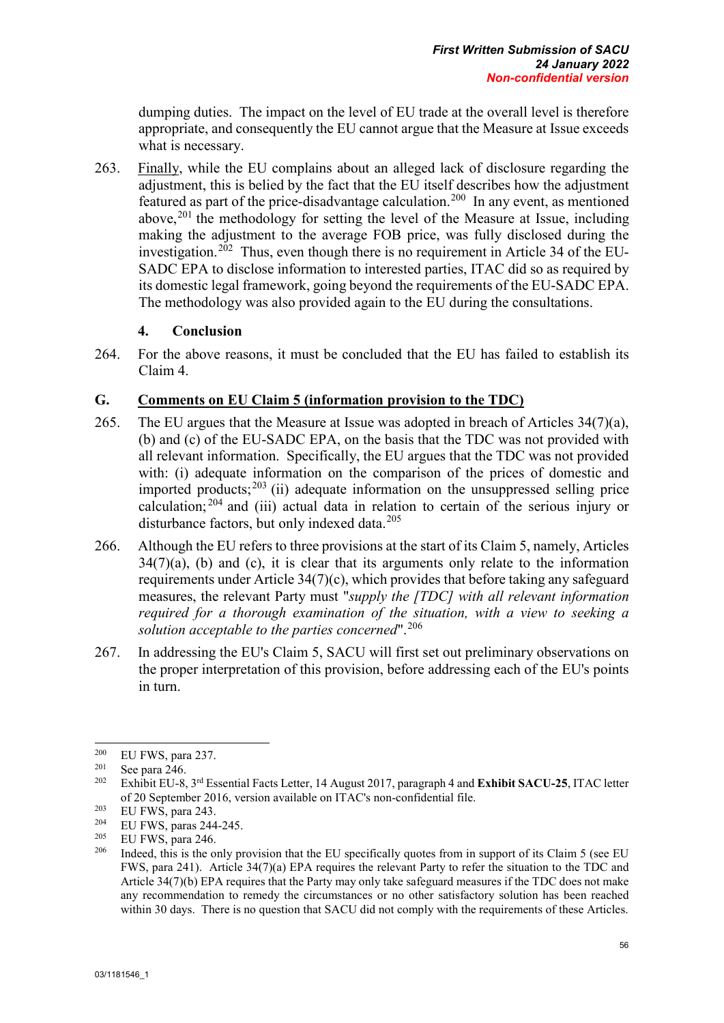dumping duties. The impact on the level of EU trade at the overall level is therefore appropriate, and consequently the EU cannot argue that the Measure at Issue exceeds what is necessary.

263. Finally, while the EU complains about an alleged lack of disclosure regarding the adjustment, this is belied by the fact that the EU itself describes how the adjustment featured as part of the price-disadvantage calculation.[200](#page-66-0) In any event, as mentioned above,<sup>[201](#page-66-1)</sup> the methodology for setting the level of the Measure at Issue, including making the adjustment to the average FOB price, was fully disclosed during the investigation.<sup>202</sup> Thus, even though there is no requirement in Article 34 of the EU-SADC EPA to disclose information to interested parties, ITAC did so as required by its domestic legal framework, going beyond the requirements of the EU-SADC EPA. The methodology was also provided again to the EU during the consultations.

## **4. Conclusion**

264. For the above reasons, it must be concluded that the EU has failed to establish its Claim 4.

# **G. Comments on EU Claim 5 (information provision to the TDC)**

- 265. The EU argues that the Measure at Issue was adopted in breach of Articles 34(7)(a), (b) and (c) of the EU-SADC EPA, on the basis that the TDC was not provided with all relevant information. Specifically, the EU argues that the TDC was not provided with: (i) adequate information on the comparison of the prices of domestic and imported products; $^{203}$  $^{203}$  $^{203}$  (ii) adequate information on the unsuppressed selling price calculation;  $204$  and (iii) actual data in relation to certain of the serious injury or disturbance factors, but only indexed data.<sup>[205](#page-66-5)</sup>
- 266. Although the EU refers to three provisions at the start of its Claim 5, namely, Articles  $34(7)(a)$ , (b) and (c), it is clear that its arguments only relate to the information requirements under Article 34(7)(c), which provides that before taking any safeguard measures, the relevant Party must "*supply the [TDC] with all relevant information required for a thorough examination of the situation, with a view to seeking a solution acceptable to the parties concerned*".[206](#page-66-6)
- 267. In addressing the EU's Claim 5, SACU will first set out preliminary observations on the proper interpretation of this provision, before addressing each of the EU's points in turn.

<span id="page-66-0"></span><sup>200</sup>  $^{200}_{201}$  EU FWS, para 237.

<span id="page-66-2"></span><span id="page-66-1"></span> $\frac{201}{202}$  See para 246.

<sup>202</sup> Exhibit EU-8, 3rd Essential Facts Letter, 14 August 2017, paragraph 4 and **Exhibit SACU-25**, ITAC letter of 20 September 2016, version available on ITAC's non-confidential file.

<span id="page-66-3"></span><sup>&</sup>lt;sup>203</sup> EU FWS, para 243.<br><sup>204</sup> EU FWS, paras 244

<span id="page-66-4"></span><sup>&</sup>lt;sup>204</sup> EU FWS, paras 244-245.<br><sup>205</sup> EU EWS, para 246

<span id="page-66-6"></span><span id="page-66-5"></span> $\frac{205}{206}$  EU FWS, para 246.

Indeed, this is the only provision that the EU specifically quotes from in support of its Claim 5 (see EU FWS, para 241). Article 34(7)(a) EPA requires the relevant Party to refer the situation to the TDC and Article 34(7)(b) EPA requires that the Party may only take safeguard measures if the TDC does not make any recommendation to remedy the circumstances or no other satisfactory solution has been reached within 30 days. There is no question that SACU did not comply with the requirements of these Articles.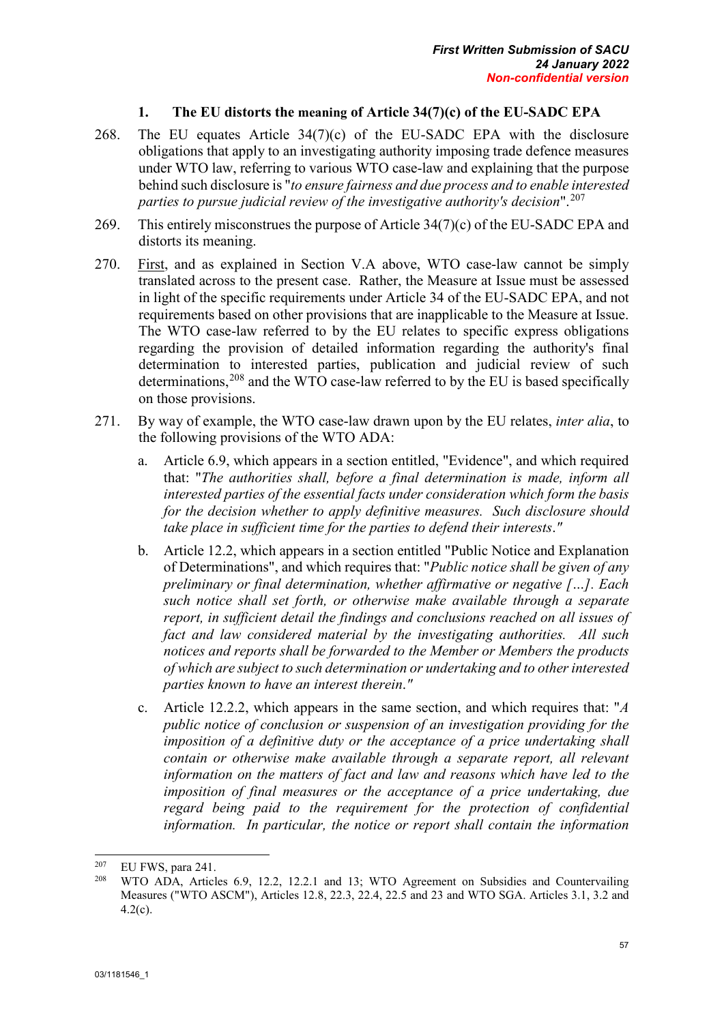# **1. The EU distorts the meaning of Article 34(7)(c) of the EU-SADC EPA**

- 268. The EU equates Article 34(7)(c) of the EU-SADC EPA with the disclosure obligations that apply to an investigating authority imposing trade defence measures under WTO law, referring to various WTO case-law and explaining that the purpose behind such disclosure is "*to ensure fairness and due process and to enable interested parties to pursue judicial review of the investigative authority's decision*".[207](#page-67-0)
- 269. This entirely misconstrues the purpose of Article 34(7)(c) of the EU-SADC EPA and distorts its meaning.
- 270. First, and as explained in Section V.A above, WTO case-law cannot be simply translated across to the present case. Rather, the Measure at Issue must be assessed in light of the specific requirements under Article 34 of the EU-SADC EPA, and not requirements based on other provisions that are inapplicable to the Measure at Issue. The WTO case-law referred to by the EU relates to specific express obligations regarding the provision of detailed information regarding the authority's final determination to interested parties, publication and judicial review of such determinations, $208$  and the WTO case-law referred to by the EU is based specifically on those provisions.
- 271. By way of example, the WTO case-law drawn upon by the EU relates, *inter alia*, to the following provisions of the WTO ADA:
	- a. Article 6.9, which appears in a section entitled, "Evidence", and which required that: "*The authorities shall, before a final determination is made, inform all interested parties of the essential facts under consideration which form the basis for the decision whether to apply definitive measures. Such disclosure should take place in sufficient time for the parties to defend their interests*.*"*
	- b. Article 12.2, which appears in a section entitled "Public Notice and Explanation of Determinations", and which requires that: "*Public notice shall be given of any preliminary or final determination, whether affirmative or negative […]. Each such notice shall set forth, or otherwise make available through a separate report, in sufficient detail the findings and conclusions reached on all issues of fact and law considered material by the investigating authorities. All such notices and reports shall be forwarded to the Member or Members the products of which are subject to such determination or undertaking and to other interested parties known to have an interest therein*.*"*
	- c. Article 12.2.2, which appears in the same section, and which requires that: "*A public notice of conclusion or suspension of an investigation providing for the imposition of a definitive duty or the acceptance of a price undertaking shall contain or otherwise make available through a separate report, all relevant information on the matters of fact and law and reasons which have led to the imposition of final measures or the acceptance of a price undertaking, due regard being paid to the requirement for the protection of confidential information. In particular, the notice or report shall contain the information*

<span id="page-67-1"></span><span id="page-67-0"></span><sup>207</sup> <sup>207</sup> EU FWS, para 241.

WTO ADA, Articles 6.9, 12.2, 12.2.1 and 13; WTO Agreement on Subsidies and Countervailing Measures ("WTO ASCM"), Articles 12.8, 22.3, 22.4, 22.5 and 23 and WTO SGA. Articles 3.1, 3.2 and 4.2(c).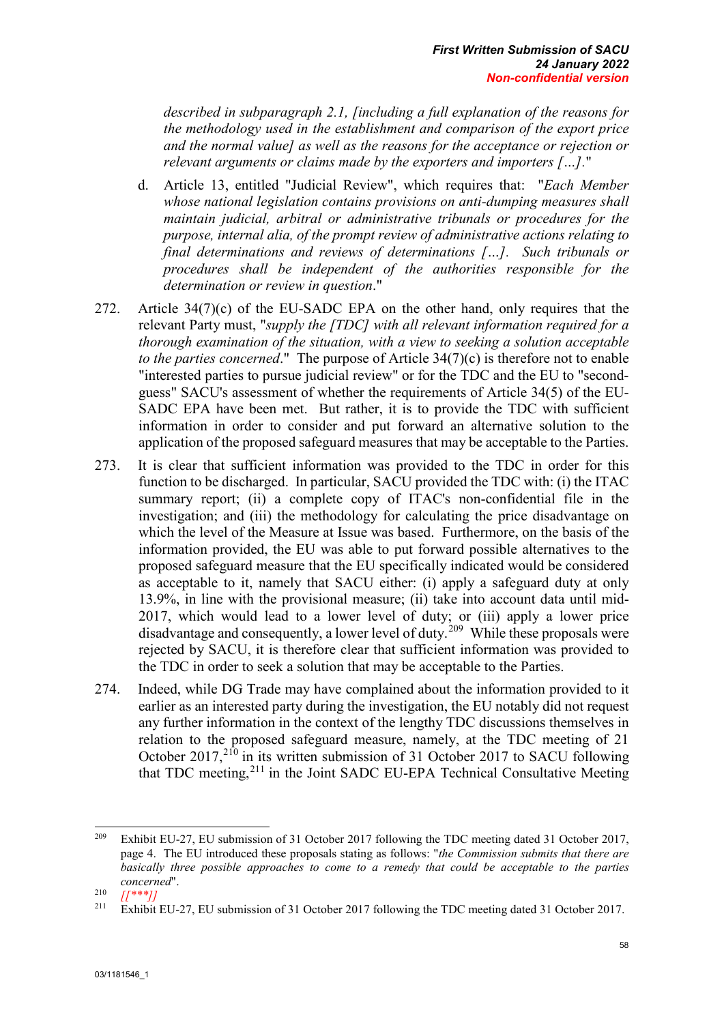*described in subparagraph 2.1, [including a full explanation of the reasons for the methodology used in the establishment and comparison of the export price and the normal value] as well as the reasons for the acceptance or rejection or relevant arguments or claims made by the exporters and importers […].*"

- d. Article 13, entitled "Judicial Review", which requires that: "*Each Member whose national legislation contains provisions on anti-dumping measures shall maintain judicial, arbitral or administrative tribunals or procedures for the purpose, internal alia, of the prompt review of administrative actions relating to final determinations and reviews of determinations […]. Such tribunals or procedures shall be independent of the authorities responsible for the determination or review in question*."
- 272. Article  $34(7)(c)$  of the EU-SADC EPA on the other hand, only requires that the relevant Party must, "*supply the [TDC] with all relevant information required for a thorough examination of the situation, with a view to seeking a solution acceptable to the parties concerned*." The purpose of Article 34(7)(c) is therefore not to enable "interested parties to pursue judicial review" or for the TDC and the EU to "secondguess" SACU's assessment of whether the requirements of Article 34(5) of the EU-SADC EPA have been met. But rather, it is to provide the TDC with sufficient information in order to consider and put forward an alternative solution to the application of the proposed safeguard measures that may be acceptable to the Parties.
- 273. It is clear that sufficient information was provided to the TDC in order for this function to be discharged. In particular, SACU provided the TDC with: (i) the ITAC summary report; (ii) a complete copy of ITAC's non-confidential file in the investigation; and (iii) the methodology for calculating the price disadvantage on which the level of the Measure at Issue was based. Furthermore, on the basis of the information provided, the EU was able to put forward possible alternatives to the proposed safeguard measure that the EU specifically indicated would be considered as acceptable to it, namely that SACU either: (i) apply a safeguard duty at only 13.9%, in line with the provisional measure; (ii) take into account data until mid-2017, which would lead to a lower level of duty; or (iii) apply a lower price disadvantage and consequently, a lower level of duty.[209](#page-68-0) While these proposals were rejected by SACU, it is therefore clear that sufficient information was provided to the TDC in order to seek a solution that may be acceptable to the Parties.
- 274. Indeed, while DG Trade may have complained about the information provided to it earlier as an interested party during the investigation, the EU notably did not request any further information in the context of the lengthy TDC discussions themselves in relation to the proposed safeguard measure, namely, at the TDC meeting of 21 October 2017, $2^{10}$  in its written submission of 31 October 2017 to SACU following that TDC meeting,<sup>[211](#page-68-2)</sup> in the Joint SADC EU-EPA Technical Consultative Meeting

<span id="page-68-0"></span><sup>209</sup> <sup>209</sup> Exhibit EU-27, EU submission of 31 October 2017 following the TDC meeting dated 31 October 2017, page 4. The EU introduced these proposals stating as follows: "*the Commission submits that there are basically three possible approaches to come to a remedy that could be acceptable to the parties concerned*".

<span id="page-68-1"></span> $\frac{210}{211}$   $\frac{[{\ast}{*}]}{\text{Exhibit}}$ 

<span id="page-68-2"></span><sup>211</sup> Exhibit EU-27, EU submission of 31 October 2017 following the TDC meeting dated 31 October 2017.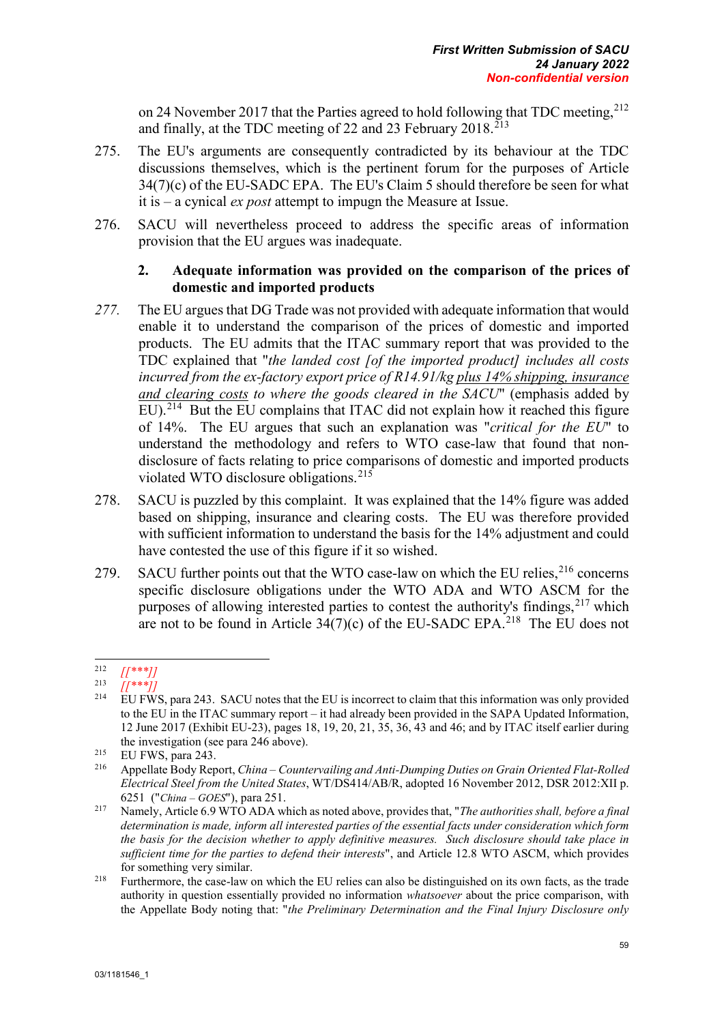on 24 November 2017 that the Parties agreed to hold following that TDC meeting,  $212$ and finally, at the TDC meeting of 22 and 23 February  $2018$ <sup> $213$ </sup>

- 275. The EU's arguments are consequently contradicted by its behaviour at the TDC discussions themselves, which is the pertinent forum for the purposes of Article 34(7)(c) of the EU-SADC EPA. The EU's Claim 5 should therefore be seen for what it is – a cynical *ex post* attempt to impugn the Measure at Issue.
- 276. SACU will nevertheless proceed to address the specific areas of information provision that the EU argues was inadequate.

# **2. Adequate information was provided on the comparison of the prices of domestic and imported products**

- *277.* The EU argues that DG Trade was not provided with adequate information that would enable it to understand the comparison of the prices of domestic and imported products. The EU admits that the ITAC summary report that was provided to the TDC explained that "*the landed cost [of the imported product] includes all costs incurred from the ex-factory export price of R14.91/kg plus 14% shipping, insurance and clearing costs to where the goods cleared in the SACU*" (emphasis added by EU).<sup>214</sup> But the EU complains that ITAC did not explain how it reached this figure of 14%. The EU argues that such an explanation was "*critical for the EU*" to understand the methodology and refers to WTO case-law that found that nondisclosure of facts relating to price comparisons of domestic and imported products violated WTO disclosure obligations.[215](#page-69-3)
- 278. SACU is puzzled by this complaint. It was explained that the 14% figure was added based on shipping, insurance and clearing costs. The EU was therefore provided with sufficient information to understand the basis for the 14% adjustment and could have contested the use of this figure if it so wished.
- 279. SACU further points out that the WTO case-law on which the EU relies,  $2^{16}$  concerns specific disclosure obligations under the WTO ADA and WTO ASCM for the purposes of allowing interested parties to contest the authority's findings,  $2^{17}$  which are not to be found in Article  $34(7)(c)$  of the EU-SADC EPA.<sup>218</sup> The EU does not

<span id="page-69-1"></span><span id="page-69-0"></span><sup>212</sup>  $\begin{array}{c}\n 212 \\
 213 \\
 214 \\
 \end{array}$   $\begin{array}{c}\n 214 \\
 1111 \\
 \end{array}$ 

<span id="page-69-2"></span><sup>214</sup> EU FWS, para 243. SACU notes that the EU is incorrect to claim that this information was only provided to the EU in the ITAC summary report – it had already been provided in the SAPA Updated Information, 12 June 2017 (Exhibit EU-23), pages 18, 19, 20, 21, 35, 36, 43 and 46; and by ITAC itself earlier during the investigation (see para 246 above).

<span id="page-69-3"></span><sup>&</sup>lt;sup>215</sup> EU FWS, para  $243$ .<br><sup>216</sup> Appellate Body Per

<span id="page-69-4"></span><sup>216</sup> Appellate Body Report, *China – Countervailing and Anti-Dumping Duties on Grain Oriented Flat-Rolled Electrical Steel from the United States*, WT/DS414/AB/R, adopted 16 November 2012, DSR 2012:XII p. 6251 ("*China – GOES*"), para 251.

<span id="page-69-5"></span><sup>217</sup> Namely, Article 6.9 WTO ADA which as noted above, provides that, "*The authorities shall, before a final determination is made, inform all interested parties of the essential facts under consideration which form the basis for the decision whether to apply definitive measures. Such disclosure should take place in sufficient time for the parties to defend their interests*", and Article 12.8 WTO ASCM, which provides for something very similar.

<span id="page-69-6"></span><sup>&</sup>lt;sup>218</sup> Furthermore, the case-law on which the EU relies can also be distinguished on its own facts, as the trade authority in question essentially provided no information *whatsoever* about the price comparison, with the Appellate Body noting that: "*the Preliminary Determination and the Final Injury Disclosure only*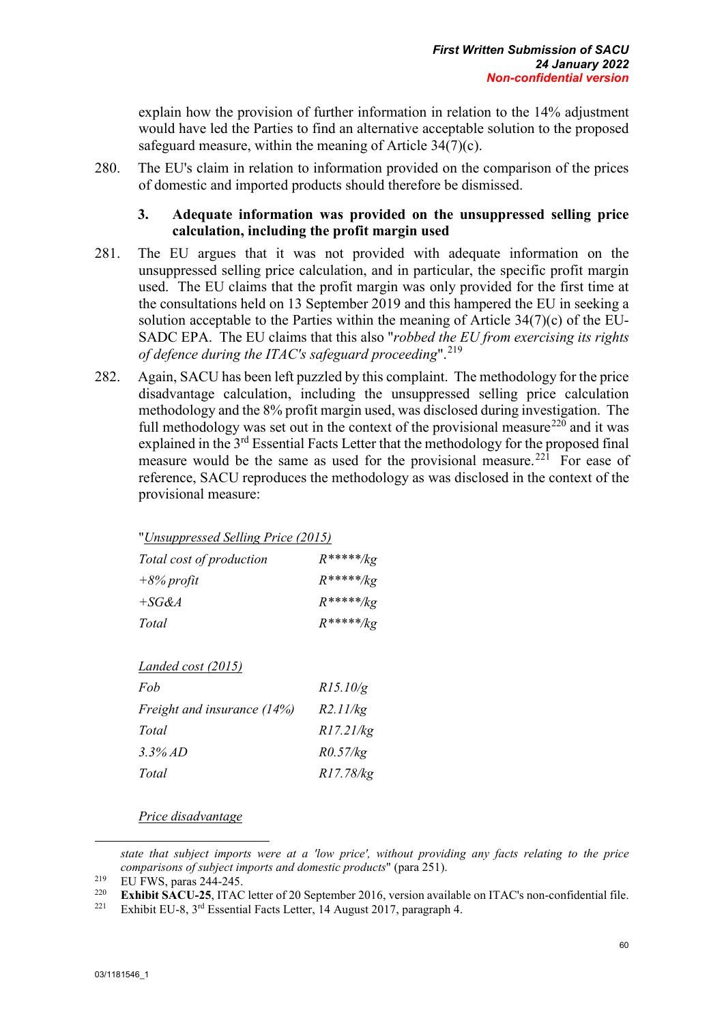explain how the provision of further information in relation to the 14% adjustment would have led the Parties to find an alternative acceptable solution to the proposed safeguard measure, within the meaning of Article 34(7)(c).

280. The EU's claim in relation to information provided on the comparison of the prices of domestic and imported products should therefore be dismissed.

## **3. Adequate information was provided on the unsuppressed selling price calculation, including the profit margin used**

- 281. The EU argues that it was not provided with adequate information on the unsuppressed selling price calculation, and in particular, the specific profit margin used. The EU claims that the profit margin was only provided for the first time at the consultations held on 13 September 2019 and this hampered the EU in seeking a solution acceptable to the Parties within the meaning of Article 34(7)(c) of the EU-SADC EPA. The EU claims that this also "*robbed the EU from exercising its rights of defence during the ITAC's safeguard proceeding*".[219](#page-70-0)
- 282. Again, SACU has been left puzzled by this complaint. The methodology for the price disadvantage calculation, including the unsuppressed selling price calculation methodology and the 8% profit margin used, was disclosed during investigation. The full methodology was set out in the context of the provisional measure<sup>[220](#page-70-1)</sup> and it was explained in the 3<sup>rd</sup> Essential Facts Letter that the methodology for the proposed final measure would be the same as used for the provisional measure.<sup>[221](#page-70-2)</sup> For ease of reference, SACU reproduces the methodology as was disclosed in the context of the provisional measure:

"*Unsuppressed Selling Price (2015)*

| Total cost of production | $R****/kg$  |
|--------------------------|-------------|
| $+8\%$ profit            | $R****/kg$  |
| $+SG\&A$                 | $R*****/kg$ |
| Total                    | $R****/kg$  |

*Landed cost (2015)*

| Fob                         | R15.10/g  |
|-----------------------------|-----------|
| Freight and insurance (14%) | R2.11/kg  |
| Total                       | R17.21/kg |
| 3.3% AD                     | R0.57/kg  |
| Total                       | R17.78/kg |

*Price disadvantage*

*state that subject imports were at a 'low price', without providing any facts relating to the price comparisons of subject imports and domestic products*" (para 251).

-

<span id="page-70-0"></span><sup>&</sup>lt;sup>219</sup> EU FWS, paras 244-245.

<span id="page-70-2"></span><span id="page-70-1"></span><sup>&</sup>lt;sup>220</sup> **Exhibit SACU-25**, ITAC letter of 20 September 2016, version available on ITAC's non-confidential file.<br><sup>221</sup> Exhibit ELL.8, <sup>3rd</sup> Essential Easts Letter, 14 August 2017, paragraph 4

Exhibit EU-8, 3<sup>rd</sup> Essential Facts Letter, 14 August 2017, paragraph 4.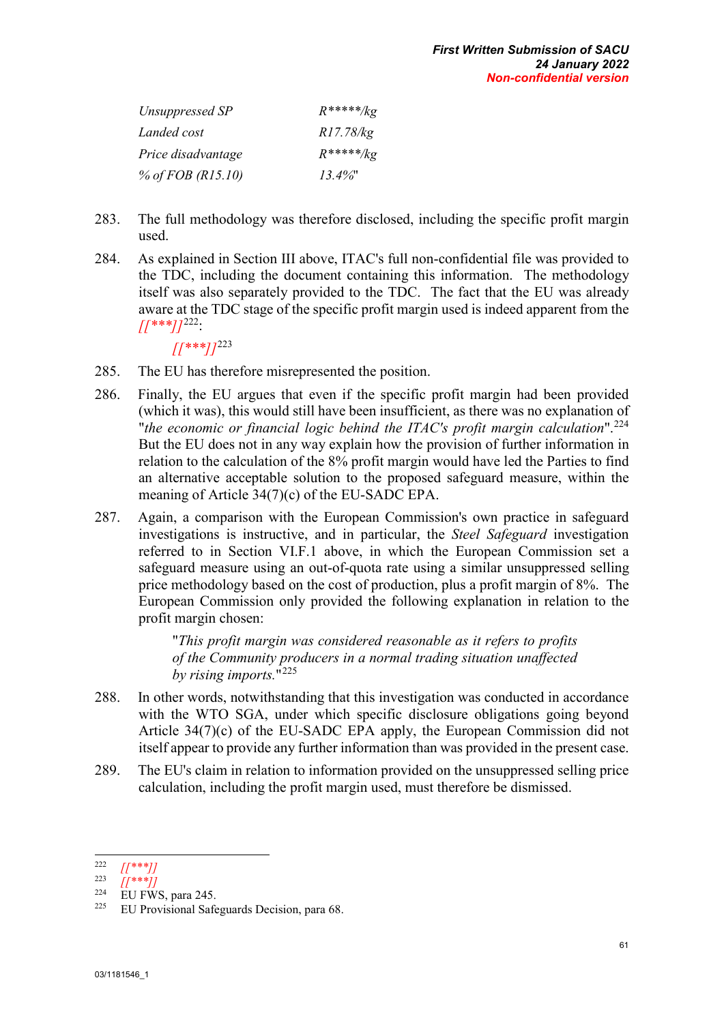| Unsuppressed SP     | $R****/kg$ |
|---------------------|------------|
| Landed cost         | R17.78/kg  |
| Price disadvantage  | $R****/kg$ |
| % of FOB $(R15.10)$ | $13.4\%$ " |

- 283. The full methodology was therefore disclosed, including the specific profit margin used.
- 284. As explained in Section III above, ITAC's full non-confidential file was provided to the TDC, including the document containing this information. The methodology itself was also separately provided to the TDC. The fact that the EU was already aware at the TDC stage of the specific profit margin used is indeed apparent from the  $\frac{1}{2}$   $\frac{1}{2}$   $\frac{1}{2}$   $\frac{222}{2}$  $\frac{222}{2}$  $\frac{222}{2}$

*[[\*\*\*]]*[223](#page-71-1)

- 285. The EU has therefore misrepresented the position.
- 286. Finally, the EU argues that even if the specific profit margin had been provided (which it was), this would still have been insufficient, as there was no explanation of "*the economic or financial logic behind the ITAC's profit margin calculation*".[224](#page-71-2) But the EU does not in any way explain how the provision of further information in relation to the calculation of the 8% profit margin would have led the Parties to find an alternative acceptable solution to the proposed safeguard measure, within the meaning of Article 34(7)(c) of the EU-SADC EPA.
- 287. Again, a comparison with the European Commission's own practice in safeguard investigations is instructive, and in particular, the *Steel Safeguard* investigation referred to in Section VI.F.1 above, in which the European Commission set a safeguard measure using an out-of-quota rate using a similar unsuppressed selling price methodology based on the cost of production, plus a profit margin of 8%. The European Commission only provided the following explanation in relation to the profit margin chosen:

"*This profit margin was considered reasonable as it refers to profits of the Community producers in a normal trading situation unaffected by rising imports.*"[225](#page-71-3)

- 288. In other words, notwithstanding that this investigation was conducted in accordance with the WTO SGA, under which specific disclosure obligations going beyond Article 34(7)(c) of the EU-SADC EPA apply, the European Commission did not itself appear to provide any further information than was provided in the present case.
- 289. The EU's claim in relation to information provided on the unsuppressed selling price calculation, including the profit margin used, must therefore be dismissed.

<span id="page-71-0"></span> $222$ 

<span id="page-71-1"></span><sup>222</sup> *[[\*\*\*]]* 223 *[[\*\*\*]]*

<span id="page-71-2"></span> $\frac{224}{225}$  EU FWS, para 245.

<span id="page-71-3"></span>EU Provisional Safeguards Decision, para 68.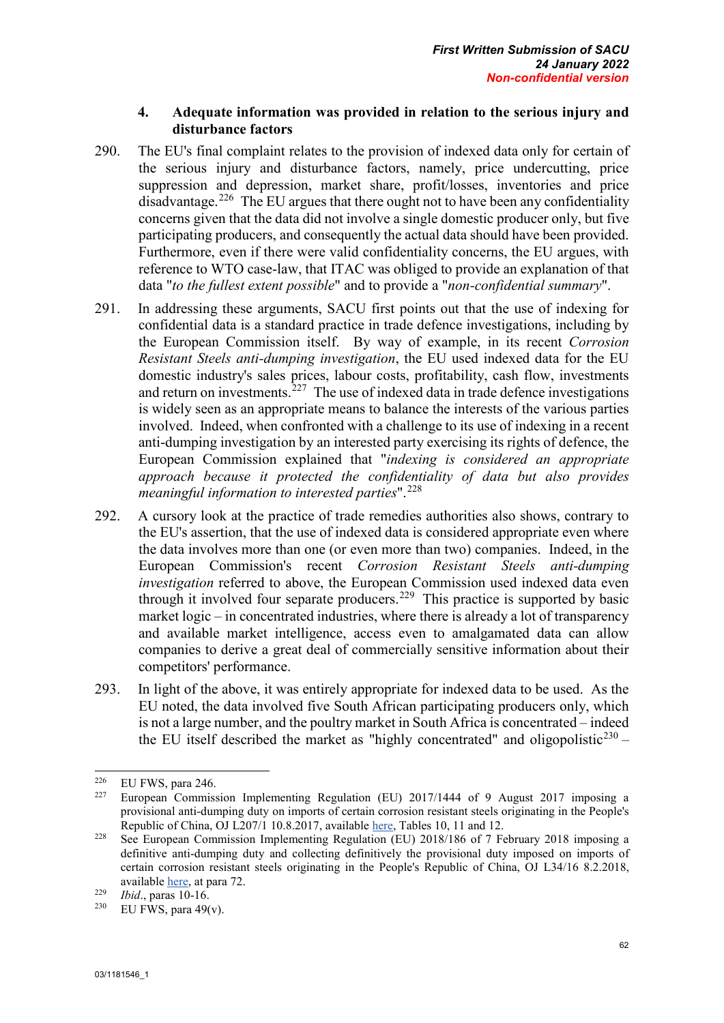## **4. Adequate information was provided in relation to the serious injury and disturbance factors**

- 290. The EU's final complaint relates to the provision of indexed data only for certain of the serious injury and disturbance factors, namely, price undercutting, price suppression and depression, market share, profit/losses, inventories and price disadvantage.<sup>[226](#page-72-0)</sup> The EU argues that there ought not to have been any confidentiality concerns given that the data did not involve a single domestic producer only, but five participating producers, and consequently the actual data should have been provided. Furthermore, even if there were valid confidentiality concerns, the EU argues, with reference to WTO case-law, that ITAC was obliged to provide an explanation of that data "*to the fullest extent possible*" and to provide a "*non-confidential summary*".
- 291. In addressing these arguments, SACU first points out that the use of indexing for confidential data is a standard practice in trade defence investigations, including by the European Commission itself. By way of example, in its recent *Corrosion Resistant Steels anti-dumping investigation*, the EU used indexed data for the EU domestic industry's sales prices, labour costs, profitability, cash flow, investments and return on investments.<sup>[227](#page-72-1)</sup> The use of indexed data in trade defence investigations is widely seen as an appropriate means to balance the interests of the various parties involved. Indeed, when confronted with a challenge to its use of indexing in a recent anti-dumping investigation by an interested party exercising its rights of defence, the European Commission explained that "*indexing is considered an appropriate approach because it protected the confidentiality of data but also provides meaningful information to interested parties*".<sup>[228](#page-72-2)</sup>
- 292. A cursory look at the practice of trade remedies authorities also shows, contrary to the EU's assertion, that the use of indexed data is considered appropriate even where the data involves more than one (or even more than two) companies. Indeed, in the European Commission's recent *Corrosion Resistant Steels anti-dumping investigation* referred to above, the European Commission used indexed data even through it involved four separate producers.<sup>[229](#page-72-3)</sup> This practice is supported by basic market logic – in concentrated industries, where there is already a lot of transparency and available market intelligence, access even to amalgamated data can allow companies to derive a great deal of commercially sensitive information about their competitors' performance.
- 293. In light of the above, it was entirely appropriate for indexed data to be used. As the EU noted, the data involved five South African participating producers only, which is not a large number, and the poultry market in South Africa is concentrated – indeed the EU itself described the market as "highly concentrated" and oligopolistic<sup>[230](#page-72-4)</sup> –

<sup>226</sup> 

<span id="page-72-1"></span><span id="page-72-0"></span><sup>&</sup>lt;sup>226</sup> EU FWS, para 246.<br><sup>227</sup> European Commission Implementing Regulation (EU) 2017/1444 of 9 August 2017 imposing a provisional anti-dumping duty on imports of certain corrosion resistant steels originating in the People's Republic of China, OJ L207/1 10.8.2017, available <u>here</u>, Tables 10, 11 and 12.<br><sup>228</sup> See European Commission Implementing Regulation (EU) 2018/186 of 7 February 2018 imposing a

<span id="page-72-2"></span>definitive anti-dumping duty and collecting definitively the provisional duty imposed on imports of certain corrosion resistant steels originating in the People's Republic of China, OJ L34/16 8.2.2018, available [here,](https://eur-lex.europa.eu/legal-content/EN/TXT/PDF/?uri=CELEX:32018R0186&from=EN) at para 72.

<span id="page-72-4"></span>

<span id="page-72-3"></span><sup>&</sup>lt;sup>229</sup> *Ibid.*, paras 10-16.<br><sup>230</sup> EU FWS, para 49(v).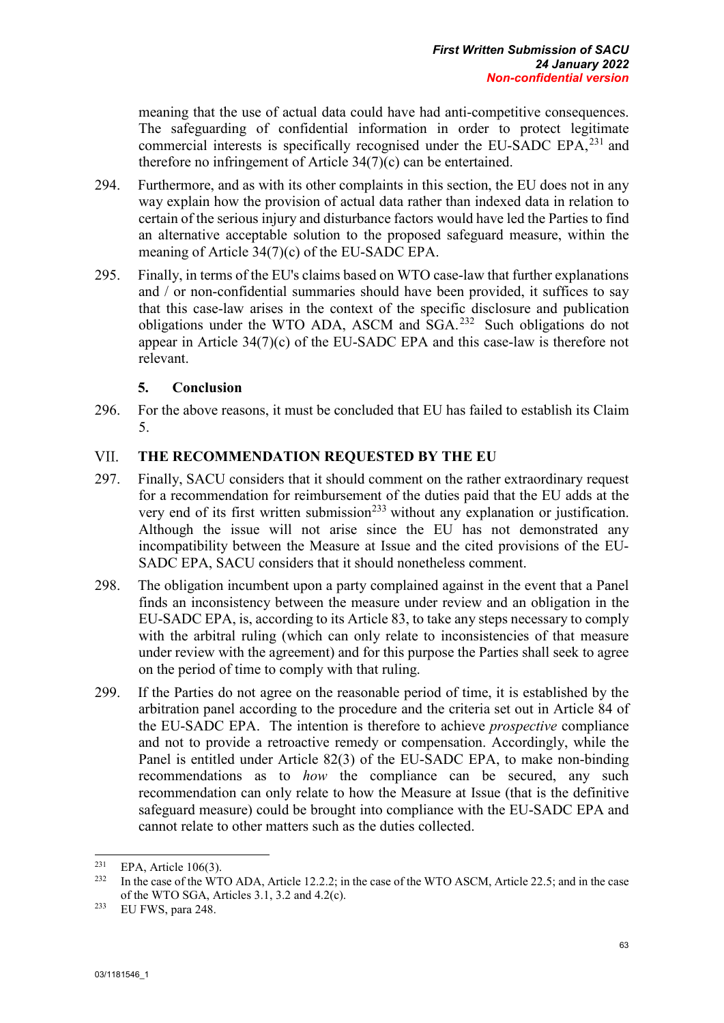meaning that the use of actual data could have had anti-competitive consequences. The safeguarding of confidential information in order to protect legitimate commercial interests is specifically recognised under the EU-SADC EPA,<sup>[231](#page-73-0)</sup> and therefore no infringement of Article 34(7)(c) can be entertained.

- 294. Furthermore, and as with its other complaints in this section, the EU does not in any way explain how the provision of actual data rather than indexed data in relation to certain of the serious injury and disturbance factors would have led the Parties to find an alternative acceptable solution to the proposed safeguard measure, within the meaning of Article 34(7)(c) of the EU-SADC EPA.
- 295. Finally, in terms of the EU's claims based on WTO case-law that further explanations and / or non-confidential summaries should have been provided, it suffices to say that this case-law arises in the context of the specific disclosure and publication obligations under the WTO ADA, ASCM and SGA.[232](#page-73-1) Such obligations do not appear in Article 34(7)(c) of the EU-SADC EPA and this case-law is therefore not relevant.

## **5. Conclusion**

296. For the above reasons, it must be concluded that EU has failed to establish its Claim 5.

## VII. **THE RECOMMENDATION REQUESTED BY THE EU**

- 297. Finally, SACU considers that it should comment on the rather extraordinary request for a recommendation for reimbursement of the duties paid that the EU adds at the very end of its first written submission<sup> $233$ </sup> without any explanation or justification. Although the issue will not arise since the EU has not demonstrated any incompatibility between the Measure at Issue and the cited provisions of the EU-SADC EPA, SACU considers that it should nonetheless comment.
- 298. The obligation incumbent upon a party complained against in the event that a Panel finds an inconsistency between the measure under review and an obligation in the EU-SADC EPA, is, according to its Article 83, to take any steps necessary to comply with the arbitral ruling (which can only relate to inconsistencies of that measure under review with the agreement) and for this purpose the Parties shall seek to agree on the period of time to comply with that ruling.
- 299. If the Parties do not agree on the reasonable period of time, it is established by the arbitration panel according to the procedure and the criteria set out in Article 84 of the EU-SADC EPA. The intention is therefore to achieve *prospective* compliance and not to provide a retroactive remedy or compensation. Accordingly, while the Panel is entitled under Article 82(3) of the EU-SADC EPA, to make non-binding recommendations as to *how* the compliance can be secured, any such recommendation can only relate to how the Measure at Issue (that is the definitive safeguard measure) could be brought into compliance with the EU-SADC EPA and cannot relate to other matters such as the duties collected.

<span id="page-73-0"></span><sup>231</sup> <sup>231</sup> EPA, Article 106(3).

<span id="page-73-1"></span><sup>232</sup> In the case of the WTO ADA, Article 12.2.2; in the case of the WTO ASCM, Article 22.5; and in the case of the WTO SGA, Articles 3.1, 3.2 and 4.2(c).

<span id="page-73-2"></span><sup>233</sup> EU FWS, para 248.